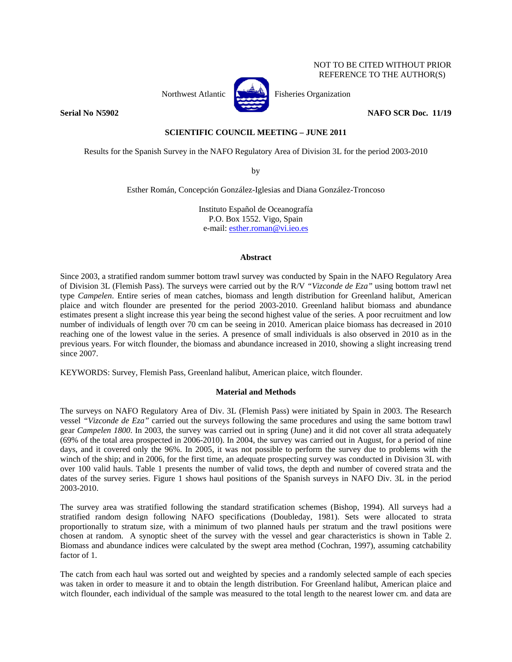# NOT TO BE CITED WITHOUT PRIOR REFERENCE TO THE AUTHOR(S)



Northwest Atlantic **No. 2008** Fisheries Organization

# **Serial No N5902** NAFO SCR Doc. 11/19

# **SCIENTIFIC COUNCIL MEETING – JUNE 2011**

Results for the Spanish Survey in the NAFO Regulatory Area of Division 3L for the period 2003-2010

by

Esther Román, Concepción González-Iglesias and Diana González-Troncoso

Instituto Español de Oceanografía P.O. Box 1552. Vigo, Spain e-mail: esther.roman@vi.ieo.es

## **Abstract**

Since 2003, a stratified random summer bottom trawl survey was conducted by Spain in the NAFO Regulatory Area of Division 3L (Flemish Pass). The surveys were carried out by the R/V *"Vizconde de Eza"* using bottom trawl net type *Campelen*. Entire series of mean catches, biomass and length distribution for Greenland halibut, American plaice and witch flounder are presented for the period 2003-2010. Greenland halibut biomass and abundance estimates present a slight increase this year being the second highest value of the series. A poor recruitment and low number of individuals of length over 70 cm can be seeing in 2010. American plaice biomass has decreased in 2010 reaching one of the lowest value in the series. A presence of small individuals is also observed in 2010 as in the previous years. For witch flounder, the biomass and abundance increased in 2010, showing a slight increasing trend since 2007.

KEYWORDS: Survey, Flemish Pass, Greenland halibut, American plaice, witch flounder.

## **Material and Methods**

The surveys on NAFO Regulatory Area of Div. 3L (Flemish Pass) were initiated by Spain in 2003. The Research vessel *"Vizconde de Eza"* carried out the surveys following the same procedures and using the same bottom trawl gear *Campelen 1800*. In 2003, the survey was carried out in spring (June) and it did not cover all strata adequately (69% of the total area prospected in 2006-2010). In 2004, the survey was carried out in August, for a period of nine days, and it covered only the 96%. In 2005, it was not possible to perform the survey due to problems with the winch of the ship; and in 2006, for the first time, an adequate prospecting survey was conducted in Division 3L with over 100 valid hauls. Table 1 presents the number of valid tows, the depth and number of covered strata and the dates of the survey series. Figure 1 shows haul positions of the Spanish surveys in NAFO Div. 3L in the period 2003-2010.

The survey area was stratified following the standard stratification schemes (Bishop, 1994). All surveys had a stratified random design following NAFO specifications (Doubleday, 1981). Sets were allocated to strata proportionally to stratum size, with a minimum of two planned hauls per stratum and the trawl positions were chosen at random. A synoptic sheet of the survey with the vessel and gear characteristics is shown in Table 2. Biomass and abundance indices were calculated by the swept area method (Cochran, 1997), assuming catchability factor of 1.

The catch from each haul was sorted out and weighted by species and a randomly selected sample of each species was taken in order to measure it and to obtain the length distribution. For Greenland halibut, American plaice and witch flounder, each individual of the sample was measured to the total length to the nearest lower cm. and data are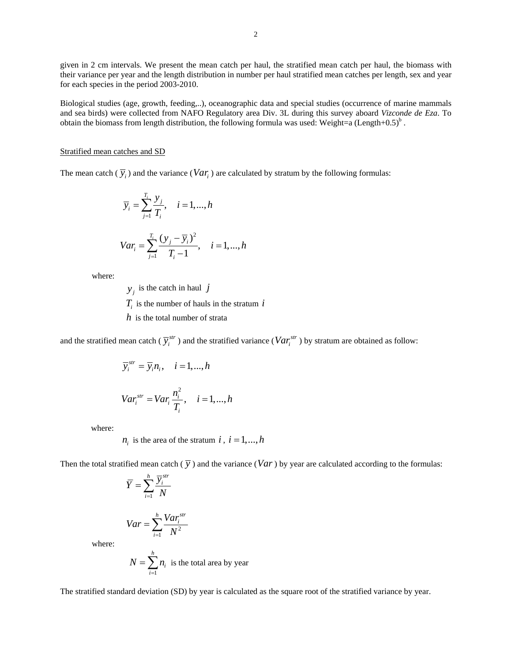given in 2 cm intervals. We present the mean catch per haul, the stratified mean catch per haul, the biomass with their variance per year and the length distribution in number per haul stratified mean catches per length, sex and year for each species in the period 2003-2010.

Biological studies (age, growth, feeding,..), oceanographic data and special studies (occurrence of marine mammals and sea birds) were collected from NAFO Regulatory area Div. 3L during this survey aboard *Vizconde de Eza*. To obtain the biomass from length distribution, the following formula was used: Weight=a (Length+0.5)<sup>b</sup>.

#### Stratified mean catches and SD

The mean catch  $(\overline{y}_i)$  and the variance  $(Var_i)$  are calculated by stratum by the following formulas:

$$
\overline{y}_i = \sum_{j=1}^{T_i} \frac{y_j}{T_i}, \quad i = 1, ..., h
$$
  

$$
Var_i = \sum_{j=1}^{T_i} \frac{(y_j - \overline{y}_i)^2}{T_i - 1}, \quad i = 1, ..., h
$$

where:

 $y_i$  is the catch in haul *j* 

 $T_i$  is the number of hauls in the stratum  $i$ 

*h* is the total number of strata

and the stratified mean catch ( $\overline{y}_i^{str}$ ) and the stratified variance ( $Var_i^{str}$ ) by stratum are obtained as follow:

$$
\overline{y}_i^{str} = \overline{y}_i n_i, \quad i = 1, ..., h
$$
  

$$
Var_i^{str} = Var_i \frac{n_i^2}{T_i}, \quad i = 1, ..., h
$$

where:

 $n_i$  is the area of the stratum *i*,  $i = 1, ..., h$ 

Then the total stratified mean catch  $(\bar{y})$  and the variance  $(Var)$  by year are calculated according to the formulas:

$$
\overline{Y} = \sum_{i=1}^{h} \frac{\overline{Y}_{i}^{str}}{N}
$$

$$
Var = \sum_{i=1}^{h} \frac{Var_{i}^{str}}{N^{2}}
$$

*i*

where:

$$
N = \sum_{i=1}^{h} n_i
$$
 is the total area by year

The stratified standard deviation (SD) by year is calculated as the square root of the stratified variance by year.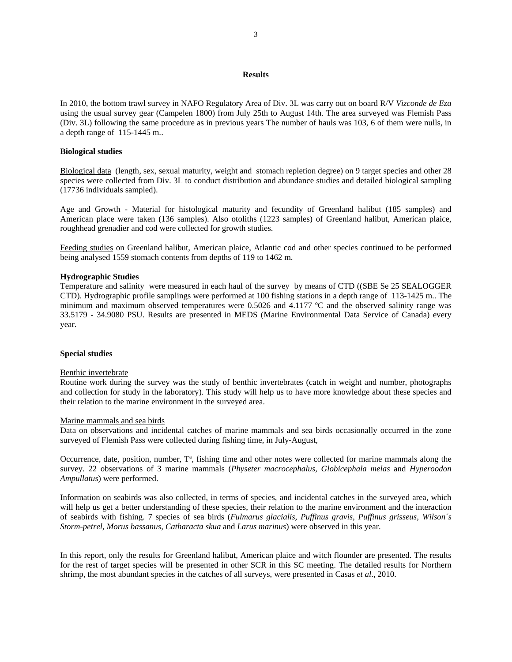#### **Results**

In 2010, the bottom trawl survey in NAFO Regulatory Area of Div. 3L was carry out on board R/V *Vizconde de Eza* using the usual survey gear (Campelen 1800) from July 25th to August 14th. The area surveyed was Flemish Pass (Div. 3L) following the same procedure as in previous years The number of hauls was 103, 6 of them were nulls, in a depth range of 115-1445 m..

# **Biological studies**

Biological data (length, sex, sexual maturity, weight and stomach repletion degree) on 9 target species and other 28 species were collected from Div. 3L to conduct distribution and abundance studies and detailed biological sampling (17736 individuals sampled).

Age and Growth - Material for histological maturity and fecundity of Greenland halibut (185 samples) and American place were taken (136 samples). Also otoliths (1223 samples) of Greenland halibut, American plaice, roughhead grenadier and cod were collected for growth studies.

Feeding studies on Greenland halibut, American plaice, Atlantic cod and other species continued to be performed being analysed 1559 stomach contents from depths of 119 to 1462 m.

### **Hydrographic Studies**

Temperature and salinity were measured in each haul of the survey by means of CTD ((SBE Se 25 SEALOGGER CTD). Hydrographic profile samplings were performed at 100 fishing stations in a depth range of 113-1425 m.. The minimum and maximum observed temperatures were 0.5026 and 4.1177 ºC and the observed salinity range was 33.5179 - 34.9080 PSU. Results are presented in MEDS (Marine Environmental Data Service of Canada) every year.

# **Special studies**

#### Benthic invertebrate

Routine work during the survey was the study of benthic invertebrates (catch in weight and number, photographs and collection for study in the laboratory). This study will help us to have more knowledge about these species and their relation to the marine environment in the surveyed area.

#### Marine mammals and sea birds

Data on observations and incidental catches of marine mammals and sea birds occasionally occurred in the zone surveyed of Flemish Pass were collected during fishing time, in July-August,

Occurrence, date, position, number, Tª, fishing time and other notes were collected for marine mammals along the survey. 22 observations of 3 marine mammals (*Physeter macrocephalus, Globicephala melas* and *Hyperoodon Ampullatus*) were performed.

Information on seabirds was also collected, in terms of species, and incidental catches in the surveyed area, which will help us get a better understanding of these species, their relation to the marine environment and the interaction of seabirds with fishing. 7 species of sea birds (*Fulmarus glacialis, Puffinus gravis, Puffinus grisseus, Wilson´s Storm-petrel, Morus bassanus, Catharacta skua* and *Larus marinus*) were observed in this year.

In this report, only the results for Greenland halibut, American plaice and witch flounder are presented. The results for the rest of target species will be presented in other SCR in this SC meeting. The detailed results for Northern shrimp, the most abundant species in the catches of all surveys, were presented in Casas *et al*., 2010.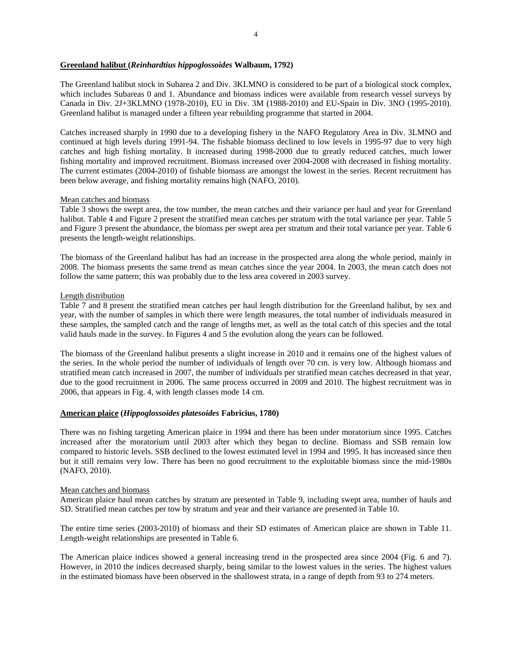## **Greenland halibut (***Reinhardtius hippoglossoides* **Walbaum, 1792)**

The Greenland halibut stock in Subarea 2 and Div. 3KLMNO is considered to be part of a biological stock complex, which includes Subareas 0 and 1. Abundance and biomass indices were available from research vessel surveys by Canada in Div. 2J+3KLMNO (1978-2010), EU in Div. 3M (1988-2010) and EU-Spain in Div. 3NO (1995-2010). Greenland halibut is managed under a fifteen year rebuilding programme that started in 2004.

Catches increased sharply in 1990 due to a developing fishery in the NAFO Regulatory Area in Div. 3LMNO and continued at high levels during 1991-94. The fishable biomass declined to low levels in 1995-97 due to very high catches and high fishing mortality. It increased during 1998-2000 due to greatly reduced catches, much lower fishing mortality and improved recruitment. Biomass increased over 2004-2008 with decreased in fishing mortality. The current estimates (2004-2010) of fishable biomass are amongst the lowest in the series. Recent recruitment has been below average, and fishing mortality remains high (NAFO, 2010).

### Mean catches and biomass

Table 3 shows the swept area, the tow number, the mean catches and their variance per haul and year for Greenland halibut. Table 4 and Figure 2 present the stratified mean catches per stratum with the total variance per year. Table 5 and Figure 3 present the abundance, the biomass per swept area per stratum and their total variance per year. Table 6 presents the length-weight relationships.

The biomass of the Greenland halibut has had an increase in the prospected area along the whole period, mainly in 2008. The biomass presents the same trend as mean catches since the year 2004. In 2003, the mean catch does not follow the same pattern; this was probably due to the less area covered in 2003 survey.

### Length distribution

Table 7 and 8 present the stratified mean catches per haul length distribution for the Greenland halibut, by sex and year, with the number of samples in which there were length measures, the total number of individuals measured in these samples, the sampled catch and the range of lengths met, as well as the total catch of this species and the total valid hauls made in the survey. In Figures 4 and 5 the evolution along the years can be followed.

The biomass of the Greenland halibut presents a slight increase in 2010 and it remains one of the highest values of the series. In the whole period the number of individuals of length over 70 cm. is very low. Although biomass and stratified mean catch increased in 2007, the number of individuals per stratified mean catches decreased in that year, due to the good recruitment in 2006. The same process occurred in 2009 and 2010. The highest recruitment was in 2006, that appears in Fig. 4, with length classes mode 14 cm.

### **American plaice (***Hippoglossoides platesoides* **Fabricius, 1780)**

There was no fishing targeting American plaice in 1994 and there has been under moratorium since 1995. Catches increased after the moratorium until 2003 after which they began to decline. Biomass and SSB remain low compared to historic levels. SSB declined to the lowest estimated level in 1994 and 1995. It has increased since then but it still remains very low. There has been no good recruitment to the exploitable biomass since the mid-1980s (NAFO, 2010).

#### Mean catches and biomass

American plaice haul mean catches by stratum are presented in Table 9, including swept area, number of hauls and SD. Stratified mean catches per tow by stratum and year and their variance are presented in Table 10.

The entire time series (2003-2010) of biomass and their SD estimates of American plaice are shown in Table 11. Length-weight relationships are presented in Table 6.

The American plaice indices showed a general increasing trend in the prospected area since 2004 (Fig. 6 and 7). However, in 2010 the indices decreased sharply, being similar to the lowest values in the series. The highest values in the estimated biomass have been observed in the shallowest strata, in a range of depth from 93 to 274 meters.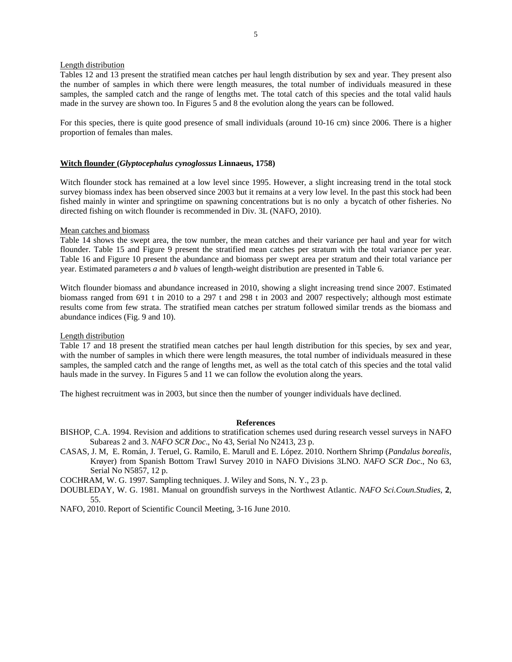## Length distribution

Tables 12 and 13 present the stratified mean catches per haul length distribution by sex and year. They present also the number of samples in which there were length measures, the total number of individuals measured in these samples, the sampled catch and the range of lengths met. The total catch of this species and the total valid hauls made in the survey are shown too. In Figures 5 and 8 the evolution along the years can be followed.

For this species, there is quite good presence of small individuals (around 10-16 cm) since 2006. There is a higher proportion of females than males.

#### **Witch flounder (***Glyptocephalus cynoglossus* **Linnaeus, 1758)**

Witch flounder stock has remained at a low level since 1995. However, a slight increasing trend in the total stock survey biomass index has been observed since 2003 but it remains at a very low level. In the past this stock had been fished mainly in winter and springtime on spawning concentrations but is no only a bycatch of other fisheries. No directed fishing on witch flounder is recommended in Div. 3L (NAFO, 2010).

#### Mean catches and biomass

Table 14 shows the swept area, the tow number, the mean catches and their variance per haul and year for witch flounder. Table 15 and Figure 9 present the stratified mean catches per stratum with the total variance per year. Table 16 and Figure 10 present the abundance and biomass per swept area per stratum and their total variance per year. Estimated parameters *a* and *b* values of length-weight distribution are presented in Table 6.

Witch flounder biomass and abundance increased in 2010, showing a slight increasing trend since 2007. Estimated biomass ranged from 691 t in 2010 to a 297 t and 298 t in 2003 and 2007 respectively; although most estimate results come from few strata. The stratified mean catches per stratum followed similar trends as the biomass and abundance indices (Fig. 9 and 10).

### Length distribution

Table 17 and 18 present the stratified mean catches per haul length distribution for this species, by sex and year, with the number of samples in which there were length measures, the total number of individuals measured in these samples, the sampled catch and the range of lengths met, as well as the total catch of this species and the total valid hauls made in the survey. In Figures 5 and 11 we can follow the evolution along the years.

The highest recruitment was in 2003, but since then the number of younger individuals have declined.

### **References**

- BISHOP, C.A. 1994. Revision and additions to stratification schemes used during research vessel surveys in NAFO Subareas 2 and 3. *NAFO SCR Doc*., No 43, Serial No N2413, 23 p.
- CASAS, J. M, E. Román, J. Teruel, G. Ramilo, E. Marull and E. López. 2010. Northern Shrimp (*Pandalus borealis*, Krøyer) from Spanish Bottom Trawl Survey 2010 in NAFO Divisions 3LNO. *NAFO SCR Doc*., No 63, Serial No N5857, 12 p.

COCHRAM, W. G. 1997. Sampling techniques. J. Wiley and Sons, N. Y., 23 p.

DOUBLEDAY, W. G. 1981. Manual on groundfish surveys in the Northwest Atlantic. *NAFO Sci.Coun.Studies*, **2**, 55.

NAFO, 2010. Report of Scientific Council Meeting, 3-16 June 2010.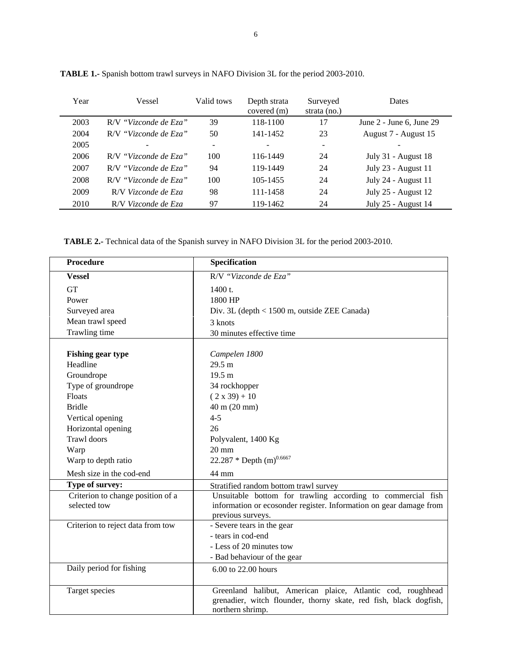| Year | Vessel                | Valid tows | Depth strata<br>covered (m) | Surveyed<br>strata $(no.)$ | Dates                      |
|------|-----------------------|------------|-----------------------------|----------------------------|----------------------------|
| 2003 | R/V "Vizconde de Eza" | 39         | 118-1100                    | 17                         | June $2$ - June 6, June 29 |
| 2004 | R/V "Vizconde de Eza" | 50         | 141-1452                    | 23                         | August 7 - August 15       |
| 2005 |                       | -          |                             | $\overline{\phantom{a}}$   |                            |
| 2006 | R/V "Vizconde de Eza" | 100        | 116-1449                    | 24                         | July 31 - August 18        |
| 2007 | R/V "Vizconde de Eza" | 94         | 119-1449                    | 24                         | July 23 - August 11        |
| 2008 | R/V "Vizconde de Eza" | 100        | 105-1455                    | 24                         | July 24 - August 11        |
| 2009 | R/V Vizconde de Eza   | 98         | 111-1458                    | 24                         | July $25$ - August 12      |
| 2010 | R/V Vizconde de Eza   | 97         | 119-1462                    | 24                         | July 25 - August 14        |

**TABLE 1.-** Spanish bottom trawl surveys in NAFO Division 3L for the period 2003-2010.

**TABLE 2.-** Technical data of the Spanish survey in NAFO Division 3L for the period 2003-2010.

| Procedure                                         | Specification                                                                                                                                          |
|---------------------------------------------------|--------------------------------------------------------------------------------------------------------------------------------------------------------|
| <b>Vessel</b>                                     | R/V "Vizconde de Eza"                                                                                                                                  |
| <b>GT</b>                                         | 1400 t.                                                                                                                                                |
| Power                                             | 1800 HP                                                                                                                                                |
| Surveyed area                                     | Div. 3L (depth < 1500 m, outside ZEE Canada)                                                                                                           |
| Mean trawl speed                                  | 3 knots                                                                                                                                                |
| Trawling time                                     | 30 minutes effective time                                                                                                                              |
| <b>Fishing gear type</b>                          | Campelen 1800                                                                                                                                          |
| Headline                                          | 29.5 m                                                                                                                                                 |
| Groundrope                                        | 19.5 <sub>m</sub>                                                                                                                                      |
| Type of groundrope                                | 34 rockhopper                                                                                                                                          |
| <b>Floats</b>                                     | $(2 x 39) + 10$                                                                                                                                        |
| <b>Bridle</b>                                     | 40 m (20 mm)                                                                                                                                           |
| Vertical opening                                  | $4 - 5$                                                                                                                                                |
| Horizontal opening                                | 26                                                                                                                                                     |
| <b>Trawl</b> doors                                | Polyvalent, 1400 Kg                                                                                                                                    |
| Warp                                              | $20 \text{ mm}$                                                                                                                                        |
| Warp to depth ratio                               | 22.287 * Depth $(m)^{0.6667}$                                                                                                                          |
| Mesh size in the cod-end                          | 44 mm                                                                                                                                                  |
| Type of survey:                                   | Stratified random bottom trawl survey                                                                                                                  |
| Criterion to change position of a<br>selected tow | Unsuitable bottom for trawling according to commercial fish<br>information or ecosonder register. Information on gear damage from<br>previous surveys. |
| Criterion to reject data from tow                 | - Severe tears in the gear                                                                                                                             |
|                                                   | - tears in cod-end                                                                                                                                     |
|                                                   | - Less of 20 minutes tow                                                                                                                               |
|                                                   | - Bad behaviour of the gear                                                                                                                            |
| Daily period for fishing                          | 6.00 to 22.00 hours                                                                                                                                    |
| Target species                                    | Greenland halibut, American plaice, Atlantic cod, roughhead<br>grenadier, witch flounder, thorny skate, red fish, black dogfish,<br>northern shrimp.   |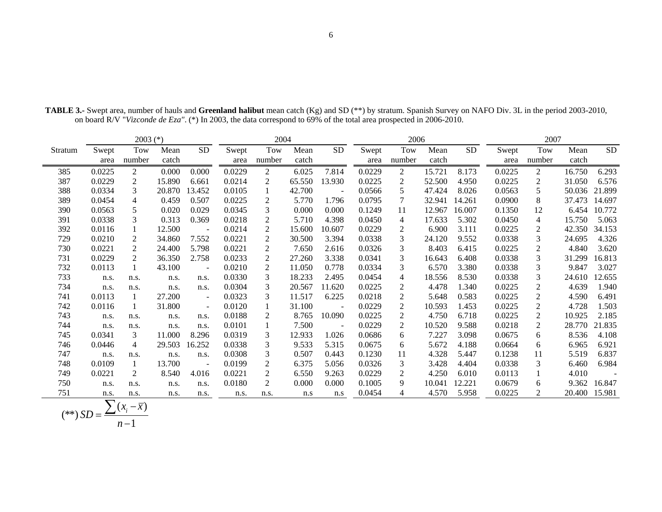|         |        | $2003$ (*)     |        |                          |        | 2004           |        |           |        | 2006           |        |           |        | 2007           |        |               |
|---------|--------|----------------|--------|--------------------------|--------|----------------|--------|-----------|--------|----------------|--------|-----------|--------|----------------|--------|---------------|
| Stratum | Swept  | Tow            | Mean   | <b>SD</b>                | Swept  | Tow            | Mean   | <b>SD</b> | Swept  | Tow            | Mean   | <b>SD</b> | Swept  | Tow            | Mean   | <b>SD</b>     |
|         | area   | number         | catch  |                          | area   | number         | catch  |           | area   | number         | catch  |           | area   | number         | catch  |               |
| 385     | 0.0225 | 2              | 0.000  | 0.000                    | 0.0229 | 2              | 6.025  | 7.814     | 0.0229 | 2              | 15.721 | 8.173     | 0.0225 | $\overline{2}$ | 16.750 | 6.293         |
| 387     | 0.0229 | 2              | 15.890 | 6.661                    | 0.0214 | 2              | 65.550 | 13.930    | 0.0225 | 2              | 52.500 | 4.950     | 0.0225 | 2              | 31.050 | 6.576         |
| 388     | 0.0334 | 3              | 20.870 | 13.452                   | 0.0105 |                | 42.700 |           | 0.0566 | 5              | 47.424 | 8.026     | 0.0563 | 5              | 50.036 | 21.899        |
| 389     | 0.0454 | 4              | 0.459  | 0.507                    | 0.0225 | $\overline{2}$ | 5.770  | 1.796     | 0.0795 | 7              | 32.941 | 14.261    | 0.0900 | 8              | 37.473 | 14.697        |
| 390     | 0.0563 | 5              | 0.020  | 0.029                    | 0.0345 | 3              | 0.000  | 0.000     | 0.1249 | 11             | 12.967 | 16.007    | 0.1350 | 12             | 6.454  | 10.772        |
| 391     | 0.0338 | 3              | 0.313  | 0.369                    | 0.0218 | $\overline{2}$ | 5.710  | 4.398     | 0.0450 | 4              | 17.633 | 5.302     | 0.0450 | 4              | 15.750 | 5.063         |
| 392     | 0.0116 | $\mathbf{1}$   | 12.500 | $\overline{\phantom{a}}$ | 0.0214 | $\overline{2}$ | 15.600 | 10.607    | 0.0229 | $\overline{c}$ | 6.900  | 3.111     | 0.0225 | $\overline{c}$ | 42.350 | 34.153        |
| 729     | 0.0210 | 2              | 34.860 | 7.552                    | 0.0221 | 2              | 30.500 | 3.394     | 0.0338 | 3              | 24.120 | 9.552     | 0.0338 | 3              | 24.695 | 4.326         |
| 730     | 0.0221 | $\overline{2}$ | 24.400 | 5.798                    | 0.0221 | $\overline{2}$ | 7.650  | 2.616     | 0.0326 | 3              | 8.403  | 6.415     | 0.0225 | $\overline{2}$ | 4.840  | 3.620         |
| 731     | 0.0229 | 2              | 36.350 | 2.758                    | 0.0233 | $\overline{2}$ | 27.260 | 3.338     | 0.0341 | 3              | 16.643 | 6.408     | 0.0338 | 3              | 31.299 | 16.813        |
| 732     | 0.0113 | 1              | 43.100 | $\sim$                   | 0.0210 | $\overline{2}$ | 11.050 | 0.778     | 0.0334 | 3              | 6.570  | 3.380     | 0.0338 | 3              | 9.847  | 3.027         |
| 733     | n.s.   | n.s.           | n.s.   | n.s.                     | 0.0330 | 3              | 18.233 | 2.495     | 0.0454 | 4              | 18.556 | 8.530     | 0.0338 | 3              | 24.610 | 12.655        |
| 734     | n.s.   | n.s.           | n.s.   | n.s.                     | 0.0304 | 3              | 20.567 | 11.620    | 0.0225 | 2              | 4.478  | 1.340     | 0.0225 | $\overline{2}$ | 4.639  | 1.940         |
| 741     | 0.0113 |                | 27.200 | $\blacksquare$           | 0.0323 | 3              | 11.517 | 6.225     | 0.0218 | 2              | 5.648  | 0.583     | 0.0225 | $\overline{c}$ | 4.590  | 6.491         |
| 742     | 0.0116 | 1              | 31.800 | $\overline{\phantom{a}}$ | 0.0120 |                | 31.100 |           | 0.0229 | $\overline{c}$ | 10.593 | 1.453     | 0.0225 | $\overline{c}$ | 4.728  | 1.503         |
| 743     | n.s.   | n.s.           | n.s.   | n.s.                     | 0.0188 | 2              | 8.765  | 10.090    | 0.0225 | $\overline{c}$ | 4.750  | 6.718     | 0.0225 | $\overline{2}$ | 10.925 | 2.185         |
| 744     | n.s.   | n.s.           | n.s.   | n.s.                     | 0.0101 |                | 7.500  |           | 0.0229 | 2              | 10.520 | 9.588     | 0.0218 | $\overline{2}$ | 28.770 | 21.835        |
| 745     | 0.0341 | 3              | 11.000 | 8.296                    | 0.0319 | 3              | 12.933 | 1.026     | 0.0686 | 6              | 7.227  | 3.098     | 0.0675 | 6              | 8.536  | 4.108         |
| 746     | 0.0446 | 4              | 29.503 | 16.252                   | 0.0338 | 3              | 9.533  | 5.315     | 0.0675 | 6              | 5.672  | 4.188     | 0.0664 | 6              | 6.965  | 6.921         |
| 747     | n.s.   | n.s.           | n.s.   | n.s.                     | 0.0308 | 3              | 0.507  | 0.443     | 0.1230 | 11             | 4.328  | 5.447     | 0.1238 | 11             | 5.519  | 6.837         |
| 748     | 0.0109 | $\mathbf{1}$   | 13.700 | $\blacksquare$           | 0.0199 | 2              | 6.375  | 5.056     | 0.0326 | 3              | 3.428  | 4.404     | 0.0338 | 3              | 6.460  | 6.984         |
| 749     | 0.0221 | 2              | 8.540  | 4.016                    | 0.0221 | $\mathbf{2}$   | 6.550  | 9.263     | 0.0229 | 2              | 4.250  | 6.010     | 0.0113 |                | 4.010  |               |
| 750     | n.s.   | n.s.           | n.s.   | n.s.                     | 0.0180 | $\overline{2}$ | 0.000  | 0.000     | 0.1005 | 9              | 10.041 | 12.221    | 0.0679 | 6              | 9.362  | 16.847        |
| 751     | n.s.   | n.s.           | n.s.   | n.s.                     | n.s.   | n.s.           | n.s    | n.s       | 0.0454 | 4              | 4.570  | 5.958     | 0.0225 | $\mathfrak{D}$ |        | 20.400 15.981 |

**TABLE 3.-** Swept area, number of hauls and **Greenland halibut** mean catch (Kg) and SD (\*\*) by stratum. Spanish Survey on NAFO Div. 3L in the period 2003-2010, on board R/V "*Vizconde de Eza"*. (\*) In 2003, the data correspond to 69% of the total area prospected in 2006-2010.

$$
(**) SD = \frac{\sum (x_i - \overline{x})}{n-1}
$$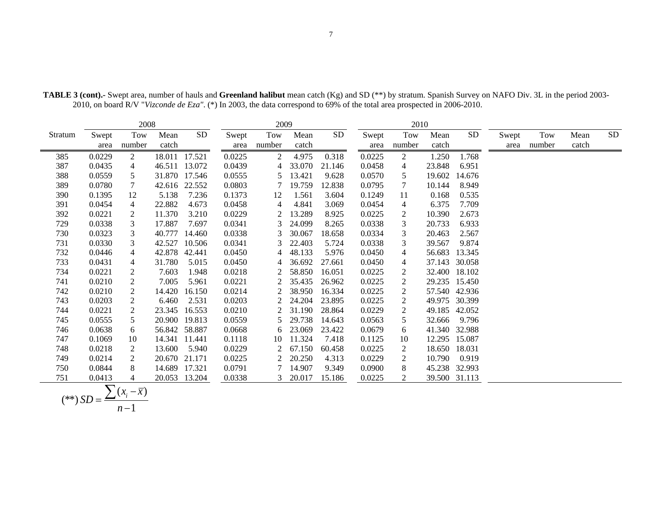|         | 2008                     |                |        |           |        | 2009   |        |        |        | 2010           |               |               |       |        |       |    |
|---------|--------------------------|----------------|--------|-----------|--------|--------|--------|--------|--------|----------------|---------------|---------------|-------|--------|-------|----|
| Stratum | Swept                    | Tow            | Mean   | <b>SD</b> | Swept  | Tow    | Mean   | SD     | Swept  | Tow            | Mean          | SD            | Swept | Tow    | Mean  | SD |
|         | area                     | number         | catch  |           | area   | number | catch  |        | area   | number         | catch         |               | area  | number | catch |    |
| 385     | 0.0229                   | 2              | 18.011 | 17.521    | 0.0225 | 2      | 4.975  | 0.318  | 0.0225 | 2              | 1.250         | 1.768         |       |        |       |    |
| 387     | 0.0435                   | 4              | 46.511 | 13.072    | 0.0439 | 4      | 33.070 | 21.146 | 0.0458 | 4              | 23.848        | 6.951         |       |        |       |    |
| 388     | 0.0559                   | 5              | 31.870 | 17.546    | 0.0555 | 5      | 13.421 | 9.628  | 0.0570 | 5              | 19.602        | 14.676        |       |        |       |    |
| 389     | 0.0780                   | 7              | 42.616 | 22.552    | 0.0803 | 7      | 19.759 | 12.838 | 0.0795 | 7              | 10.144        | 8.949         |       |        |       |    |
| 390     | 0.1395                   | 12             | 5.138  | 7.236     | 0.1373 | 12     | 1.561  | 3.604  | 0.1249 | 11             | 0.168         | 0.535         |       |        |       |    |
| 391     | 0.0454                   | $\overline{4}$ | 22.882 | 4.673     | 0.0458 | 4      | 4.841  | 3.069  | 0.0454 | 4              | 6.375         | 7.709         |       |        |       |    |
| 392     | 0.0221                   | $\overline{2}$ | 11.370 | 3.210     | 0.0229 | 2      | 13.289 | 8.925  | 0.0225 | $\overline{c}$ | 10.390        | 2.673         |       |        |       |    |
| 729     | 0.0338                   | 3              | 17.887 | 7.697     | 0.0341 | 3      | 24.099 | 8.265  | 0.0338 | 3              | 20.733        | 6.933         |       |        |       |    |
| 730     | 0.0323                   | 3              | 40.777 | 14.460    | 0.0338 | 3      | 30.067 | 18.658 | 0.0334 | 3              | 20.463        | 2.567         |       |        |       |    |
| 731     | 0.0330                   | 3              | 42.527 | 10.506    | 0.0341 | 3      | 22.403 | 5.724  | 0.0338 | 3              | 39.567        | 9.874         |       |        |       |    |
| 732     | 0.0446                   | 4              | 42.878 | 42.441    | 0.0450 | 4      | 48.133 | 5.976  | 0.0450 | $\overline{4}$ | 56.683        | 13.345        |       |        |       |    |
| 733     | 0.0431                   | 4              | 31.780 | 5.015     | 0.0450 | 4      | 36.692 | 27.661 | 0.0450 | 4              | 37.143        | 30.058        |       |        |       |    |
| 734     | 0.0221                   | $\overline{c}$ | 7.603  | 1.948     | 0.0218 | 2      | 58.850 | 16.051 | 0.0225 | $\overline{c}$ | 32.400        | 18.102        |       |        |       |    |
| 741     | 0.0210                   | $\overline{c}$ | 7.005  | 5.961     | 0.0221 |        | 35.435 | 26.962 | 0.0225 | 2              |               | 29.235 15.450 |       |        |       |    |
| 742     | 0.0210                   | $\sqrt{2}$     | 14.420 | 16.150    | 0.0214 | 2      | 38.950 | 16.334 | 0.0225 | $\overline{c}$ |               | 57.540 42.936 |       |        |       |    |
| 743     | 0.0203                   | $\overline{c}$ | 6.460  | 2.531     | 0.0203 | 2      | 24.204 | 23.895 | 0.0225 | $\overline{c}$ |               | 49.975 30.399 |       |        |       |    |
| 744     | 0.0221                   | 2              | 23.345 | 16.553    | 0.0210 |        | 31.190 | 28.864 | 0.0229 | 2              |               | 49.185 42.052 |       |        |       |    |
| 745     | 0.0555                   | 5              | 20.900 | 19.813    | 0.0559 | 5      | 29.738 | 14.643 | 0.0563 | 5              | 32.666        | 9.796         |       |        |       |    |
| 746     | 0.0638                   | 6              | 56.842 | 58.887    | 0.0668 | 6      | 23.069 | 23.422 | 0.0679 | 6              | 41.340 32.988 |               |       |        |       |    |
| 747     | 0.1069                   | 10             | 14.341 | 11.441    | 0.1118 | 10     | 11.324 | 7.418  | 0.1125 | 10             |               | 12.295 15.087 |       |        |       |    |
| 748     | 0.0218                   | $\overline{c}$ | 13.600 | 5.940     | 0.0229 |        | 67.150 | 60.458 | 0.0225 | $\overline{c}$ | 18.650        | 18.031        |       |        |       |    |
| 749     | 0.0214                   | $\overline{c}$ | 20.670 | 21.171    | 0.0225 | 2      | 20.250 | 4.313  | 0.0229 | $\overline{c}$ | 10.790        | 0.919         |       |        |       |    |
| 750     | 0.0844                   | 8              | 14.689 | 17.321    | 0.0791 |        | 14.907 | 9.349  | 0.0900 | 8              |               | 45.238 32.993 |       |        |       |    |
| 751     | 0.0413                   | $\overline{4}$ | 20.053 | 13.204    | 0.0338 | 3      | 20.017 | 15.186 | 0.0225 | 2              |               | 39.500 31.113 |       |        |       |    |
|         | $\overline{\phantom{0}}$ |                |        |           |        |        |        |        |        |                |               |               |       |        |       |    |

**TABLE 3 (cont).-** Swept area, number of hauls and **Greenland halibut** mean catch (Kg) and SD (\*\*) by stratum. Spanish Survey on NAFO Div. 3L in the period 2003- 2010, on board R/V "*Vizconde de Eza"*. (\*) In 2003, the data correspond to 69% of the total area prospected in 2006-2010.

$$
(**) SD = \frac{\sum (x_i - \overline{x})}{n-1}
$$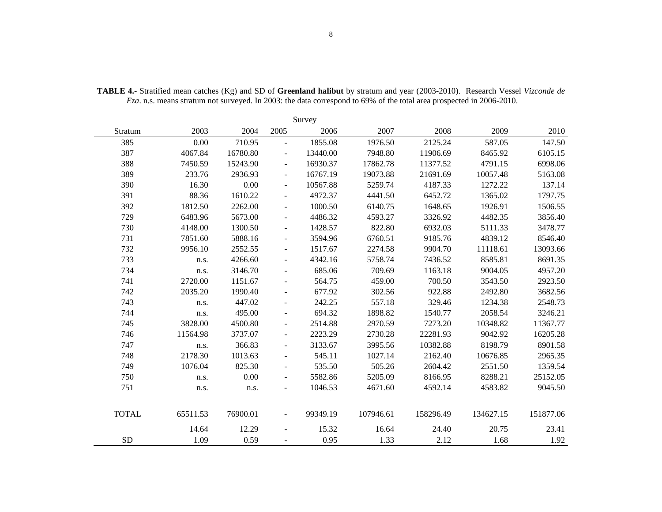|              | Survey   |          |                          |          |           |           |           |           |  |  |  |  |  |  |
|--------------|----------|----------|--------------------------|----------|-----------|-----------|-----------|-----------|--|--|--|--|--|--|
| Stratum      | 2003     | 2004     | 2005                     | 2006     | 2007      | 2008      | 2009      | 2010      |  |  |  |  |  |  |
| 385          | 0.00     | 710.95   | $\overline{\phantom{a}}$ | 1855.08  | 1976.50   | 2125.24   | 587.05    | 147.50    |  |  |  |  |  |  |
| 387          | 4067.84  | 16780.80 | $\overline{\phantom{a}}$ | 13440.00 | 7948.80   | 11906.69  | 8465.92   | 6105.15   |  |  |  |  |  |  |
| 388          | 7450.59  | 15243.90 | $\overline{\phantom{a}}$ | 16930.37 | 17862.78  | 11377.52  | 4791.15   | 6998.06   |  |  |  |  |  |  |
| 389          | 233.76   | 2936.93  | $\blacksquare$           | 16767.19 | 19073.88  | 21691.69  | 10057.48  | 5163.08   |  |  |  |  |  |  |
| 390          | 16.30    | 0.00     | $\blacksquare$           | 10567.88 | 5259.74   | 4187.33   | 1272.22   | 137.14    |  |  |  |  |  |  |
| 391          | 88.36    | 1610.22  | $\blacksquare$           | 4972.37  | 4441.50   | 6452.72   | 1365.02   | 1797.75   |  |  |  |  |  |  |
| 392          | 1812.50  | 2262.00  | $\overline{\phantom{a}}$ | 1000.50  | 6140.75   | 1648.65   | 1926.91   | 1506.55   |  |  |  |  |  |  |
| 729          | 6483.96  | 5673.00  | $\overline{\phantom{a}}$ | 4486.32  | 4593.27   | 3326.92   | 4482.35   | 3856.40   |  |  |  |  |  |  |
| 730          | 4148.00  | 1300.50  | $\blacksquare$           | 1428.57  | 822.80    | 6932.03   | 5111.33   | 3478.77   |  |  |  |  |  |  |
| 731          | 7851.60  | 5888.16  | $\blacksquare$           | 3594.96  | 6760.51   | 9185.76   | 4839.12   | 8546.40   |  |  |  |  |  |  |
| 732          | 9956.10  | 2552.55  | $\blacksquare$           | 1517.67  | 2274.58   | 9904.70   | 11118.61  | 13093.66  |  |  |  |  |  |  |
| 733          | n.s.     | 4266.60  | $\overline{\phantom{a}}$ | 4342.16  | 5758.74   | 7436.52   | 8585.81   | 8691.35   |  |  |  |  |  |  |
| 734          | n.s.     | 3146.70  |                          | 685.06   | 709.69    | 1163.18   | 9004.05   | 4957.20   |  |  |  |  |  |  |
| 741          | 2720.00  | 1151.67  | $\overline{\phantom{a}}$ | 564.75   | 459.00    | 700.50    | 3543.50   | 2923.50   |  |  |  |  |  |  |
| 742          | 2035.20  | 1990.40  | $\blacksquare$           | 677.92   | 302.56    | 922.88    | 2492.80   | 3682.56   |  |  |  |  |  |  |
| 743          | n.s.     | 447.02   |                          | 242.25   | 557.18    | 329.46    | 1234.38   | 2548.73   |  |  |  |  |  |  |
| 744          | n.s.     | 495.00   | $\blacksquare$           | 694.32   | 1898.82   | 1540.77   | 2058.54   | 3246.21   |  |  |  |  |  |  |
| 745          | 3828.00  | 4500.80  | $\blacksquare$           | 2514.88  | 2970.59   | 7273.20   | 10348.82  | 11367.77  |  |  |  |  |  |  |
| 746          | 11564.98 | 3737.07  | $\overline{\phantom{a}}$ | 2223.29  | 2730.28   | 22281.93  | 9042.92   | 16205.28  |  |  |  |  |  |  |
| 747          | n.s.     | 366.83   | $\overline{\phantom{a}}$ | 3133.67  | 3995.56   | 10382.88  | 8198.79   | 8901.58   |  |  |  |  |  |  |
| 748          | 2178.30  | 1013.63  | $\blacksquare$           | 545.11   | 1027.14   | 2162.40   | 10676.85  | 2965.35   |  |  |  |  |  |  |
| 749          | 1076.04  | 825.30   | $\blacksquare$           | 535.50   | 505.26    | 2604.42   | 2551.50   | 1359.54   |  |  |  |  |  |  |
| 750          | n.s.     | 0.00     |                          | 5582.86  | 5205.09   | 8166.95   | 8288.21   | 25152.05  |  |  |  |  |  |  |
| 751          | n.s.     | n.s.     | $\overline{\phantom{a}}$ | 1046.53  | 4671.60   | 4592.14   | 4583.82   | 9045.50   |  |  |  |  |  |  |
|              |          |          |                          |          |           |           |           |           |  |  |  |  |  |  |
| <b>TOTAL</b> | 65511.53 | 76900.01 | $\overline{\phantom{a}}$ | 99349.19 | 107946.61 | 158296.49 | 134627.15 | 151877.06 |  |  |  |  |  |  |
|              | 14.64    | 12.29    | $\blacksquare$           | 15.32    | 16.64     | 24.40     | 20.75     | 23.41     |  |  |  |  |  |  |
| <b>SD</b>    | 1.09     | 0.59     | $\blacksquare$           | 0.95     | 1.33      | 2.12      | 1.68      | 1.92      |  |  |  |  |  |  |

**TABLE 4.-** Stratified mean catches (Kg) and SD of **Greenland halibut** by stratum and year (2003-2010). Research Vessel *Vizconde de Eza*. n.s. means stratum not surveyed. In 2003: the data correspond to 69% of the total area prospected in 2006-2010.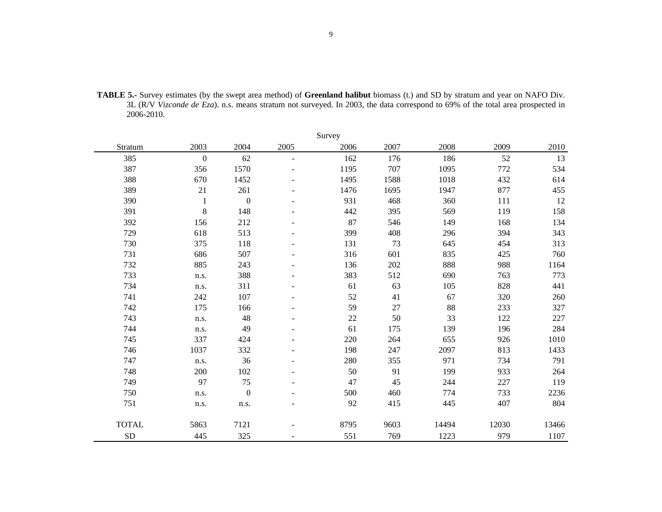|              |                  |                  |                          | Survey |      |       |       |       |
|--------------|------------------|------------------|--------------------------|--------|------|-------|-------|-------|
| Stratum      | 2003             | 2004             | 2005                     | 2006   | 2007 | 2008  | 2009  | 2010  |
| 385          | $\boldsymbol{0}$ | 62               | $\overline{\phantom{a}}$ | 162    | 176  | 186   | 52    | 13    |
| 387          | 356              | 1570             |                          | 1195   | 707  | 1095  | 772   | 534   |
| 388          | 670              | 1452             |                          | 1495   | 1588 | 1018  | 432   | 614   |
| 389          | 21               | 261              |                          | 1476   | 1695 | 1947  | 877   | 455   |
| 390          | $\mathbf{1}$     | $\boldsymbol{0}$ |                          | 931    | 468  | 360   | 111   | 12    |
| 391          | $\,8\,$          | 148              |                          | 442    | 395  | 569   | 119   | 158   |
| 392          | 156              | 212              |                          | 87     | 546  | 149   | 168   | 134   |
| 729          | 618              | 513              |                          | 399    | 408  | 296   | 394   | 343   |
| 730          | 375              | 118              |                          | 131    | 73   | 645   | 454   | 313   |
| 731          | 686              | 507              |                          | 316    | 601  | 835   | 425   | 760   |
| 732          | 885              | 243              |                          | 136    | 202  | 888   | 988   | 1164  |
| 733          | n.s.             | 388              |                          | 383    | 512  | 690   | 763   | 773   |
| 734          | n.s.             | 311              |                          | 61     | 63   | 105   | 828   | 441   |
| 741          | 242              | 107              | $\blacksquare$           | 52     | 41   | 67    | 320   | 260   |
| 742          | 175              | 166              | $\overline{\phantom{a}}$ | 59     | 27   | 88    | 233   | 327   |
| 743          | n.s.             | 48               |                          | $22\,$ | 50   | 33    | 122   | 227   |
| 744          | n.s.             | 49               |                          | 61     | 175  | 139   | 196   | 284   |
| 745          | 337              | 424              | $\qquad \qquad -$        | 220    | 264  | 655   | 926   | 1010  |
| 746          | 1037             | 332              |                          | 198    | 247  | 2097  | 813   | 1433  |
| 747          | n.s.             | 36               |                          | 280    | 355  | 971   | 734   | 791   |
| 748          | 200              | 102              |                          | 50     | 91   | 199   | 933   | 264   |
| 749          | 97               | 75               |                          | 47     | 45   | 244   | 227   | 119   |
| 750          | n.s.             | $\boldsymbol{0}$ |                          | 500    | 460  | 774   | 733   | 2236  |
| 751          | n.s.             | n.s.             |                          | 92     | 415  | 445   | 407   | 804   |
| <b>TOTAL</b> | 5863             | 7121             |                          | 8795   | 9603 | 14494 | 12030 | 13466 |
| <b>SD</b>    | 445              | 325              |                          | 551    | 769  | 1223  | 979   | 1107  |

**TABLE 5.-** Survey estimates (by the swept area method) of **Greenland halibut** biomass (t.) and SD by stratum and year on NAFO Div. 3L (R/V *Vizconde de Eza*). n.s. means stratum not surveyed. In 2003, the data correspond to 69% of the total area prospected in 2006-2010.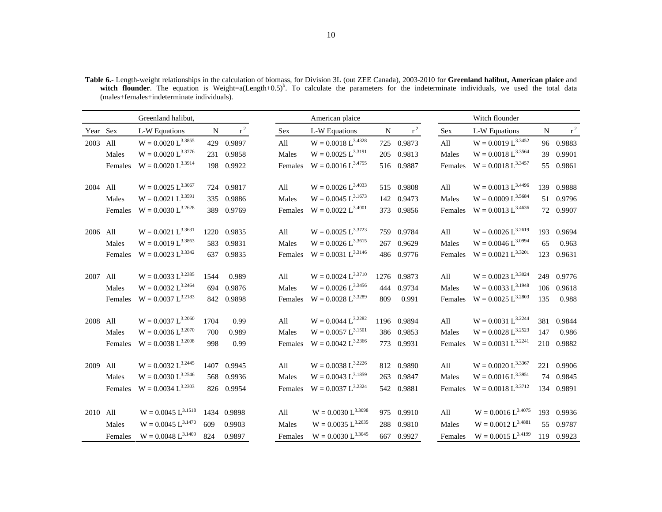|          |         | Greenland halibut,      |      |             |         | American plaice           |           |             |         | Witch flounder          |     |            |
|----------|---------|-------------------------|------|-------------|---------|---------------------------|-----------|-------------|---------|-------------------------|-----|------------|
| Year Sex |         | L-W Equations           | N    | $r^2$       | Sex     | L-W Equations             | ${\bf N}$ | $r^2$       | Sex     | L-W Equations           | N   | $r^2$      |
| 2003 All |         | $W = 0.0020 L^{3.3855}$ | 429  | 0.9897      | All     | $\rm W=0.0018~L^{3.4328}$ |           | 725 0.9873  | All     | $W = 0.0019 L^{3.3452}$ |     | 96 0.9883  |
|          | Males   | $W = 0.0020 L^{3.3776}$ |      | 231 0.9858  | Males   | $W = 0.0025 L^{3.3191}$   |           | 205 0.9813  | Males   | $W = 0.0018 L^{3.3564}$ | 39  | 0.9901     |
|          | Females | $W = 0.0020 L^{3.3914}$ |      | 198 0.9922  | Females | $W = 0.0016 L^{3.4755}$   |           | 516 0.9887  | Females | $W = 0.0018 L^{3.3457}$ |     | 55 0.9861  |
|          |         |                         |      |             |         |                           |           |             |         |                         |     |            |
| 2004     | All     | $W = 0.0025 L^{3.3067}$ |      | 724 0.9817  | All     | $W = 0.0026 L^{3.4033}$   |           | 515 0.9808  | All     | $W = 0.0013 L^{3.4496}$ |     | 139 0.9888 |
|          | Males   | $W = 0.0021 L^{3.3591}$ |      | 335 0.9886  | Males   | $W = 0.0045 L^{3.1673}$   |           | 142 0.9473  | Males   | $W = 0.0009 L^{3.5684}$ |     | 51 0.9796  |
|          | Females | $W = 0.0030 L^{3.2628}$ |      | 389 0.9769  | Females | $W = 0.0022 L^{3.4001}$   |           | 373 0.9856  | Females | $W = 0.0013 L^{3.4636}$ |     | 72 0.9907  |
|          |         |                         |      |             |         |                           |           |             |         |                         |     |            |
| 2006 All |         | $W = 0.0021 L^{3.3631}$ |      | 1220 0.9835 | All     | $W = 0.0025 L^{3.3723}$   |           | 759 0.9784  | All     | $W = 0.0026 L^{3.2619}$ |     | 193 0.9694 |
|          | Males   | $W = 0.0019 L^{3.3863}$ |      | 583 0.9831  | Males   | $W = 0.0026 L^{3.3615}$   |           | 267 0.9629  | Males   | $W = 0.0046 L^{3.0994}$ | 65  | 0.963      |
|          | Females | $W = 0.0023 L^{3.3342}$ |      | 637 0.9835  | Females | $W = 0.0031 L^{3.3146}$   |           | 486 0.9776  | Females | $W = 0.0021 L^{3.3201}$ |     | 123 0.9631 |
|          |         |                         |      |             |         |                           |           |             |         |                         |     |            |
| 2007     | All     | $W = 0.0033 L^{3.2385}$ | 1544 | 0.989       | All     | $W = 0.0024 L^{3.3710}$   |           | 1276 0.9873 | All     | $W = 0.0023 L^{3.3024}$ |     | 249 0.9776 |
|          | Males   | $W = 0.0032 L^{3.2464}$ |      | 694 0.9876  | Males   | $W = 0.0026 L^{3.3456}$   |           | 444 0.9734  | Males   | $W = 0.0033 L^{3.1948}$ |     | 106 0.9618 |
|          | Females | $W = 0.0037 L^{3.2183}$ |      | 842 0.9898  | Females | $W = 0.0028 L^{3.3289}$   | 809       | 0.991       | Females | $W = 0.0025 L^{3.2803}$ | 135 | 0.988      |
|          |         |                         |      |             |         |                           |           |             |         |                         |     |            |
| 2008 All |         | $W = 0.0037 L^{3.2060}$ | 1704 | 0.99        | All     | $W = 0.0044 L^{3.2282}$   |           | 1196 0.9894 | All     | $W = 0.0031 L^{3.2244}$ |     | 381 0.9844 |
|          | Males   | $W = 0.0036 L^{3.2070}$ | 700  | 0.989       | Males   | $W = 0.0057 L^{3.1501}$   |           | 386 0.9853  | Males   | $W = 0.0028 L^{3.2523}$ | 147 | 0.986      |
|          | Females | $W = 0.0038 L^{3.2008}$ | 998  | 0.99        | Females | $W = 0.0042 L^{3.2366}$   |           | 773 0.9931  | Females | $W = 0.0031 L^{3.2241}$ |     | 210 0.9882 |
| 2009 All |         | $W = 0.0032 L^{3.2445}$ |      | 1407 0.9945 | All     | $W = 0.0038 L^{3.2226}$   |           | 812 0.9890  | All     | $W = 0.0020 L^{3.3367}$ |     | 221 0.9906 |
|          |         | $W = 0.0030~L^{3.2546}$ |      | 568 0.9936  |         | $W = 0.0043 L^{3.1859}$   |           | 263 0.9847  | Males   | $W = 0.0016 L^{3.3951}$ |     | 74 0.9845  |
|          | Males   |                         |      |             | Males   |                           |           |             |         |                         |     |            |
|          | Females | $W = 0.0034 L^{3.2303}$ |      | 826 0.9954  | Females | $W = 0.0037 L^{3.2324}$   |           | 542 0.9881  | Females | $W = 0.0018 L^{3.3712}$ |     | 134 0.9891 |
|          |         |                         |      |             |         |                           |           |             |         |                         |     |            |
| 2010 All |         | $W = 0.0045 L^{3.1518}$ |      | 1434 0.9898 | All     | $W = 0.0030 L^{3.3098}$   | 975       | 0.9910      | All     | $W = 0.0016 L^{3.4075}$ |     | 193 0.9936 |
|          | Males   | $W = 0.0045 L^{3.1470}$ | 609  | 0.9903      | Males   | $W = 0.0035 L^{3.2635}$   | 288       | 0.9810      | Males   | $W = 0.0012 L^{3.4881}$ | 55  | 0.9787     |
|          | Females | $W = 0.0048 L^{3.1409}$ | 824  | 0.9897      | Females | $W = 0.0030 L^{3.3045}$   |           | 667 0.9927  | Females | $W = 0.0015 L^{3.4199}$ |     | 119 0.9923 |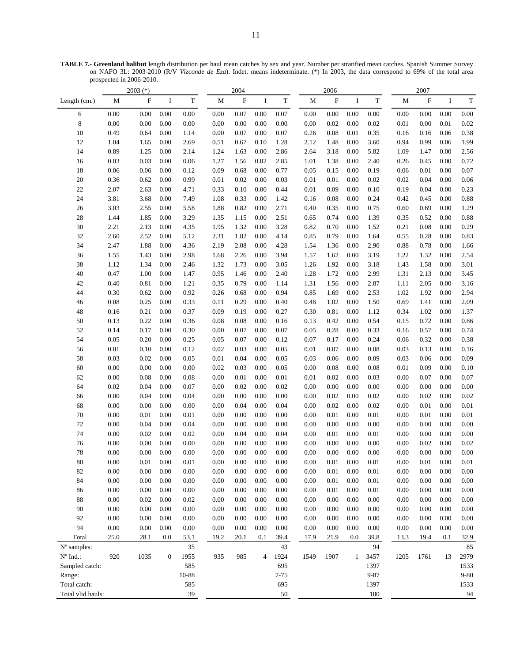**TABLE 7.- Greenland halibut** length distribution per haul mean catches by sex and year. Number per stratified mean catches. Spanish Summer Survey on NAFO 3L: 2003-2010 (R/V *Vizconde de Eza*). Indet. means indeterminate. (\*) In 2003, the data correspond to 69% of the total area prospected in 2006-2010.

| $\mathbf F$<br>$\mathbf T$<br>$\mathbf F$<br>$\mathbf T$<br>${\bf F}$<br>$\boldsymbol{\mathrm{F}}$<br>${\bf T}$<br>I<br>I<br>$\bf{I}$<br>$\mathbf T$<br>$\rm I$<br>М<br>М<br>M<br>M<br>Length (cm.)<br>$0.00\,$<br>0.00<br>0.00<br>$0.00\,$<br>0.00<br>0.07<br>$0.07\,$<br>0.00<br>0.00<br>$0.00\,$<br>$0.00\,$<br>$0.00\,$<br>$0.00\,$<br>6<br>0.00<br>0.00<br>0.00<br>8<br>$0.00\,$<br>0.00<br>0.02<br>0.00<br>0.02<br>0.00<br>0.00<br>0.00<br>0.00<br>0.00<br>0.00<br>0.00<br>0.00<br>0.02<br>0.01<br>0.01<br>10<br>0.49<br>0.64<br>$0.00\,$<br>1.14<br>0.00<br>0.07<br>0.08<br>0.16<br>0.06<br>0.38<br>0.00<br>0.07<br>0.26<br>0.01<br>0.35<br>0.16<br>0.99<br>0.06<br>1.99<br>12<br>1.04<br>1.65<br>0.00<br>2.69<br>0.67<br>0.10<br>1.28<br>2.12<br>1.48<br>0.00<br>3.60<br>0.94<br>0.51<br>0.89<br>1.25<br>0.00<br>2.64<br>3.18<br>$0.00\,$<br>14<br>2.14<br>1.24<br>1.63<br>0.00<br>2.86<br>0.00<br>5.82<br>1.09<br>1.47<br>2.56<br>0.03<br>0.03<br>0.72<br>16<br>0.00<br>0.06<br>1.27<br>1.56<br>0.02<br>2.85<br>1.01<br>1.38<br>0.00<br>2.40<br>0.26<br>0.45<br>0.00<br>18<br>0.06<br>0.06<br>0.00<br>0.12<br>0.09<br>0.68<br>0.00<br>0.05<br>0.15<br>0.00<br>0.01<br>0.00<br>0.07<br>0.77<br>0.19<br>0.06<br>20<br>0.62<br>0.99<br>0.02<br>$0.01\,$<br>$0.01\,$<br>0.02<br>0.04<br>0.06<br>0.36<br>0.00<br>0.01<br>0.00<br>0.03<br>0.00<br>0.02<br>0.00<br>22<br>2.07<br>2.63<br>$0.01\,$<br>0.09<br>0.00<br>4.71<br>0.33<br>0.10<br>0.00<br>0.44<br>0.00<br>0.10<br>0.19<br>0.04<br>0.00<br>0.23<br>24<br>3.81<br>3.68<br>0.00<br>7.49<br>0.33<br>0.00<br>0.16<br>0.08<br>0.00<br>0.24<br>0.42<br>0.45<br>0.00<br>0.88<br>1.08<br>1.42<br>26<br>3.03<br>0.00<br>2.55<br>0.00<br>5.58<br>1.88<br>0.82<br>0.00<br>2.71<br>0.40<br>0.35<br>0.00<br>0.75<br>0.60<br>0.69<br>1.29<br>28<br>1.44<br>1.85<br>0.00<br>3.29<br>1.15<br>2.51<br>0.65<br>0.74<br>0.00<br>0.52<br>0.00<br>0.88<br>1.35<br>0.00<br>1.39<br>0.35<br>30<br>2.21<br>2.13<br>1.32<br>0.70<br>0.08<br>0.29<br>0.00<br>4.35<br>1.95<br>0.00<br>3.28<br>0.82<br>0.00<br>1.52<br>0.21<br>0.00<br>2.52<br>0.83<br>32<br>2.60<br>0.00<br>5.12<br>2.31<br>1.82<br>0.00<br>4.14<br>0.85<br>0.79<br>0.00<br>0.55<br>0.28<br>0.00<br>1.64<br>34<br>1.88<br>0.00<br>2.08<br>0.00<br>2.47<br>4.36<br>2.19<br>0.00<br>4.28<br>1.54<br>1.36<br>0.00<br>2.90<br>0.88<br>0.78<br>1.66<br>1.55<br>1.43<br>0.00<br>2.98<br>1.68<br>2.26<br>0.00<br>3.94<br>1.57<br>1.62<br>0.00<br>3.19<br>1.22<br>1.32<br>0.00<br>2.54<br>36<br>38<br>3.01<br>1.12<br>1.34<br>0.00<br>2.46<br>1.32<br>1.73<br>0.00<br>3.05<br>1.26<br>1.92<br>0.00<br>3.18<br>1.43<br>1.58<br>0.00<br>0.47<br>1.72<br>40<br>1.00<br>0.00<br>1.47<br>0.95<br>1.46<br>0.00<br>1.28<br>0.00<br>2.99<br>1.31<br>2.13<br>0.00<br>3.45<br>2.40<br>0.40<br>0.81<br>$0.00\,$<br>1.56<br>2.05<br>3.16<br>42<br>1.21<br>0.35<br>0.79<br>0.00<br>1.14<br>1.31<br>0.00<br>2.87<br>1.11<br>0.00<br>1.92<br>2.94<br>44<br>0.30<br>0.62<br>0.00<br>0.92<br>0.68<br>0.00<br>0.94<br>0.85<br>1.69<br>0.00<br>1.02<br>0.00<br>0.26<br>2.53<br>$0.08\,$<br>0.25<br>$0.00\,$<br>0.29<br>0.48<br>1.02<br>1.41<br>$0.00\,$<br>2.09<br>46<br>0.33<br>0.11<br>0.00<br>0.40<br>0.00<br>1.50<br>0.69<br>0.21<br>0.81<br>1.02<br>48<br>0.16<br>0.00<br>0.37<br>0.09<br>0.19<br>0.00<br>0.27<br>0.30<br>0.00<br>1.12<br>0.34<br>0.00<br>1.37<br>0.13<br>0.22<br>0.00<br>0.08<br>0.08<br>0.42<br>0.00<br>0.72<br>0.00<br>0.86<br>50<br>0.36<br>0.00<br>0.16<br>0.13<br>0.54<br>0.15<br>52<br>0.74<br>0.14<br>0.17<br>0.00<br>0.30<br>0.00<br>0.07<br>0.00<br>0.07<br>0.05<br>0.28<br>0.00<br>0.16<br>0.57<br>0.00<br>0.33<br>54<br>0.05<br>0.20<br>0.07<br>0.17<br>0.32<br>0.38<br>0.00<br>0.25<br>0.05<br>0.07<br>0.00<br>0.12<br>0.00<br>0.24<br>0.06<br>0.00<br>$0.01\,$<br>0.07<br>56<br>0.10<br>0.00<br>0.12<br>0.02<br>0.03<br>0.00<br>0.05<br>0.01<br>0.00<br>0.03<br>0.13<br>0.00<br>0.16<br>0.08<br>58<br>0.03<br>0.02<br>0.00<br>0.06<br>0.09<br>0.05<br>0.01<br>0.04<br>0.00<br>0.05<br>0.03<br>0.00<br>0.09<br>0.03<br>0.06<br>0.00<br>60<br>0.00<br>0.00<br>0.00<br>0.00<br>0.02<br>0.03<br>0.00<br>0.05<br>0.00<br>0.08<br>0.00<br>0.01<br>0.09<br>0.00<br>0.10<br>0.08<br>62<br>$0.00\,$<br>0.08<br>0.00<br>0.01<br>0.02<br>0.00<br>0.07<br>0.07<br>0.08<br>0.00<br>0.00<br>0.01<br>0.01<br>0.03<br>0.00<br>0.00<br>0.00<br>64<br>0.02<br>0.04<br>0.00<br>0.07<br>0.00<br>0.02<br>0.00<br>0.02<br>0.00<br>0.00<br>0.00<br>0.00<br>0.00<br>0.00<br>0.00<br>0.00<br>0.04<br>0.00<br>0.04<br>0.00<br>0.00<br>0.00<br>0.02<br>0.00<br>0.02<br>0.00<br>0.02<br>66<br>0.00<br>0.00<br>0.02<br>0.00<br>0.04<br>0.02<br>0.01<br>0.01<br>68<br>0.00<br>0.00<br>0.00<br>0.00<br>0.00<br>0.00<br>0.04<br>0.00<br>0.00<br>0.02<br>0.00<br>0.00<br>70<br>$0.00\,$<br>0.01<br>$0.00\,$<br>$0.01\,$<br>0.01<br>0.01<br>0.00<br>0.00<br>0.00<br>0.00<br>0.00<br>0.00<br>0.01<br>0.00<br>0.01<br>0.00<br>72<br>0.00<br>0.04<br>0.00<br>0.04<br>0.00<br>0.00<br>0.00<br>0.00<br>0.00<br>0.00<br>0.00<br>0.00<br>0.00<br>0.00<br>0.00<br>0.00<br>74<br>$0.00\,$<br>0.00<br>0.00<br>$0.01\,$<br>0.00<br>0.00<br>0.00<br>0.02<br>0.02<br>0.00<br>0.04<br>0.04<br>0.00<br>0.00<br>0.01<br>0.00<br>76<br>$0.00\,$<br>0.00<br>0.02<br>0.00<br>0.00<br>0.00<br>0.00<br>0.00<br>0.00<br>0.00<br>0.00<br>0.00<br>0.00<br>0.00<br>0.00<br>0.02<br>78<br>0.00<br>0.00<br>0.00<br>0.00<br>0.00<br>0.00<br>0.00<br>0.00<br>0.00<br>0.00<br>0.00<br>0.00<br>0.00<br>0.00<br>0.00<br>0.00<br>$0.01\,$<br>$0.00\,$<br>$0.00\,$<br>$0.00\,$<br>$0.00\,$<br>$0.01\,$<br>$0.00\,$<br>$0.00\,$<br>$0.01\,$<br>$0.00\,$<br>$0.01\,$<br>$80\,$<br>$0.00\,$<br>0.01<br>$0.00\,$<br>$0.00\,$<br>0.01<br>82<br>0.00<br>0.00<br>0.00<br>0.00<br>0.00<br>0.00<br>0.01<br>0.01<br>0.00<br>$0.00\,$<br>0.00<br>0.00<br>0.00<br>0.00<br>0.00<br>0.00<br>84<br>0.00<br>0.00<br>0.00<br>0.00<br>0.00<br>0.00<br>0.01<br>0.00<br>0.01<br>0.00<br>0.00<br>0.00<br>0.00<br>0.00<br>0.00<br>0.00<br>0.00<br>0.00<br>0.00<br>0.00<br>0.00<br>0.00<br>0.00<br>0.00<br>0.01<br>0.00<br>0.01<br>0.00<br>0.00<br>0.00<br>86<br>0.00<br>0.00<br>88<br>0.00<br>0.00<br>0.00<br>0.02<br>0.00<br>0.02<br>0.00<br>0.00<br>0.00<br>0.00<br>0.00<br>0.00<br>0.00<br>0.00<br>0.00<br>0.00<br>$0.00\,$<br>90<br>0.00<br>0.00<br>0.00<br>0.00<br>0.00<br>0.00<br>0.00<br>0.00<br>0.00<br>0.00<br>0.00<br>0.00<br>0.00<br>0.00<br>0.00<br>92<br>0.00<br>0.00<br>0.00<br>0.00<br>0.00<br>0.00<br>0.00<br>0.00<br>0.00<br>0.00<br>0.00<br>0.00<br>0.00<br>0.00<br>0.00<br>0.00<br>94<br>0.00<br>0.00<br>0.00<br>0.00<br>0.00<br>0.00<br>0.00<br>0.00<br>0.00<br>0.00<br>0.00<br>0.00<br>0.00<br>0.00<br>0.00<br>$0.00\,$<br>0.1<br>Total<br>25.0<br>28.1<br>0.0<br>53.1<br>19.2<br>20.1<br>39.4<br>17.9<br>21.9<br>0.0<br>39.8<br>13.3<br>19.4<br>0.1<br>32.9<br>35<br>43<br>94<br>85<br>$No$ samples:<br>$N^{\circ}$ Ind.:<br>920<br>1035<br>$\boldsymbol{0}$<br>1955<br>935<br>985<br>1924<br>1907<br>3457<br>1205<br>2979<br>1549<br>1761<br>13<br>4<br>1<br>585<br>695<br>1397<br>1533<br>Sampled catch:<br>$9 - 87$<br>10-88<br>$7 - 75$<br>$9 - 80$<br>Range:<br>695<br>Total catch:<br>585<br>1397<br>1533 |                   | $2003$ (*) |    | 2004 |        | 2006 |  |  | 2007 |  |    |
|------------------------------------------------------------------------------------------------------------------------------------------------------------------------------------------------------------------------------------------------------------------------------------------------------------------------------------------------------------------------------------------------------------------------------------------------------------------------------------------------------------------------------------------------------------------------------------------------------------------------------------------------------------------------------------------------------------------------------------------------------------------------------------------------------------------------------------------------------------------------------------------------------------------------------------------------------------------------------------------------------------------------------------------------------------------------------------------------------------------------------------------------------------------------------------------------------------------------------------------------------------------------------------------------------------------------------------------------------------------------------------------------------------------------------------------------------------------------------------------------------------------------------------------------------------------------------------------------------------------------------------------------------------------------------------------------------------------------------------------------------------------------------------------------------------------------------------------------------------------------------------------------------------------------------------------------------------------------------------------------------------------------------------------------------------------------------------------------------------------------------------------------------------------------------------------------------------------------------------------------------------------------------------------------------------------------------------------------------------------------------------------------------------------------------------------------------------------------------------------------------------------------------------------------------------------------------------------------------------------------------------------------------------------------------------------------------------------------------------------------------------------------------------------------------------------------------------------------------------------------------------------------------------------------------------------------------------------------------------------------------------------------------------------------------------------------------------------------------------------------------------------------------------------------------------------------------------------------------------------------------------------------------------------------------------------------------------------------------------------------------------------------------------------------------------------------------------------------------------------------------------------------------------------------------------------------------------------------------------------------------------------------------------------------------------------------------------------------------------------------------------------------------------------------------------------------------------------------------------------------------------------------------------------------------------------------------------------------------------------------------------------------------------------------------------------------------------------------------------------------------------------------------------------------------------------------------------------------------------------------------------------------------------------------------------------------------------------------------------------------------------------------------------------------------------------------------------------------------------------------------------------------------------------------------------------------------------------------------------------------------------------------------------------------------------------------------------------------------------------------------------------------------------------------------------------------------------------------------------------------------------------------------------------------------------------------------------------------------------------------------------------------------------------------------------------------------------------------------------------------------------------------------------------------------------------------------------------------------------------------------------------------------------------------------------------------------------------------------------------------------------------------------------------------------------------------------------------------------------------------------------------------------------------------------------------------------------------------------------------------------------------------------------------------------------------------------------------------------------------------------------------------------------------------------------------------------------------------------------------------------------------------------------------------------------------------------------------------------------------------------------------------------------------------------------------------------------------------------------------------------------------------------------------------------------------------------------------------------------------------------------------------------------------------------------------------------------------------------------------------------------------------------------------------------------------------------------------------------------------------------------------------------------------------------------------------------------------------------------------------------------------------------------------------------------------------------------------------------------------------------------------------------------------------------------------------------------------------------------------------------------------------------------------------------------------------------------------------------------------------------------------------------------------------------------------------------------------------------------------------------------------------------|-------------------|------------|----|------|--------|------|--|--|------|--|----|
|                                                                                                                                                                                                                                                                                                                                                                                                                                                                                                                                                                                                                                                                                                                                                                                                                                                                                                                                                                                                                                                                                                                                                                                                                                                                                                                                                                                                                                                                                                                                                                                                                                                                                                                                                                                                                                                                                                                                                                                                                                                                                                                                                                                                                                                                                                                                                                                                                                                                                                                                                                                                                                                                                                                                                                                                                                                                                                                                                                                                                                                                                                                                                                                                                                                                                                                                                                                                                                                                                                                                                                                                                                                                                                                                                                                                                                                                                                                                                                                                                                                                                                                                                                                                                                                                                                                                                                                                                                                                                                                                                                                                                                                                                                                                                                                                                                                                                                                                                                                                                                                                                                                                                                                                                                                                                                                                                                                                                                                                                                                                                                                                                                                                                                                                                                                                                                                                                                                                                                                                                                                                                                                                                                                                                                                                                                                                                                                                                                                                                                                                                                                                                                                                                                                                                                                                                                                                                                                                                                                                                                                                                                                                                      |                   |            |    |      |        |      |  |  |      |  |    |
|                                                                                                                                                                                                                                                                                                                                                                                                                                                                                                                                                                                                                                                                                                                                                                                                                                                                                                                                                                                                                                                                                                                                                                                                                                                                                                                                                                                                                                                                                                                                                                                                                                                                                                                                                                                                                                                                                                                                                                                                                                                                                                                                                                                                                                                                                                                                                                                                                                                                                                                                                                                                                                                                                                                                                                                                                                                                                                                                                                                                                                                                                                                                                                                                                                                                                                                                                                                                                                                                                                                                                                                                                                                                                                                                                                                                                                                                                                                                                                                                                                                                                                                                                                                                                                                                                                                                                                                                                                                                                                                                                                                                                                                                                                                                                                                                                                                                                                                                                                                                                                                                                                                                                                                                                                                                                                                                                                                                                                                                                                                                                                                                                                                                                                                                                                                                                                                                                                                                                                                                                                                                                                                                                                                                                                                                                                                                                                                                                                                                                                                                                                                                                                                                                                                                                                                                                                                                                                                                                                                                                                                                                                                                                      |                   |            |    |      |        |      |  |  |      |  |    |
|                                                                                                                                                                                                                                                                                                                                                                                                                                                                                                                                                                                                                                                                                                                                                                                                                                                                                                                                                                                                                                                                                                                                                                                                                                                                                                                                                                                                                                                                                                                                                                                                                                                                                                                                                                                                                                                                                                                                                                                                                                                                                                                                                                                                                                                                                                                                                                                                                                                                                                                                                                                                                                                                                                                                                                                                                                                                                                                                                                                                                                                                                                                                                                                                                                                                                                                                                                                                                                                                                                                                                                                                                                                                                                                                                                                                                                                                                                                                                                                                                                                                                                                                                                                                                                                                                                                                                                                                                                                                                                                                                                                                                                                                                                                                                                                                                                                                                                                                                                                                                                                                                                                                                                                                                                                                                                                                                                                                                                                                                                                                                                                                                                                                                                                                                                                                                                                                                                                                                                                                                                                                                                                                                                                                                                                                                                                                                                                                                                                                                                                                                                                                                                                                                                                                                                                                                                                                                                                                                                                                                                                                                                                                                      |                   |            |    |      |        |      |  |  |      |  |    |
|                                                                                                                                                                                                                                                                                                                                                                                                                                                                                                                                                                                                                                                                                                                                                                                                                                                                                                                                                                                                                                                                                                                                                                                                                                                                                                                                                                                                                                                                                                                                                                                                                                                                                                                                                                                                                                                                                                                                                                                                                                                                                                                                                                                                                                                                                                                                                                                                                                                                                                                                                                                                                                                                                                                                                                                                                                                                                                                                                                                                                                                                                                                                                                                                                                                                                                                                                                                                                                                                                                                                                                                                                                                                                                                                                                                                                                                                                                                                                                                                                                                                                                                                                                                                                                                                                                                                                                                                                                                                                                                                                                                                                                                                                                                                                                                                                                                                                                                                                                                                                                                                                                                                                                                                                                                                                                                                                                                                                                                                                                                                                                                                                                                                                                                                                                                                                                                                                                                                                                                                                                                                                                                                                                                                                                                                                                                                                                                                                                                                                                                                                                                                                                                                                                                                                                                                                                                                                                                                                                                                                                                                                                                                                      |                   |            |    |      |        |      |  |  |      |  |    |
|                                                                                                                                                                                                                                                                                                                                                                                                                                                                                                                                                                                                                                                                                                                                                                                                                                                                                                                                                                                                                                                                                                                                                                                                                                                                                                                                                                                                                                                                                                                                                                                                                                                                                                                                                                                                                                                                                                                                                                                                                                                                                                                                                                                                                                                                                                                                                                                                                                                                                                                                                                                                                                                                                                                                                                                                                                                                                                                                                                                                                                                                                                                                                                                                                                                                                                                                                                                                                                                                                                                                                                                                                                                                                                                                                                                                                                                                                                                                                                                                                                                                                                                                                                                                                                                                                                                                                                                                                                                                                                                                                                                                                                                                                                                                                                                                                                                                                                                                                                                                                                                                                                                                                                                                                                                                                                                                                                                                                                                                                                                                                                                                                                                                                                                                                                                                                                                                                                                                                                                                                                                                                                                                                                                                                                                                                                                                                                                                                                                                                                                                                                                                                                                                                                                                                                                                                                                                                                                                                                                                                                                                                                                                                      |                   |            |    |      |        |      |  |  |      |  |    |
|                                                                                                                                                                                                                                                                                                                                                                                                                                                                                                                                                                                                                                                                                                                                                                                                                                                                                                                                                                                                                                                                                                                                                                                                                                                                                                                                                                                                                                                                                                                                                                                                                                                                                                                                                                                                                                                                                                                                                                                                                                                                                                                                                                                                                                                                                                                                                                                                                                                                                                                                                                                                                                                                                                                                                                                                                                                                                                                                                                                                                                                                                                                                                                                                                                                                                                                                                                                                                                                                                                                                                                                                                                                                                                                                                                                                                                                                                                                                                                                                                                                                                                                                                                                                                                                                                                                                                                                                                                                                                                                                                                                                                                                                                                                                                                                                                                                                                                                                                                                                                                                                                                                                                                                                                                                                                                                                                                                                                                                                                                                                                                                                                                                                                                                                                                                                                                                                                                                                                                                                                                                                                                                                                                                                                                                                                                                                                                                                                                                                                                                                                                                                                                                                                                                                                                                                                                                                                                                                                                                                                                                                                                                                                      |                   |            |    |      |        |      |  |  |      |  |    |
|                                                                                                                                                                                                                                                                                                                                                                                                                                                                                                                                                                                                                                                                                                                                                                                                                                                                                                                                                                                                                                                                                                                                                                                                                                                                                                                                                                                                                                                                                                                                                                                                                                                                                                                                                                                                                                                                                                                                                                                                                                                                                                                                                                                                                                                                                                                                                                                                                                                                                                                                                                                                                                                                                                                                                                                                                                                                                                                                                                                                                                                                                                                                                                                                                                                                                                                                                                                                                                                                                                                                                                                                                                                                                                                                                                                                                                                                                                                                                                                                                                                                                                                                                                                                                                                                                                                                                                                                                                                                                                                                                                                                                                                                                                                                                                                                                                                                                                                                                                                                                                                                                                                                                                                                                                                                                                                                                                                                                                                                                                                                                                                                                                                                                                                                                                                                                                                                                                                                                                                                                                                                                                                                                                                                                                                                                                                                                                                                                                                                                                                                                                                                                                                                                                                                                                                                                                                                                                                                                                                                                                                                                                                                                      |                   |            |    |      |        |      |  |  |      |  |    |
|                                                                                                                                                                                                                                                                                                                                                                                                                                                                                                                                                                                                                                                                                                                                                                                                                                                                                                                                                                                                                                                                                                                                                                                                                                                                                                                                                                                                                                                                                                                                                                                                                                                                                                                                                                                                                                                                                                                                                                                                                                                                                                                                                                                                                                                                                                                                                                                                                                                                                                                                                                                                                                                                                                                                                                                                                                                                                                                                                                                                                                                                                                                                                                                                                                                                                                                                                                                                                                                                                                                                                                                                                                                                                                                                                                                                                                                                                                                                                                                                                                                                                                                                                                                                                                                                                                                                                                                                                                                                                                                                                                                                                                                                                                                                                                                                                                                                                                                                                                                                                                                                                                                                                                                                                                                                                                                                                                                                                                                                                                                                                                                                                                                                                                                                                                                                                                                                                                                                                                                                                                                                                                                                                                                                                                                                                                                                                                                                                                                                                                                                                                                                                                                                                                                                                                                                                                                                                                                                                                                                                                                                                                                                                      |                   |            |    |      |        |      |  |  |      |  |    |
|                                                                                                                                                                                                                                                                                                                                                                                                                                                                                                                                                                                                                                                                                                                                                                                                                                                                                                                                                                                                                                                                                                                                                                                                                                                                                                                                                                                                                                                                                                                                                                                                                                                                                                                                                                                                                                                                                                                                                                                                                                                                                                                                                                                                                                                                                                                                                                                                                                                                                                                                                                                                                                                                                                                                                                                                                                                                                                                                                                                                                                                                                                                                                                                                                                                                                                                                                                                                                                                                                                                                                                                                                                                                                                                                                                                                                                                                                                                                                                                                                                                                                                                                                                                                                                                                                                                                                                                                                                                                                                                                                                                                                                                                                                                                                                                                                                                                                                                                                                                                                                                                                                                                                                                                                                                                                                                                                                                                                                                                                                                                                                                                                                                                                                                                                                                                                                                                                                                                                                                                                                                                                                                                                                                                                                                                                                                                                                                                                                                                                                                                                                                                                                                                                                                                                                                                                                                                                                                                                                                                                                                                                                                                                      |                   |            |    |      |        |      |  |  |      |  |    |
|                                                                                                                                                                                                                                                                                                                                                                                                                                                                                                                                                                                                                                                                                                                                                                                                                                                                                                                                                                                                                                                                                                                                                                                                                                                                                                                                                                                                                                                                                                                                                                                                                                                                                                                                                                                                                                                                                                                                                                                                                                                                                                                                                                                                                                                                                                                                                                                                                                                                                                                                                                                                                                                                                                                                                                                                                                                                                                                                                                                                                                                                                                                                                                                                                                                                                                                                                                                                                                                                                                                                                                                                                                                                                                                                                                                                                                                                                                                                                                                                                                                                                                                                                                                                                                                                                                                                                                                                                                                                                                                                                                                                                                                                                                                                                                                                                                                                                                                                                                                                                                                                                                                                                                                                                                                                                                                                                                                                                                                                                                                                                                                                                                                                                                                                                                                                                                                                                                                                                                                                                                                                                                                                                                                                                                                                                                                                                                                                                                                                                                                                                                                                                                                                                                                                                                                                                                                                                                                                                                                                                                                                                                                                                      |                   |            |    |      |        |      |  |  |      |  |    |
|                                                                                                                                                                                                                                                                                                                                                                                                                                                                                                                                                                                                                                                                                                                                                                                                                                                                                                                                                                                                                                                                                                                                                                                                                                                                                                                                                                                                                                                                                                                                                                                                                                                                                                                                                                                                                                                                                                                                                                                                                                                                                                                                                                                                                                                                                                                                                                                                                                                                                                                                                                                                                                                                                                                                                                                                                                                                                                                                                                                                                                                                                                                                                                                                                                                                                                                                                                                                                                                                                                                                                                                                                                                                                                                                                                                                                                                                                                                                                                                                                                                                                                                                                                                                                                                                                                                                                                                                                                                                                                                                                                                                                                                                                                                                                                                                                                                                                                                                                                                                                                                                                                                                                                                                                                                                                                                                                                                                                                                                                                                                                                                                                                                                                                                                                                                                                                                                                                                                                                                                                                                                                                                                                                                                                                                                                                                                                                                                                                                                                                                                                                                                                                                                                                                                                                                                                                                                                                                                                                                                                                                                                                                                                      |                   |            |    |      |        |      |  |  |      |  |    |
|                                                                                                                                                                                                                                                                                                                                                                                                                                                                                                                                                                                                                                                                                                                                                                                                                                                                                                                                                                                                                                                                                                                                                                                                                                                                                                                                                                                                                                                                                                                                                                                                                                                                                                                                                                                                                                                                                                                                                                                                                                                                                                                                                                                                                                                                                                                                                                                                                                                                                                                                                                                                                                                                                                                                                                                                                                                                                                                                                                                                                                                                                                                                                                                                                                                                                                                                                                                                                                                                                                                                                                                                                                                                                                                                                                                                                                                                                                                                                                                                                                                                                                                                                                                                                                                                                                                                                                                                                                                                                                                                                                                                                                                                                                                                                                                                                                                                                                                                                                                                                                                                                                                                                                                                                                                                                                                                                                                                                                                                                                                                                                                                                                                                                                                                                                                                                                                                                                                                                                                                                                                                                                                                                                                                                                                                                                                                                                                                                                                                                                                                                                                                                                                                                                                                                                                                                                                                                                                                                                                                                                                                                                                                                      |                   |            |    |      |        |      |  |  |      |  |    |
|                                                                                                                                                                                                                                                                                                                                                                                                                                                                                                                                                                                                                                                                                                                                                                                                                                                                                                                                                                                                                                                                                                                                                                                                                                                                                                                                                                                                                                                                                                                                                                                                                                                                                                                                                                                                                                                                                                                                                                                                                                                                                                                                                                                                                                                                                                                                                                                                                                                                                                                                                                                                                                                                                                                                                                                                                                                                                                                                                                                                                                                                                                                                                                                                                                                                                                                                                                                                                                                                                                                                                                                                                                                                                                                                                                                                                                                                                                                                                                                                                                                                                                                                                                                                                                                                                                                                                                                                                                                                                                                                                                                                                                                                                                                                                                                                                                                                                                                                                                                                                                                                                                                                                                                                                                                                                                                                                                                                                                                                                                                                                                                                                                                                                                                                                                                                                                                                                                                                                                                                                                                                                                                                                                                                                                                                                                                                                                                                                                                                                                                                                                                                                                                                                                                                                                                                                                                                                                                                                                                                                                                                                                                                                      |                   |            |    |      |        |      |  |  |      |  |    |
|                                                                                                                                                                                                                                                                                                                                                                                                                                                                                                                                                                                                                                                                                                                                                                                                                                                                                                                                                                                                                                                                                                                                                                                                                                                                                                                                                                                                                                                                                                                                                                                                                                                                                                                                                                                                                                                                                                                                                                                                                                                                                                                                                                                                                                                                                                                                                                                                                                                                                                                                                                                                                                                                                                                                                                                                                                                                                                                                                                                                                                                                                                                                                                                                                                                                                                                                                                                                                                                                                                                                                                                                                                                                                                                                                                                                                                                                                                                                                                                                                                                                                                                                                                                                                                                                                                                                                                                                                                                                                                                                                                                                                                                                                                                                                                                                                                                                                                                                                                                                                                                                                                                                                                                                                                                                                                                                                                                                                                                                                                                                                                                                                                                                                                                                                                                                                                                                                                                                                                                                                                                                                                                                                                                                                                                                                                                                                                                                                                                                                                                                                                                                                                                                                                                                                                                                                                                                                                                                                                                                                                                                                                                                                      |                   |            |    |      |        |      |  |  |      |  |    |
|                                                                                                                                                                                                                                                                                                                                                                                                                                                                                                                                                                                                                                                                                                                                                                                                                                                                                                                                                                                                                                                                                                                                                                                                                                                                                                                                                                                                                                                                                                                                                                                                                                                                                                                                                                                                                                                                                                                                                                                                                                                                                                                                                                                                                                                                                                                                                                                                                                                                                                                                                                                                                                                                                                                                                                                                                                                                                                                                                                                                                                                                                                                                                                                                                                                                                                                                                                                                                                                                                                                                                                                                                                                                                                                                                                                                                                                                                                                                                                                                                                                                                                                                                                                                                                                                                                                                                                                                                                                                                                                                                                                                                                                                                                                                                                                                                                                                                                                                                                                                                                                                                                                                                                                                                                                                                                                                                                                                                                                                                                                                                                                                                                                                                                                                                                                                                                                                                                                                                                                                                                                                                                                                                                                                                                                                                                                                                                                                                                                                                                                                                                                                                                                                                                                                                                                                                                                                                                                                                                                                                                                                                                                                                      |                   |            |    |      |        |      |  |  |      |  |    |
|                                                                                                                                                                                                                                                                                                                                                                                                                                                                                                                                                                                                                                                                                                                                                                                                                                                                                                                                                                                                                                                                                                                                                                                                                                                                                                                                                                                                                                                                                                                                                                                                                                                                                                                                                                                                                                                                                                                                                                                                                                                                                                                                                                                                                                                                                                                                                                                                                                                                                                                                                                                                                                                                                                                                                                                                                                                                                                                                                                                                                                                                                                                                                                                                                                                                                                                                                                                                                                                                                                                                                                                                                                                                                                                                                                                                                                                                                                                                                                                                                                                                                                                                                                                                                                                                                                                                                                                                                                                                                                                                                                                                                                                                                                                                                                                                                                                                                                                                                                                                                                                                                                                                                                                                                                                                                                                                                                                                                                                                                                                                                                                                                                                                                                                                                                                                                                                                                                                                                                                                                                                                                                                                                                                                                                                                                                                                                                                                                                                                                                                                                                                                                                                                                                                                                                                                                                                                                                                                                                                                                                                                                                                                                      |                   |            |    |      |        |      |  |  |      |  |    |
|                                                                                                                                                                                                                                                                                                                                                                                                                                                                                                                                                                                                                                                                                                                                                                                                                                                                                                                                                                                                                                                                                                                                                                                                                                                                                                                                                                                                                                                                                                                                                                                                                                                                                                                                                                                                                                                                                                                                                                                                                                                                                                                                                                                                                                                                                                                                                                                                                                                                                                                                                                                                                                                                                                                                                                                                                                                                                                                                                                                                                                                                                                                                                                                                                                                                                                                                                                                                                                                                                                                                                                                                                                                                                                                                                                                                                                                                                                                                                                                                                                                                                                                                                                                                                                                                                                                                                                                                                                                                                                                                                                                                                                                                                                                                                                                                                                                                                                                                                                                                                                                                                                                                                                                                                                                                                                                                                                                                                                                                                                                                                                                                                                                                                                                                                                                                                                                                                                                                                                                                                                                                                                                                                                                                                                                                                                                                                                                                                                                                                                                                                                                                                                                                                                                                                                                                                                                                                                                                                                                                                                                                                                                                                      |                   |            |    |      |        |      |  |  |      |  |    |
|                                                                                                                                                                                                                                                                                                                                                                                                                                                                                                                                                                                                                                                                                                                                                                                                                                                                                                                                                                                                                                                                                                                                                                                                                                                                                                                                                                                                                                                                                                                                                                                                                                                                                                                                                                                                                                                                                                                                                                                                                                                                                                                                                                                                                                                                                                                                                                                                                                                                                                                                                                                                                                                                                                                                                                                                                                                                                                                                                                                                                                                                                                                                                                                                                                                                                                                                                                                                                                                                                                                                                                                                                                                                                                                                                                                                                                                                                                                                                                                                                                                                                                                                                                                                                                                                                                                                                                                                                                                                                                                                                                                                                                                                                                                                                                                                                                                                                                                                                                                                                                                                                                                                                                                                                                                                                                                                                                                                                                                                                                                                                                                                                                                                                                                                                                                                                                                                                                                                                                                                                                                                                                                                                                                                                                                                                                                                                                                                                                                                                                                                                                                                                                                                                                                                                                                                                                                                                                                                                                                                                                                                                                                                                      |                   |            |    |      |        |      |  |  |      |  |    |
|                                                                                                                                                                                                                                                                                                                                                                                                                                                                                                                                                                                                                                                                                                                                                                                                                                                                                                                                                                                                                                                                                                                                                                                                                                                                                                                                                                                                                                                                                                                                                                                                                                                                                                                                                                                                                                                                                                                                                                                                                                                                                                                                                                                                                                                                                                                                                                                                                                                                                                                                                                                                                                                                                                                                                                                                                                                                                                                                                                                                                                                                                                                                                                                                                                                                                                                                                                                                                                                                                                                                                                                                                                                                                                                                                                                                                                                                                                                                                                                                                                                                                                                                                                                                                                                                                                                                                                                                                                                                                                                                                                                                                                                                                                                                                                                                                                                                                                                                                                                                                                                                                                                                                                                                                                                                                                                                                                                                                                                                                                                                                                                                                                                                                                                                                                                                                                                                                                                                                                                                                                                                                                                                                                                                                                                                                                                                                                                                                                                                                                                                                                                                                                                                                                                                                                                                                                                                                                                                                                                                                                                                                                                                                      |                   |            |    |      |        |      |  |  |      |  |    |
|                                                                                                                                                                                                                                                                                                                                                                                                                                                                                                                                                                                                                                                                                                                                                                                                                                                                                                                                                                                                                                                                                                                                                                                                                                                                                                                                                                                                                                                                                                                                                                                                                                                                                                                                                                                                                                                                                                                                                                                                                                                                                                                                                                                                                                                                                                                                                                                                                                                                                                                                                                                                                                                                                                                                                                                                                                                                                                                                                                                                                                                                                                                                                                                                                                                                                                                                                                                                                                                                                                                                                                                                                                                                                                                                                                                                                                                                                                                                                                                                                                                                                                                                                                                                                                                                                                                                                                                                                                                                                                                                                                                                                                                                                                                                                                                                                                                                                                                                                                                                                                                                                                                                                                                                                                                                                                                                                                                                                                                                                                                                                                                                                                                                                                                                                                                                                                                                                                                                                                                                                                                                                                                                                                                                                                                                                                                                                                                                                                                                                                                                                                                                                                                                                                                                                                                                                                                                                                                                                                                                                                                                                                                                                      |                   |            |    |      |        |      |  |  |      |  |    |
|                                                                                                                                                                                                                                                                                                                                                                                                                                                                                                                                                                                                                                                                                                                                                                                                                                                                                                                                                                                                                                                                                                                                                                                                                                                                                                                                                                                                                                                                                                                                                                                                                                                                                                                                                                                                                                                                                                                                                                                                                                                                                                                                                                                                                                                                                                                                                                                                                                                                                                                                                                                                                                                                                                                                                                                                                                                                                                                                                                                                                                                                                                                                                                                                                                                                                                                                                                                                                                                                                                                                                                                                                                                                                                                                                                                                                                                                                                                                                                                                                                                                                                                                                                                                                                                                                                                                                                                                                                                                                                                                                                                                                                                                                                                                                                                                                                                                                                                                                                                                                                                                                                                                                                                                                                                                                                                                                                                                                                                                                                                                                                                                                                                                                                                                                                                                                                                                                                                                                                                                                                                                                                                                                                                                                                                                                                                                                                                                                                                                                                                                                                                                                                                                                                                                                                                                                                                                                                                                                                                                                                                                                                                                                      |                   |            |    |      |        |      |  |  |      |  |    |
|                                                                                                                                                                                                                                                                                                                                                                                                                                                                                                                                                                                                                                                                                                                                                                                                                                                                                                                                                                                                                                                                                                                                                                                                                                                                                                                                                                                                                                                                                                                                                                                                                                                                                                                                                                                                                                                                                                                                                                                                                                                                                                                                                                                                                                                                                                                                                                                                                                                                                                                                                                                                                                                                                                                                                                                                                                                                                                                                                                                                                                                                                                                                                                                                                                                                                                                                                                                                                                                                                                                                                                                                                                                                                                                                                                                                                                                                                                                                                                                                                                                                                                                                                                                                                                                                                                                                                                                                                                                                                                                                                                                                                                                                                                                                                                                                                                                                                                                                                                                                                                                                                                                                                                                                                                                                                                                                                                                                                                                                                                                                                                                                                                                                                                                                                                                                                                                                                                                                                                                                                                                                                                                                                                                                                                                                                                                                                                                                                                                                                                                                                                                                                                                                                                                                                                                                                                                                                                                                                                                                                                                                                                                                                      |                   |            |    |      |        |      |  |  |      |  |    |
|                                                                                                                                                                                                                                                                                                                                                                                                                                                                                                                                                                                                                                                                                                                                                                                                                                                                                                                                                                                                                                                                                                                                                                                                                                                                                                                                                                                                                                                                                                                                                                                                                                                                                                                                                                                                                                                                                                                                                                                                                                                                                                                                                                                                                                                                                                                                                                                                                                                                                                                                                                                                                                                                                                                                                                                                                                                                                                                                                                                                                                                                                                                                                                                                                                                                                                                                                                                                                                                                                                                                                                                                                                                                                                                                                                                                                                                                                                                                                                                                                                                                                                                                                                                                                                                                                                                                                                                                                                                                                                                                                                                                                                                                                                                                                                                                                                                                                                                                                                                                                                                                                                                                                                                                                                                                                                                                                                                                                                                                                                                                                                                                                                                                                                                                                                                                                                                                                                                                                                                                                                                                                                                                                                                                                                                                                                                                                                                                                                                                                                                                                                                                                                                                                                                                                                                                                                                                                                                                                                                                                                                                                                                                                      |                   |            |    |      |        |      |  |  |      |  |    |
|                                                                                                                                                                                                                                                                                                                                                                                                                                                                                                                                                                                                                                                                                                                                                                                                                                                                                                                                                                                                                                                                                                                                                                                                                                                                                                                                                                                                                                                                                                                                                                                                                                                                                                                                                                                                                                                                                                                                                                                                                                                                                                                                                                                                                                                                                                                                                                                                                                                                                                                                                                                                                                                                                                                                                                                                                                                                                                                                                                                                                                                                                                                                                                                                                                                                                                                                                                                                                                                                                                                                                                                                                                                                                                                                                                                                                                                                                                                                                                                                                                                                                                                                                                                                                                                                                                                                                                                                                                                                                                                                                                                                                                                                                                                                                                                                                                                                                                                                                                                                                                                                                                                                                                                                                                                                                                                                                                                                                                                                                                                                                                                                                                                                                                                                                                                                                                                                                                                                                                                                                                                                                                                                                                                                                                                                                                                                                                                                                                                                                                                                                                                                                                                                                                                                                                                                                                                                                                                                                                                                                                                                                                                                                      |                   |            |    |      |        |      |  |  |      |  |    |
|                                                                                                                                                                                                                                                                                                                                                                                                                                                                                                                                                                                                                                                                                                                                                                                                                                                                                                                                                                                                                                                                                                                                                                                                                                                                                                                                                                                                                                                                                                                                                                                                                                                                                                                                                                                                                                                                                                                                                                                                                                                                                                                                                                                                                                                                                                                                                                                                                                                                                                                                                                                                                                                                                                                                                                                                                                                                                                                                                                                                                                                                                                                                                                                                                                                                                                                                                                                                                                                                                                                                                                                                                                                                                                                                                                                                                                                                                                                                                                                                                                                                                                                                                                                                                                                                                                                                                                                                                                                                                                                                                                                                                                                                                                                                                                                                                                                                                                                                                                                                                                                                                                                                                                                                                                                                                                                                                                                                                                                                                                                                                                                                                                                                                                                                                                                                                                                                                                                                                                                                                                                                                                                                                                                                                                                                                                                                                                                                                                                                                                                                                                                                                                                                                                                                                                                                                                                                                                                                                                                                                                                                                                                                                      |                   |            |    |      |        |      |  |  |      |  |    |
|                                                                                                                                                                                                                                                                                                                                                                                                                                                                                                                                                                                                                                                                                                                                                                                                                                                                                                                                                                                                                                                                                                                                                                                                                                                                                                                                                                                                                                                                                                                                                                                                                                                                                                                                                                                                                                                                                                                                                                                                                                                                                                                                                                                                                                                                                                                                                                                                                                                                                                                                                                                                                                                                                                                                                                                                                                                                                                                                                                                                                                                                                                                                                                                                                                                                                                                                                                                                                                                                                                                                                                                                                                                                                                                                                                                                                                                                                                                                                                                                                                                                                                                                                                                                                                                                                                                                                                                                                                                                                                                                                                                                                                                                                                                                                                                                                                                                                                                                                                                                                                                                                                                                                                                                                                                                                                                                                                                                                                                                                                                                                                                                                                                                                                                                                                                                                                                                                                                                                                                                                                                                                                                                                                                                                                                                                                                                                                                                                                                                                                                                                                                                                                                                                                                                                                                                                                                                                                                                                                                                                                                                                                                                                      |                   |            |    |      |        |      |  |  |      |  |    |
|                                                                                                                                                                                                                                                                                                                                                                                                                                                                                                                                                                                                                                                                                                                                                                                                                                                                                                                                                                                                                                                                                                                                                                                                                                                                                                                                                                                                                                                                                                                                                                                                                                                                                                                                                                                                                                                                                                                                                                                                                                                                                                                                                                                                                                                                                                                                                                                                                                                                                                                                                                                                                                                                                                                                                                                                                                                                                                                                                                                                                                                                                                                                                                                                                                                                                                                                                                                                                                                                                                                                                                                                                                                                                                                                                                                                                                                                                                                                                                                                                                                                                                                                                                                                                                                                                                                                                                                                                                                                                                                                                                                                                                                                                                                                                                                                                                                                                                                                                                                                                                                                                                                                                                                                                                                                                                                                                                                                                                                                                                                                                                                                                                                                                                                                                                                                                                                                                                                                                                                                                                                                                                                                                                                                                                                                                                                                                                                                                                                                                                                                                                                                                                                                                                                                                                                                                                                                                                                                                                                                                                                                                                                                                      |                   |            |    |      |        |      |  |  |      |  |    |
|                                                                                                                                                                                                                                                                                                                                                                                                                                                                                                                                                                                                                                                                                                                                                                                                                                                                                                                                                                                                                                                                                                                                                                                                                                                                                                                                                                                                                                                                                                                                                                                                                                                                                                                                                                                                                                                                                                                                                                                                                                                                                                                                                                                                                                                                                                                                                                                                                                                                                                                                                                                                                                                                                                                                                                                                                                                                                                                                                                                                                                                                                                                                                                                                                                                                                                                                                                                                                                                                                                                                                                                                                                                                                                                                                                                                                                                                                                                                                                                                                                                                                                                                                                                                                                                                                                                                                                                                                                                                                                                                                                                                                                                                                                                                                                                                                                                                                                                                                                                                                                                                                                                                                                                                                                                                                                                                                                                                                                                                                                                                                                                                                                                                                                                                                                                                                                                                                                                                                                                                                                                                                                                                                                                                                                                                                                                                                                                                                                                                                                                                                                                                                                                                                                                                                                                                                                                                                                                                                                                                                                                                                                                                                      |                   |            |    |      |        |      |  |  |      |  |    |
|                                                                                                                                                                                                                                                                                                                                                                                                                                                                                                                                                                                                                                                                                                                                                                                                                                                                                                                                                                                                                                                                                                                                                                                                                                                                                                                                                                                                                                                                                                                                                                                                                                                                                                                                                                                                                                                                                                                                                                                                                                                                                                                                                                                                                                                                                                                                                                                                                                                                                                                                                                                                                                                                                                                                                                                                                                                                                                                                                                                                                                                                                                                                                                                                                                                                                                                                                                                                                                                                                                                                                                                                                                                                                                                                                                                                                                                                                                                                                                                                                                                                                                                                                                                                                                                                                                                                                                                                                                                                                                                                                                                                                                                                                                                                                                                                                                                                                                                                                                                                                                                                                                                                                                                                                                                                                                                                                                                                                                                                                                                                                                                                                                                                                                                                                                                                                                                                                                                                                                                                                                                                                                                                                                                                                                                                                                                                                                                                                                                                                                                                                                                                                                                                                                                                                                                                                                                                                                                                                                                                                                                                                                                                                      |                   |            |    |      |        |      |  |  |      |  |    |
|                                                                                                                                                                                                                                                                                                                                                                                                                                                                                                                                                                                                                                                                                                                                                                                                                                                                                                                                                                                                                                                                                                                                                                                                                                                                                                                                                                                                                                                                                                                                                                                                                                                                                                                                                                                                                                                                                                                                                                                                                                                                                                                                                                                                                                                                                                                                                                                                                                                                                                                                                                                                                                                                                                                                                                                                                                                                                                                                                                                                                                                                                                                                                                                                                                                                                                                                                                                                                                                                                                                                                                                                                                                                                                                                                                                                                                                                                                                                                                                                                                                                                                                                                                                                                                                                                                                                                                                                                                                                                                                                                                                                                                                                                                                                                                                                                                                                                                                                                                                                                                                                                                                                                                                                                                                                                                                                                                                                                                                                                                                                                                                                                                                                                                                                                                                                                                                                                                                                                                                                                                                                                                                                                                                                                                                                                                                                                                                                                                                                                                                                                                                                                                                                                                                                                                                                                                                                                                                                                                                                                                                                                                                                                      |                   |            |    |      |        |      |  |  |      |  |    |
|                                                                                                                                                                                                                                                                                                                                                                                                                                                                                                                                                                                                                                                                                                                                                                                                                                                                                                                                                                                                                                                                                                                                                                                                                                                                                                                                                                                                                                                                                                                                                                                                                                                                                                                                                                                                                                                                                                                                                                                                                                                                                                                                                                                                                                                                                                                                                                                                                                                                                                                                                                                                                                                                                                                                                                                                                                                                                                                                                                                                                                                                                                                                                                                                                                                                                                                                                                                                                                                                                                                                                                                                                                                                                                                                                                                                                                                                                                                                                                                                                                                                                                                                                                                                                                                                                                                                                                                                                                                                                                                                                                                                                                                                                                                                                                                                                                                                                                                                                                                                                                                                                                                                                                                                                                                                                                                                                                                                                                                                                                                                                                                                                                                                                                                                                                                                                                                                                                                                                                                                                                                                                                                                                                                                                                                                                                                                                                                                                                                                                                                                                                                                                                                                                                                                                                                                                                                                                                                                                                                                                                                                                                                                                      |                   |            |    |      |        |      |  |  |      |  |    |
|                                                                                                                                                                                                                                                                                                                                                                                                                                                                                                                                                                                                                                                                                                                                                                                                                                                                                                                                                                                                                                                                                                                                                                                                                                                                                                                                                                                                                                                                                                                                                                                                                                                                                                                                                                                                                                                                                                                                                                                                                                                                                                                                                                                                                                                                                                                                                                                                                                                                                                                                                                                                                                                                                                                                                                                                                                                                                                                                                                                                                                                                                                                                                                                                                                                                                                                                                                                                                                                                                                                                                                                                                                                                                                                                                                                                                                                                                                                                                                                                                                                                                                                                                                                                                                                                                                                                                                                                                                                                                                                                                                                                                                                                                                                                                                                                                                                                                                                                                                                                                                                                                                                                                                                                                                                                                                                                                                                                                                                                                                                                                                                                                                                                                                                                                                                                                                                                                                                                                                                                                                                                                                                                                                                                                                                                                                                                                                                                                                                                                                                                                                                                                                                                                                                                                                                                                                                                                                                                                                                                                                                                                                                                                      |                   |            |    |      |        |      |  |  |      |  |    |
|                                                                                                                                                                                                                                                                                                                                                                                                                                                                                                                                                                                                                                                                                                                                                                                                                                                                                                                                                                                                                                                                                                                                                                                                                                                                                                                                                                                                                                                                                                                                                                                                                                                                                                                                                                                                                                                                                                                                                                                                                                                                                                                                                                                                                                                                                                                                                                                                                                                                                                                                                                                                                                                                                                                                                                                                                                                                                                                                                                                                                                                                                                                                                                                                                                                                                                                                                                                                                                                                                                                                                                                                                                                                                                                                                                                                                                                                                                                                                                                                                                                                                                                                                                                                                                                                                                                                                                                                                                                                                                                                                                                                                                                                                                                                                                                                                                                                                                                                                                                                                                                                                                                                                                                                                                                                                                                                                                                                                                                                                                                                                                                                                                                                                                                                                                                                                                                                                                                                                                                                                                                                                                                                                                                                                                                                                                                                                                                                                                                                                                                                                                                                                                                                                                                                                                                                                                                                                                                                                                                                                                                                                                                                                      |                   |            |    |      |        |      |  |  |      |  |    |
|                                                                                                                                                                                                                                                                                                                                                                                                                                                                                                                                                                                                                                                                                                                                                                                                                                                                                                                                                                                                                                                                                                                                                                                                                                                                                                                                                                                                                                                                                                                                                                                                                                                                                                                                                                                                                                                                                                                                                                                                                                                                                                                                                                                                                                                                                                                                                                                                                                                                                                                                                                                                                                                                                                                                                                                                                                                                                                                                                                                                                                                                                                                                                                                                                                                                                                                                                                                                                                                                                                                                                                                                                                                                                                                                                                                                                                                                                                                                                                                                                                                                                                                                                                                                                                                                                                                                                                                                                                                                                                                                                                                                                                                                                                                                                                                                                                                                                                                                                                                                                                                                                                                                                                                                                                                                                                                                                                                                                                                                                                                                                                                                                                                                                                                                                                                                                                                                                                                                                                                                                                                                                                                                                                                                                                                                                                                                                                                                                                                                                                                                                                                                                                                                                                                                                                                                                                                                                                                                                                                                                                                                                                                                                      |                   |            |    |      |        |      |  |  |      |  |    |
|                                                                                                                                                                                                                                                                                                                                                                                                                                                                                                                                                                                                                                                                                                                                                                                                                                                                                                                                                                                                                                                                                                                                                                                                                                                                                                                                                                                                                                                                                                                                                                                                                                                                                                                                                                                                                                                                                                                                                                                                                                                                                                                                                                                                                                                                                                                                                                                                                                                                                                                                                                                                                                                                                                                                                                                                                                                                                                                                                                                                                                                                                                                                                                                                                                                                                                                                                                                                                                                                                                                                                                                                                                                                                                                                                                                                                                                                                                                                                                                                                                                                                                                                                                                                                                                                                                                                                                                                                                                                                                                                                                                                                                                                                                                                                                                                                                                                                                                                                                                                                                                                                                                                                                                                                                                                                                                                                                                                                                                                                                                                                                                                                                                                                                                                                                                                                                                                                                                                                                                                                                                                                                                                                                                                                                                                                                                                                                                                                                                                                                                                                                                                                                                                                                                                                                                                                                                                                                                                                                                                                                                                                                                                                      |                   |            |    |      |        |      |  |  |      |  |    |
|                                                                                                                                                                                                                                                                                                                                                                                                                                                                                                                                                                                                                                                                                                                                                                                                                                                                                                                                                                                                                                                                                                                                                                                                                                                                                                                                                                                                                                                                                                                                                                                                                                                                                                                                                                                                                                                                                                                                                                                                                                                                                                                                                                                                                                                                                                                                                                                                                                                                                                                                                                                                                                                                                                                                                                                                                                                                                                                                                                                                                                                                                                                                                                                                                                                                                                                                                                                                                                                                                                                                                                                                                                                                                                                                                                                                                                                                                                                                                                                                                                                                                                                                                                                                                                                                                                                                                                                                                                                                                                                                                                                                                                                                                                                                                                                                                                                                                                                                                                                                                                                                                                                                                                                                                                                                                                                                                                                                                                                                                                                                                                                                                                                                                                                                                                                                                                                                                                                                                                                                                                                                                                                                                                                                                                                                                                                                                                                                                                                                                                                                                                                                                                                                                                                                                                                                                                                                                                                                                                                                                                                                                                                                                      |                   |            |    |      |        |      |  |  |      |  |    |
|                                                                                                                                                                                                                                                                                                                                                                                                                                                                                                                                                                                                                                                                                                                                                                                                                                                                                                                                                                                                                                                                                                                                                                                                                                                                                                                                                                                                                                                                                                                                                                                                                                                                                                                                                                                                                                                                                                                                                                                                                                                                                                                                                                                                                                                                                                                                                                                                                                                                                                                                                                                                                                                                                                                                                                                                                                                                                                                                                                                                                                                                                                                                                                                                                                                                                                                                                                                                                                                                                                                                                                                                                                                                                                                                                                                                                                                                                                                                                                                                                                                                                                                                                                                                                                                                                                                                                                                                                                                                                                                                                                                                                                                                                                                                                                                                                                                                                                                                                                                                                                                                                                                                                                                                                                                                                                                                                                                                                                                                                                                                                                                                                                                                                                                                                                                                                                                                                                                                                                                                                                                                                                                                                                                                                                                                                                                                                                                                                                                                                                                                                                                                                                                                                                                                                                                                                                                                                                                                                                                                                                                                                                                                                      |                   |            |    |      |        |      |  |  |      |  |    |
|                                                                                                                                                                                                                                                                                                                                                                                                                                                                                                                                                                                                                                                                                                                                                                                                                                                                                                                                                                                                                                                                                                                                                                                                                                                                                                                                                                                                                                                                                                                                                                                                                                                                                                                                                                                                                                                                                                                                                                                                                                                                                                                                                                                                                                                                                                                                                                                                                                                                                                                                                                                                                                                                                                                                                                                                                                                                                                                                                                                                                                                                                                                                                                                                                                                                                                                                                                                                                                                                                                                                                                                                                                                                                                                                                                                                                                                                                                                                                                                                                                                                                                                                                                                                                                                                                                                                                                                                                                                                                                                                                                                                                                                                                                                                                                                                                                                                                                                                                                                                                                                                                                                                                                                                                                                                                                                                                                                                                                                                                                                                                                                                                                                                                                                                                                                                                                                                                                                                                                                                                                                                                                                                                                                                                                                                                                                                                                                                                                                                                                                                                                                                                                                                                                                                                                                                                                                                                                                                                                                                                                                                                                                                                      |                   |            |    |      |        |      |  |  |      |  |    |
|                                                                                                                                                                                                                                                                                                                                                                                                                                                                                                                                                                                                                                                                                                                                                                                                                                                                                                                                                                                                                                                                                                                                                                                                                                                                                                                                                                                                                                                                                                                                                                                                                                                                                                                                                                                                                                                                                                                                                                                                                                                                                                                                                                                                                                                                                                                                                                                                                                                                                                                                                                                                                                                                                                                                                                                                                                                                                                                                                                                                                                                                                                                                                                                                                                                                                                                                                                                                                                                                                                                                                                                                                                                                                                                                                                                                                                                                                                                                                                                                                                                                                                                                                                                                                                                                                                                                                                                                                                                                                                                                                                                                                                                                                                                                                                                                                                                                                                                                                                                                                                                                                                                                                                                                                                                                                                                                                                                                                                                                                                                                                                                                                                                                                                                                                                                                                                                                                                                                                                                                                                                                                                                                                                                                                                                                                                                                                                                                                                                                                                                                                                                                                                                                                                                                                                                                                                                                                                                                                                                                                                                                                                                                                      |                   |            |    |      |        |      |  |  |      |  |    |
|                                                                                                                                                                                                                                                                                                                                                                                                                                                                                                                                                                                                                                                                                                                                                                                                                                                                                                                                                                                                                                                                                                                                                                                                                                                                                                                                                                                                                                                                                                                                                                                                                                                                                                                                                                                                                                                                                                                                                                                                                                                                                                                                                                                                                                                                                                                                                                                                                                                                                                                                                                                                                                                                                                                                                                                                                                                                                                                                                                                                                                                                                                                                                                                                                                                                                                                                                                                                                                                                                                                                                                                                                                                                                                                                                                                                                                                                                                                                                                                                                                                                                                                                                                                                                                                                                                                                                                                                                                                                                                                                                                                                                                                                                                                                                                                                                                                                                                                                                                                                                                                                                                                                                                                                                                                                                                                                                                                                                                                                                                                                                                                                                                                                                                                                                                                                                                                                                                                                                                                                                                                                                                                                                                                                                                                                                                                                                                                                                                                                                                                                                                                                                                                                                                                                                                                                                                                                                                                                                                                                                                                                                                                                                      |                   |            |    |      |        |      |  |  |      |  |    |
|                                                                                                                                                                                                                                                                                                                                                                                                                                                                                                                                                                                                                                                                                                                                                                                                                                                                                                                                                                                                                                                                                                                                                                                                                                                                                                                                                                                                                                                                                                                                                                                                                                                                                                                                                                                                                                                                                                                                                                                                                                                                                                                                                                                                                                                                                                                                                                                                                                                                                                                                                                                                                                                                                                                                                                                                                                                                                                                                                                                                                                                                                                                                                                                                                                                                                                                                                                                                                                                                                                                                                                                                                                                                                                                                                                                                                                                                                                                                                                                                                                                                                                                                                                                                                                                                                                                                                                                                                                                                                                                                                                                                                                                                                                                                                                                                                                                                                                                                                                                                                                                                                                                                                                                                                                                                                                                                                                                                                                                                                                                                                                                                                                                                                                                                                                                                                                                                                                                                                                                                                                                                                                                                                                                                                                                                                                                                                                                                                                                                                                                                                                                                                                                                                                                                                                                                                                                                                                                                                                                                                                                                                                                                                      |                   |            |    |      |        |      |  |  |      |  |    |
|                                                                                                                                                                                                                                                                                                                                                                                                                                                                                                                                                                                                                                                                                                                                                                                                                                                                                                                                                                                                                                                                                                                                                                                                                                                                                                                                                                                                                                                                                                                                                                                                                                                                                                                                                                                                                                                                                                                                                                                                                                                                                                                                                                                                                                                                                                                                                                                                                                                                                                                                                                                                                                                                                                                                                                                                                                                                                                                                                                                                                                                                                                                                                                                                                                                                                                                                                                                                                                                                                                                                                                                                                                                                                                                                                                                                                                                                                                                                                                                                                                                                                                                                                                                                                                                                                                                                                                                                                                                                                                                                                                                                                                                                                                                                                                                                                                                                                                                                                                                                                                                                                                                                                                                                                                                                                                                                                                                                                                                                                                                                                                                                                                                                                                                                                                                                                                                                                                                                                                                                                                                                                                                                                                                                                                                                                                                                                                                                                                                                                                                                                                                                                                                                                                                                                                                                                                                                                                                                                                                                                                                                                                                                                      |                   |            |    |      |        |      |  |  |      |  |    |
|                                                                                                                                                                                                                                                                                                                                                                                                                                                                                                                                                                                                                                                                                                                                                                                                                                                                                                                                                                                                                                                                                                                                                                                                                                                                                                                                                                                                                                                                                                                                                                                                                                                                                                                                                                                                                                                                                                                                                                                                                                                                                                                                                                                                                                                                                                                                                                                                                                                                                                                                                                                                                                                                                                                                                                                                                                                                                                                                                                                                                                                                                                                                                                                                                                                                                                                                                                                                                                                                                                                                                                                                                                                                                                                                                                                                                                                                                                                                                                                                                                                                                                                                                                                                                                                                                                                                                                                                                                                                                                                                                                                                                                                                                                                                                                                                                                                                                                                                                                                                                                                                                                                                                                                                                                                                                                                                                                                                                                                                                                                                                                                                                                                                                                                                                                                                                                                                                                                                                                                                                                                                                                                                                                                                                                                                                                                                                                                                                                                                                                                                                                                                                                                                                                                                                                                                                                                                                                                                                                                                                                                                                                                                                      |                   |            |    |      |        |      |  |  |      |  |    |
|                                                                                                                                                                                                                                                                                                                                                                                                                                                                                                                                                                                                                                                                                                                                                                                                                                                                                                                                                                                                                                                                                                                                                                                                                                                                                                                                                                                                                                                                                                                                                                                                                                                                                                                                                                                                                                                                                                                                                                                                                                                                                                                                                                                                                                                                                                                                                                                                                                                                                                                                                                                                                                                                                                                                                                                                                                                                                                                                                                                                                                                                                                                                                                                                                                                                                                                                                                                                                                                                                                                                                                                                                                                                                                                                                                                                                                                                                                                                                                                                                                                                                                                                                                                                                                                                                                                                                                                                                                                                                                                                                                                                                                                                                                                                                                                                                                                                                                                                                                                                                                                                                                                                                                                                                                                                                                                                                                                                                                                                                                                                                                                                                                                                                                                                                                                                                                                                                                                                                                                                                                                                                                                                                                                                                                                                                                                                                                                                                                                                                                                                                                                                                                                                                                                                                                                                                                                                                                                                                                                                                                                                                                                                                      |                   |            |    |      |        |      |  |  |      |  |    |
|                                                                                                                                                                                                                                                                                                                                                                                                                                                                                                                                                                                                                                                                                                                                                                                                                                                                                                                                                                                                                                                                                                                                                                                                                                                                                                                                                                                                                                                                                                                                                                                                                                                                                                                                                                                                                                                                                                                                                                                                                                                                                                                                                                                                                                                                                                                                                                                                                                                                                                                                                                                                                                                                                                                                                                                                                                                                                                                                                                                                                                                                                                                                                                                                                                                                                                                                                                                                                                                                                                                                                                                                                                                                                                                                                                                                                                                                                                                                                                                                                                                                                                                                                                                                                                                                                                                                                                                                                                                                                                                                                                                                                                                                                                                                                                                                                                                                                                                                                                                                                                                                                                                                                                                                                                                                                                                                                                                                                                                                                                                                                                                                                                                                                                                                                                                                                                                                                                                                                                                                                                                                                                                                                                                                                                                                                                                                                                                                                                                                                                                                                                                                                                                                                                                                                                                                                                                                                                                                                                                                                                                                                                                                                      |                   |            |    |      |        |      |  |  |      |  |    |
|                                                                                                                                                                                                                                                                                                                                                                                                                                                                                                                                                                                                                                                                                                                                                                                                                                                                                                                                                                                                                                                                                                                                                                                                                                                                                                                                                                                                                                                                                                                                                                                                                                                                                                                                                                                                                                                                                                                                                                                                                                                                                                                                                                                                                                                                                                                                                                                                                                                                                                                                                                                                                                                                                                                                                                                                                                                                                                                                                                                                                                                                                                                                                                                                                                                                                                                                                                                                                                                                                                                                                                                                                                                                                                                                                                                                                                                                                                                                                                                                                                                                                                                                                                                                                                                                                                                                                                                                                                                                                                                                                                                                                                                                                                                                                                                                                                                                                                                                                                                                                                                                                                                                                                                                                                                                                                                                                                                                                                                                                                                                                                                                                                                                                                                                                                                                                                                                                                                                                                                                                                                                                                                                                                                                                                                                                                                                                                                                                                                                                                                                                                                                                                                                                                                                                                                                                                                                                                                                                                                                                                                                                                                                                      |                   |            |    |      |        |      |  |  |      |  |    |
|                                                                                                                                                                                                                                                                                                                                                                                                                                                                                                                                                                                                                                                                                                                                                                                                                                                                                                                                                                                                                                                                                                                                                                                                                                                                                                                                                                                                                                                                                                                                                                                                                                                                                                                                                                                                                                                                                                                                                                                                                                                                                                                                                                                                                                                                                                                                                                                                                                                                                                                                                                                                                                                                                                                                                                                                                                                                                                                                                                                                                                                                                                                                                                                                                                                                                                                                                                                                                                                                                                                                                                                                                                                                                                                                                                                                                                                                                                                                                                                                                                                                                                                                                                                                                                                                                                                                                                                                                                                                                                                                                                                                                                                                                                                                                                                                                                                                                                                                                                                                                                                                                                                                                                                                                                                                                                                                                                                                                                                                                                                                                                                                                                                                                                                                                                                                                                                                                                                                                                                                                                                                                                                                                                                                                                                                                                                                                                                                                                                                                                                                                                                                                                                                                                                                                                                                                                                                                                                                                                                                                                                                                                                                                      |                   |            |    |      |        |      |  |  |      |  |    |
|                                                                                                                                                                                                                                                                                                                                                                                                                                                                                                                                                                                                                                                                                                                                                                                                                                                                                                                                                                                                                                                                                                                                                                                                                                                                                                                                                                                                                                                                                                                                                                                                                                                                                                                                                                                                                                                                                                                                                                                                                                                                                                                                                                                                                                                                                                                                                                                                                                                                                                                                                                                                                                                                                                                                                                                                                                                                                                                                                                                                                                                                                                                                                                                                                                                                                                                                                                                                                                                                                                                                                                                                                                                                                                                                                                                                                                                                                                                                                                                                                                                                                                                                                                                                                                                                                                                                                                                                                                                                                                                                                                                                                                                                                                                                                                                                                                                                                                                                                                                                                                                                                                                                                                                                                                                                                                                                                                                                                                                                                                                                                                                                                                                                                                                                                                                                                                                                                                                                                                                                                                                                                                                                                                                                                                                                                                                                                                                                                                                                                                                                                                                                                                                                                                                                                                                                                                                                                                                                                                                                                                                                                                                                                      |                   |            |    |      |        |      |  |  |      |  |    |
|                                                                                                                                                                                                                                                                                                                                                                                                                                                                                                                                                                                                                                                                                                                                                                                                                                                                                                                                                                                                                                                                                                                                                                                                                                                                                                                                                                                                                                                                                                                                                                                                                                                                                                                                                                                                                                                                                                                                                                                                                                                                                                                                                                                                                                                                                                                                                                                                                                                                                                                                                                                                                                                                                                                                                                                                                                                                                                                                                                                                                                                                                                                                                                                                                                                                                                                                                                                                                                                                                                                                                                                                                                                                                                                                                                                                                                                                                                                                                                                                                                                                                                                                                                                                                                                                                                                                                                                                                                                                                                                                                                                                                                                                                                                                                                                                                                                                                                                                                                                                                                                                                                                                                                                                                                                                                                                                                                                                                                                                                                                                                                                                                                                                                                                                                                                                                                                                                                                                                                                                                                                                                                                                                                                                                                                                                                                                                                                                                                                                                                                                                                                                                                                                                                                                                                                                                                                                                                                                                                                                                                                                                                                                                      |                   |            |    |      |        |      |  |  |      |  |    |
|                                                                                                                                                                                                                                                                                                                                                                                                                                                                                                                                                                                                                                                                                                                                                                                                                                                                                                                                                                                                                                                                                                                                                                                                                                                                                                                                                                                                                                                                                                                                                                                                                                                                                                                                                                                                                                                                                                                                                                                                                                                                                                                                                                                                                                                                                                                                                                                                                                                                                                                                                                                                                                                                                                                                                                                                                                                                                                                                                                                                                                                                                                                                                                                                                                                                                                                                                                                                                                                                                                                                                                                                                                                                                                                                                                                                                                                                                                                                                                                                                                                                                                                                                                                                                                                                                                                                                                                                                                                                                                                                                                                                                                                                                                                                                                                                                                                                                                                                                                                                                                                                                                                                                                                                                                                                                                                                                                                                                                                                                                                                                                                                                                                                                                                                                                                                                                                                                                                                                                                                                                                                                                                                                                                                                                                                                                                                                                                                                                                                                                                                                                                                                                                                                                                                                                                                                                                                                                                                                                                                                                                                                                                                                      |                   |            |    |      |        |      |  |  |      |  |    |
|                                                                                                                                                                                                                                                                                                                                                                                                                                                                                                                                                                                                                                                                                                                                                                                                                                                                                                                                                                                                                                                                                                                                                                                                                                                                                                                                                                                                                                                                                                                                                                                                                                                                                                                                                                                                                                                                                                                                                                                                                                                                                                                                                                                                                                                                                                                                                                                                                                                                                                                                                                                                                                                                                                                                                                                                                                                                                                                                                                                                                                                                                                                                                                                                                                                                                                                                                                                                                                                                                                                                                                                                                                                                                                                                                                                                                                                                                                                                                                                                                                                                                                                                                                                                                                                                                                                                                                                                                                                                                                                                                                                                                                                                                                                                                                                                                                                                                                                                                                                                                                                                                                                                                                                                                                                                                                                                                                                                                                                                                                                                                                                                                                                                                                                                                                                                                                                                                                                                                                                                                                                                                                                                                                                                                                                                                                                                                                                                                                                                                                                                                                                                                                                                                                                                                                                                                                                                                                                                                                                                                                                                                                                                                      |                   |            |    |      |        |      |  |  |      |  |    |
|                                                                                                                                                                                                                                                                                                                                                                                                                                                                                                                                                                                                                                                                                                                                                                                                                                                                                                                                                                                                                                                                                                                                                                                                                                                                                                                                                                                                                                                                                                                                                                                                                                                                                                                                                                                                                                                                                                                                                                                                                                                                                                                                                                                                                                                                                                                                                                                                                                                                                                                                                                                                                                                                                                                                                                                                                                                                                                                                                                                                                                                                                                                                                                                                                                                                                                                                                                                                                                                                                                                                                                                                                                                                                                                                                                                                                                                                                                                                                                                                                                                                                                                                                                                                                                                                                                                                                                                                                                                                                                                                                                                                                                                                                                                                                                                                                                                                                                                                                                                                                                                                                                                                                                                                                                                                                                                                                                                                                                                                                                                                                                                                                                                                                                                                                                                                                                                                                                                                                                                                                                                                                                                                                                                                                                                                                                                                                                                                                                                                                                                                                                                                                                                                                                                                                                                                                                                                                                                                                                                                                                                                                                                                                      |                   |            |    |      |        |      |  |  |      |  |    |
|                                                                                                                                                                                                                                                                                                                                                                                                                                                                                                                                                                                                                                                                                                                                                                                                                                                                                                                                                                                                                                                                                                                                                                                                                                                                                                                                                                                                                                                                                                                                                                                                                                                                                                                                                                                                                                                                                                                                                                                                                                                                                                                                                                                                                                                                                                                                                                                                                                                                                                                                                                                                                                                                                                                                                                                                                                                                                                                                                                                                                                                                                                                                                                                                                                                                                                                                                                                                                                                                                                                                                                                                                                                                                                                                                                                                                                                                                                                                                                                                                                                                                                                                                                                                                                                                                                                                                                                                                                                                                                                                                                                                                                                                                                                                                                                                                                                                                                                                                                                                                                                                                                                                                                                                                                                                                                                                                                                                                                                                                                                                                                                                                                                                                                                                                                                                                                                                                                                                                                                                                                                                                                                                                                                                                                                                                                                                                                                                                                                                                                                                                                                                                                                                                                                                                                                                                                                                                                                                                                                                                                                                                                                                                      | Total vlid hauls: |            | 39 |      | $50\,$ |      |  |  | 100  |  | 94 |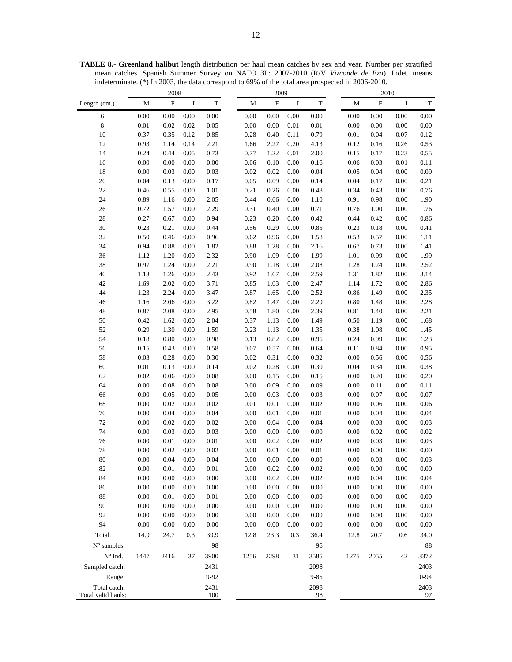**TABLE 8.- Greenland halibut** length distribution per haul mean catches by sex and year. Number per stratified mean catches. Spanish Summer Survey on NAFO 3L: 2007-2010 (R/V *Vizconde de Eza*). Indet. means indeterminate. (\*) In 2003, the data correspond to 69% of the total area prospected in 2006-2010.

|                    |          | 2008                      |          |             |          | 2009                      |          |             | 2010     |                           |          |             |
|--------------------|----------|---------------------------|----------|-------------|----------|---------------------------|----------|-------------|----------|---------------------------|----------|-------------|
| Length (cm.)       | M        | $\boldsymbol{\mathrm{F}}$ | I        | $\mathbf T$ | М        | $\boldsymbol{\mathrm{F}}$ | I        | $\mathbf T$ | М        | $\boldsymbol{\mathrm{F}}$ | $\rm I$  | $\mathbf T$ |
| 6                  | $0.00\,$ | 0.00                      | $0.00\,$ | $0.00\,$    | $0.00\,$ | $0.00\,$                  | $0.00\,$ | $0.00\,$    | $0.00\,$ | $0.00\,$                  | 0.00     | $0.00\,$    |
| $\,$ 8 $\,$        | $0.01\,$ | 0.02                      | 0.02     | 0.05        | $0.00\,$ | $0.00\,$                  | $0.01\,$ | $0.01\,$    | $0.00\,$ | 0.00                      | 0.00     | 0.00        |
| 10                 | 0.37     | 0.35                      | 0.12     | 0.85        | 0.28     | 0.40                      | 0.11     | 0.79        | 0.01     | 0.04                      | 0.07     | 0.12        |
| 12                 | 0.93     | 1.14                      | 0.14     | 2.21        | 1.66     | 2.27                      | 0.20     | 4.13        | 0.12     | 0.16                      | 0.26     | 0.53        |
| 14                 | 0.24     | 0.44                      | 0.05     | 0.73        | 0.77     | 1.22                      | $0.01\,$ | 2.00        | 0.15     | 0.17                      | 0.23     | 0.55        |
| 16                 | 0.00     | 0.00                      | 0.00     | 0.00        | 0.06     | 0.10                      | 0.00     | 0.16        | 0.06     | 0.03                      | 0.01     | 0.11        |
| 18                 | 0.00     | 0.03                      | 0.00     | 0.03        | 0.02     | 0.02                      | 0.00     | 0.04        | 0.05     | 0.04                      | 0.00     | 0.09        |
| 20                 | 0.04     | 0.13                      | 0.00     | 0.17        | 0.05     | 0.09                      | 0.00     | 0.14        | 0.04     | 0.17                      | 0.00     | 0.21        |
| $22\,$             | 0.46     | 0.55                      | 0.00     | 1.01        | 0.21     | 0.26                      | 0.00     | 0.48        | 0.34     | 0.43                      | 0.00     | 0.76        |
| 24                 | 0.89     | 1.16                      | 0.00     | 2.05        | 0.44     | 0.66                      | 0.00     | 1.10        | 0.91     | 0.98                      | 0.00     | 1.90        |
| 26                 | 0.72     | 1.57                      | 0.00     | 2.29        | 0.31     | 0.40                      | 0.00     | 0.71        | 0.76     | 1.00                      | 0.00     | 1.76        |
| 28                 | 0.27     | 0.67                      | 0.00     | 0.94        | 0.23     | 0.20                      | 0.00     | 0.42        | 0.44     | 0.42                      | 0.00     | 0.86        |
| 30                 | 0.23     | 0.21                      | 0.00     | 0.44        | 0.56     | 0.29                      | 0.00     | 0.85        | 0.23     | 0.18                      | 0.00     | 0.41        |
| 32                 | 0.50     | 0.46                      | 0.00     | 0.96        | 0.62     | 0.96                      | 0.00     | 1.58        | 0.53     | 0.57                      | 0.00     | 1.11        |
| 34                 | 0.94     | 0.88                      | 0.00     | 1.82        | 0.88     | 1.28                      | 0.00     | 2.16        | 0.67     | 0.73                      | 0.00     | 1.41        |
| 36                 | 1.12     | 1.20                      | 0.00     | 2.32        | 0.90     | 1.09                      | 0.00     | 1.99        | 1.01     | 0.99                      | 0.00     | 1.99        |
| 38                 | 0.97     | 1.24                      | 0.00     | 2.21        | 0.90     | 1.18                      | 0.00     | 2.08        | 1.28     | 1.24                      | 0.00     | 2.52        |
| 40                 | 1.18     | 1.26                      | 0.00     | 2.43        | 0.92     | 1.67                      | 0.00     | 2.59        | 1.31     | 1.82                      | 0.00     | 3.14        |
| 42                 | 1.69     | 2.02                      | 0.00     | 3.71        | 0.85     | 1.63                      | 0.00     | 2.47        | 1.14     | 1.72                      | 0.00     | 2.86        |
| 44                 | 1.23     | 2.24                      | 0.00     | 3.47        | 0.87     | 1.65                      | 0.00     | 2.52        | 0.86     | 1.49                      | 0.00     | 2.35        |
| 46                 | 1.16     | 2.06                      | 0.00     | 3.22        | 0.82     | 1.47                      | $0.00\,$ | 2.29        | 0.80     | 1.48                      | 0.00     | 2.28        |
| 48                 | 0.87     | 2.08                      | 0.00     | 2.95        | 0.58     | 1.80                      | 0.00     | 2.39        | 0.81     | 1.40                      | 0.00     | 2.21        |
| 50                 | 0.42     | 1.62                      | 0.00     | 2.04        | 0.37     | 1.13                      | 0.00     | 1.49        | 0.50     | 1.19                      | $0.00\,$ | 1.68        |
| 52                 | 0.29     | 1.30                      | 0.00     | 1.59        | 0.23     | 1.13                      | 0.00     | 1.35        | 0.38     | 1.08                      | 0.00     | 1.45        |
| 54                 | 0.18     | 0.80                      | 0.00     | 0.98        | 0.13     | 0.82                      | 0.00     | 0.95        | 0.24     | 0.99                      | 0.00     | 1.23        |
| 56                 | 0.15     | 0.43                      | 0.00     | 0.58        | 0.07     | 0.57                      | 0.00     | 0.64        | 0.11     | 0.84                      | 0.00     | 0.95        |
| 58                 | 0.03     | 0.28                      | 0.00     | 0.30        | 0.02     | 0.31                      | 0.00     | 0.32        | 0.00     | 0.56                      | 0.00     | 0.56        |
| 60                 | $0.01\,$ | 0.13                      | 0.00     | 0.14        | 0.02     | 0.28                      | $0.00\,$ | 0.30        | 0.04     | 0.34                      | 0.00     | 0.38        |
| 62                 | 0.02     | 0.06                      | 0.00     | 0.08        | 0.00     | 0.15                      | 0.00     | 0.15        | 0.00     | 0.20                      | 0.00     | 0.20        |
| 64                 | 0.00     | 0.08                      | 0.00     | 0.08        | 0.00     | 0.09                      | 0.00     | 0.09        | 0.00     | 0.11                      | 0.00     | 0.11        |
| 66                 | 0.00     | 0.05                      | 0.00     | 0.05        | 0.00     | 0.03                      | 0.00     | 0.03        | 0.00     | 0.07                      | 0.00     | 0.07        |
| 68                 | 0.00     | 0.02                      | 0.00     | 0.02        | 0.01     | $0.01\,$                  | 0.00     | 0.02        | 0.00     | 0.06                      | 0.00     | 0.06        |
| 70                 | 0.00     | 0.04                      | 0.00     | 0.04        | 0.00     | 0.01                      | 0.00     | 0.01        | 0.00     | 0.04                      | 0.00     | 0.04        |
| 72                 | 0.00     | 0.02                      | 0.00     | 0.02        | 0.00     | 0.04                      | 0.00     | 0.04        | 0.00     | 0.03                      | 0.00     | 0.03        |
| 74                 | 0.00     | 0.03                      | 0.00     | 0.03        | 0.00     | 0.00                      | 0.00     | 0.00        | 0.00     | 0.02                      | 0.00     | 0.02        |
| 76                 | 0.00     | $0.01\,$                  | 0.00     | 0.01        | 0.00     | 0.02                      | 0.00     | 0.02        | 0.00     | 0.03                      | 0.00     | 0.03        |
| 78                 | 0.00     | 0.02                      | 0.00     | 0.02        | 0.00     | $0.01\,$                  | 0.00     | $0.01\,$    | 0.00     | 0.00                      | 0.00     | 0.00        |
| 80                 | 0.00     | 0.04                      | 0.00     | 0.04        | 0.00     | 0.00                      | 0.00     | 0.00        | 0.00     | 0.03                      | 0.00     | 0.03        |
| 82                 | $0.00\,$ | 0.01                      | $0.00\,$ | 0.01        | 0.00     | 0.02                      | $0.00\,$ | 0.02        | 0.00     | $0.00\,$                  | 0.00     | 0.00        |
| 84                 | 0.00     | 0.00                      | 0.00     | $0.00\,$    | 0.00     | 0.02                      | 0.00     | 0.02        | 0.00     | 0.04                      | 0.00     | 0.04        |
| 86                 | $0.00\,$ | $0.00\,$                  | $0.00\,$ | $0.00\,$    | $0.00\,$ | $0.00\,$                  | $0.00\,$ | $0.00\,$    | 0.00     | $0.00\,$                  | 0.00     | $0.00\,$    |
| 88                 | 0.00     | $0.01\,$                  | 0.00     | $0.01\,$    | 0.00     | 0.00                      | 0.00     | 0.00        | 0.00     | 0.00                      | 0.00     | 0.00        |
| 90                 | 0.00     | 0.00                      | 0.00     | 0.00        | 0.00     | 0.00                      | 0.00     | 0.00        | 0.00     | 0.00                      | 0.00     | 0.00        |
| 92                 | 0.00     | 0.00                      | 0.00     | $0.00\,$    | 0.00     | 0.00                      | 0.00     | $0.00\,$    | 0.00     | 0.00                      | 0.00     | 0.00        |
| 94                 | 0.00     | 0.00                      | 0.00     | $0.00\,$    | 0.00     | 0.00                      | 0.00     | $0.00\,$    | 0.00     | 0.00                      | 0.00     | $0.00\,$    |
| Total              | 14.9     | 24.7                      | 0.3      | 39.9        | 12.8     | 23.3                      | 0.3      | 36.4        | 12.8     | 20.7                      | 0.6      | 34.0        |
| N° samples:        |          |                           |          | 98          |          |                           |          | 96          |          |                           |          | 88          |
| N° Ind.:           | 1447     | 2416                      | 37       | 3900        | 1256     | 2298                      | 31       | 3585        | 1275     | 2055                      | 42       | 3372        |
| Sampled catch:     |          |                           |          | 2431        |          |                           |          | 2098        |          |                           |          | 2403        |
| Range:             |          |                           |          | 9-92        |          |                           |          | $9 - 85$    |          |                           |          | 10-94       |
| Total catch:       |          |                           |          | 2431        |          |                           |          | 2098        |          |                           |          | 2403        |
| Total valid hauls: |          |                           |          | 100         |          |                           |          | 98          |          |                           |          | 97          |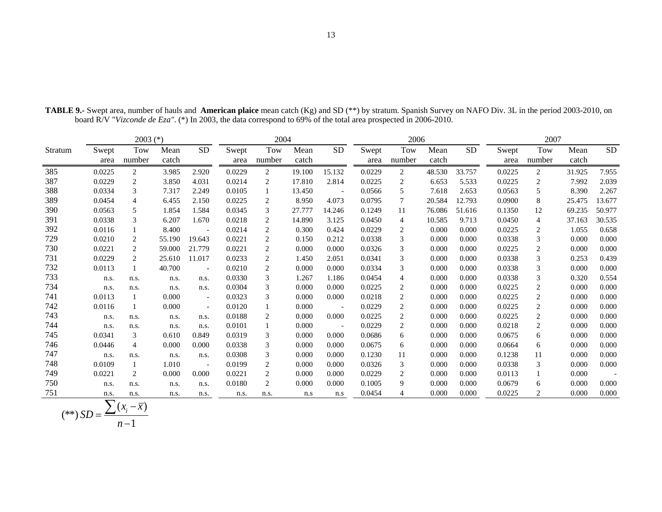|         | $2003$ (*)    |                |               |                          |               | 2004          |               |                          |               | 2006           |               |           |               | 2007                 |               |           |
|---------|---------------|----------------|---------------|--------------------------|---------------|---------------|---------------|--------------------------|---------------|----------------|---------------|-----------|---------------|----------------------|---------------|-----------|
| Stratum | Swept<br>area | Tow<br>number  | Mean<br>catch | <b>SD</b>                | Swept<br>area | Tow<br>number | Mean<br>catch | <b>SD</b>                | Swept<br>area | Tow<br>number  | Mean<br>catch | <b>SD</b> | Swept<br>area | <b>Tow</b><br>number | Mean<br>catch | <b>SD</b> |
| 385     | 0.0225        | 2              | 3.985         | 2.920                    | 0.0229        | 2             | 19.100        | 15.132                   | 0.0229        | $\overline{2}$ | 48.530        | 33.757    | 0.0225        | 2                    | 31.925        | 7.955     |
| 387     | 0.0229        | 2              | 3.850         | 4.031                    | 0.0214        | 2             | 17.810        | 2.814                    | 0.0225        | 2              | 6.653         | 5.533     | 0.0225        | $\overline{c}$       | 7.992         | 2.039     |
| 388     | 0.0334        | 3              | 7.317         | 2.249                    | 0.0105        |               | 13.450        | $\overline{\phantom{a}}$ | 0.0566        | 5              | 7.618         | 2.653     | 0.0563        | 5                    | 8.390         | 2.267     |
| 389     | 0.0454        | $\overline{4}$ | 6.455         | 2.150                    | 0.0225        | 2             | 8.950         | 4.073                    | 0.0795        | $\tau$         | 20.584        | 12.793    | 0.0900        | 8                    | 25.475        | 13.677    |
| 390     | 0.0563        | 5              | 1.854         | 1.584                    | 0.0345        | 3             | 27.777        | 14.246                   | 0.1249        | 11             | 76.086        | 51.616    | 0.1350        | 12                   | 69.235        | 50.977    |
| 391     | 0.0338        | 3              | 6.207         | 1.670                    | 0.0218        | 2             | 14.890        | 3.125                    | 0.0450        | $\overline{4}$ | 10.585        | 9.713     | 0.0450        | $\overline{4}$       | 37.163        | 30.535    |
| 392     | 0.0116        |                | 8.400         | $\overline{\phantom{a}}$ | 0.0214        | 2             | 0.300         | 0.424                    | 0.0229        | 2              | 0.000         | 0.000     | 0.0225        | 2                    | 1.055         | 0.658     |
| 729     | 0.0210        | 2              | 55.190        | 19.643                   | 0.0221        | 2             | 0.150         | 0.212                    | 0.0338        | 3              | 0.000         | 0.000     | 0.0338        | 3                    | 0.000         | 0.000     |
| 730     | 0.0221        | 2              | 59.000        | 21.779                   | 0.0221        | 2             | 0.000         | 0.000                    | 0.0326        | 3              | 0.000         | 0.000     | 0.0225        | $\overline{c}$       | 0.000         | 0.000     |
| 731     | 0.0229        | 2              | 25.610        | 11.017                   | 0.0233        | 2             | 1.450         | 2.051                    | 0.0341        | 3              | 0.000         | 0.000     | 0.0338        | 3                    | 0.253         | 0.439     |
| 732     | 0.0113        |                | 40.700        | $\overline{\phantom{a}}$ | 0.0210        | 2             | 0.000         | 0.000                    | 0.0334        | 3              | 0.000         | 0.000     | 0.0338        | 3                    | 0.000         | 0.000     |
| 733     | n.s.          | n.s.           | n.s.          | n.s.                     | 0.0330        | 3             | 1.267         | 1.186                    | 0.0454        | 4              | 0.000         | 0.000     | 0.0338        | 3                    | 0.320         | 0.554     |
| 734     | n.s.          | n.s.           | n.s.          | n.s.                     | 0.0304        | 3             | 0.000         | 0.000                    | 0.0225        | 2              | 0.000         | 0.000     | 0.0225        | 2                    | 0.000         | 0.000     |
| 741     | 0.0113        |                | 0.000         | $\overline{\phantom{a}}$ | 0.0323        | 3             | 0.000         | 0.000                    | 0.0218        | 2              | 0.000         | 0.000     | 0.0225        | 2                    | 0.000         | 0.000     |
| 742     | 0.0116        |                | 0.000         | $\overline{\phantom{a}}$ | 0.0120        |               | 0.000         | $\overline{\phantom{a}}$ | 0.0229        | 2              | 0.000         | 0.000     | 0.0225        | 2                    | 0.000         | 0.000     |
| 743     | n.s.          | n.s.           | n.s.          | n.s.                     | 0.0188        | 2             | 0.000         | 0.000                    | 0.0225        | $\overline{c}$ | 0.000         | 0.000     | 0.0225        | $\overline{c}$       | 0.000         | 0.000     |
| 744     | n.s.          | n.s.           | n.s.          | n.s.                     | 0.0101        |               | 0.000         | $\overline{\phantom{a}}$ | 0.0229        | 2              | 0.000         | 0.000     | 0.0218        | 2                    | 0.000         | 0.000     |
| 745     | 0.0341        | 3              | 0.610         | 0.849                    | 0.0319        | 3             | 0.000         | 0.000                    | 0.0686        | 6              | 0.000         | 0.000     | 0.0675        | 6                    | 0.000         | 0.000     |
| 746     | 0.0446        | 4              | 0.000         | 0.000                    | 0.0338        | 3             | 0.000         | 0.000                    | 0.0675        | 6              | 0.000         | 0.000     | 0.0664        | 6                    | 0.000         | 0.000     |
| 747     | n.s.          | n.s.           | n.s.          | n.s.                     | 0.0308        | 3             | 0.000         | 0.000                    | 0.1230        | 11             | 0.000         | 0.000     | 0.1238        | 11                   | 0.000         | 0.000     |
| 748     | 0.0109        |                | 1.010         | $\overline{\phantom{a}}$ | 0.0199        | 2             | 0.000         | 0.000                    | 0.0326        | 3              | 0.000         | 0.000     | 0.0338        | 3                    | 0.000         | 0.000     |
| 749     | 0.0221        | 2              | 0.000         | 0.000                    | 0.0221        | 2             | 0.000         | 0.000                    | 0.0229        | 2              | 0.000         | 0.000     | 0.0113        | 1                    | 0.000         |           |
| 750     | n.s.          | n.s.           | n.s.          | n.s.                     | 0.0180        | 2             | 0.000         | 0.000                    | 0.1005        | 9              | 0.000         | 0.000     | 0.0679        | 6                    | 0.000         | 0.000     |
| 751     | n.s.          | n.s.           | n.s.          | n.s.                     | n.s.          | n.s.          | n.s           | n.s                      | 0.0454        | 4              | 0.000         | 0.000     | 0.0225        | 2                    | 0.000         | 0.000     |

**TABLE 9.-** Swept area, number of hauls and **American plaice** mean catch (Kg) and SD (\*\*) by stratum. Spanish Survey on NAFO Div. 3L in the period 2003-2010, on board R/V "*Vizconde de Eza"*. (\*) In 2003, the data correspond to 69% of the total area prospected in 2006-2010.

$$
(**) SD = \frac{\sum (x_i - \overline{x})}{n-1}
$$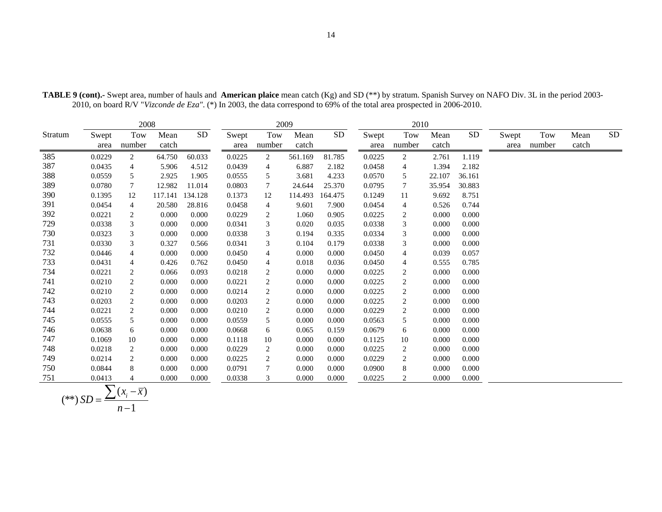14

|         |               | 2008           |               |         |               | 2009                 |               |           |               | 2010           |               |           |               |               |               |    |
|---------|---------------|----------------|---------------|---------|---------------|----------------------|---------------|-----------|---------------|----------------|---------------|-----------|---------------|---------------|---------------|----|
| Stratum | Swept<br>area | Tow<br>number  | Mean<br>catch | SD      | Swept<br>area | <b>Tow</b><br>number | Mean<br>catch | <b>SD</b> | Swept<br>area | Tow<br>number  | Mean<br>catch | <b>SD</b> | Swept<br>area | Tow<br>number | Mean<br>catch | SD |
| 385     | 0.0229        | $\overline{2}$ | 64.750        | 60.033  | 0.0225        | 2                    | 561.169       | 81.785    | 0.0225        | $\overline{2}$ | 2.761         | 1.119     |               |               |               |    |
| 387     | 0.0435        | 4              | 5.906         | 4.512   | 0.0439        | 4                    | 6.887         | 2.182     | 0.0458        | 4              | 1.394         | 2.182     |               |               |               |    |
| 388     | 0.0559        | 5              | 2.925         | 1.905   | 0.0555        | 5                    | 3.681         | 4.233     | 0.0570        | 5              | 22.107        | 36.161    |               |               |               |    |
| 389     | 0.0780        | 7              | 12.982        | 11.014  | 0.0803        | 7                    | 24.644        | 25.370    | 0.0795        | 7              | 35.954        | 30.883    |               |               |               |    |
| 390     | 0.1395        | 12             | 117.141       | 134.128 | 0.1373        | 12                   | 114.493       | 164.475   | 0.1249        | 11             | 9.692         | 8.751     |               |               |               |    |
| 391     | 0.0454        | 4              | 20.580        | 28.816  | 0.0458        | 4                    | 9.601         | 7.900     | 0.0454        | 4              | 0.526         | 0.744     |               |               |               |    |
| 392     | 0.0221        | 2              | 0.000         | 0.000   | 0.0229        | 2                    | 1.060         | 0.905     | 0.0225        | $\overline{c}$ | 0.000         | 0.000     |               |               |               |    |
| 729     | 0.0338        | 3              | 0.000         | 0.000   | 0.0341        | 3                    | 0.020         | 0.035     | 0.0338        | 3              | 0.000         | 0.000     |               |               |               |    |
| 730     | 0.0323        | 3              | 0.000         | 0.000   | 0.0338        | 3                    | 0.194         | 0.335     | 0.0334        | 3              | 0.000         | 0.000     |               |               |               |    |
| 731     | 0.0330        | 3              | 0.327         | 0.566   | 0.0341        | 3                    | 0.104         | 0.179     | 0.0338        | 3              | 0.000         | 0.000     |               |               |               |    |
| 732     | 0.0446        | 4              | 0.000         | 0.000   | 0.0450        | $\overline{4}$       | 0.000         | 0.000     | 0.0450        | 4              | 0.039         | 0.057     |               |               |               |    |
| 733     | 0.0431        | 4              | 0.426         | 0.762   | 0.0450        | 4                    | 0.018         | 0.036     | 0.0450        | 4              | 0.555         | 0.785     |               |               |               |    |
| 734     | 0.0221        | 2              | 0.066         | 0.093   | 0.0218        | 2                    | 0.000         | 0.000     | 0.0225        | 2              | 0.000         | 0.000     |               |               |               |    |
| 741     | 0.0210        | 2              | 0.000         | 0.000   | 0.0221        | 2                    | 0.000         | 0.000     | 0.0225        | 2              | 0.000         | 0.000     |               |               |               |    |
| 742     | 0.0210        | 2              | 0.000         | 0.000   | 0.0214        | $\overline{2}$       | 0.000         | 0.000     | 0.0225        | 2              | 0.000         | 0.000     |               |               |               |    |
| 743     | 0.0203        | 2              | 0.000         | 0.000   | 0.0203        | $\overline{c}$       | 0.000         | 0.000     | 0.0225        | 2              | 0.000         | 0.000     |               |               |               |    |
| 744     | 0.0221        | 2              | 0.000         | 0.000   | 0.0210        | $\overline{c}$       | 0.000         | 0.000     | 0.0229        | 2              | 0.000         | 0.000     |               |               |               |    |
| 745     | 0.0555        | 5              | 0.000         | 0.000   | 0.0559        | 5                    | 0.000         | 0.000     | 0.0563        | 5              | 0.000         | 0.000     |               |               |               |    |
| 746     | 0.0638        | 6              | 0.000         | 0.000   | 0.0668        | 6                    | 0.065         | 0.159     | 0.0679        | 6              | 0.000         | 0.000     |               |               |               |    |
| 747     | 0.1069        | 10             | 0.000         | 0.000   | 0.1118        | 10                   | 0.000         | 0.000     | 0.1125        | 10             | 0.000         | 0.000     |               |               |               |    |
| 748     | 0.0218        | $\overline{2}$ | 0.000         | 0.000   | 0.0229        | 2                    | 0.000         | 0.000     | 0.0225        | 2              | 0.000         | 0.000     |               |               |               |    |
| 749     | 0.0214        | 2              | 0.000         | 0.000   | 0.0225        | 2                    | 0.000         | 0.000     | 0.0229        | 2              | 0.000         | 0.000     |               |               |               |    |
| 750     | 0.0844        | 8              | 0.000         | 0.000   | 0.0791        | 7                    | 0.000         | 0.000     | 0.0900        | 8              | 0.000         | 0.000     |               |               |               |    |
| 751     | 0.0413        | $\overline{4}$ | 0.000         | 0.000   | 0.0338        | 3                    | 0.000         | 0.000     | 0.0225        | 2              | 0.000         | 0.000     |               |               |               |    |

**TABLE 9 (cont).-** Swept area, number of hauls and **American plaice** mean catch (Kg) and SD (\*\*) by stratum. Spanish Survey on NAFO Div. 3L in the period 2003- 2010, on board R/V "*Vizconde de Eza"*. (\*) In 2003, the data correspond to 69% of the total area prospected in 2006-2010.

$$
(**) SD = \frac{\sum (x_i - \overline{x})}{n-1}
$$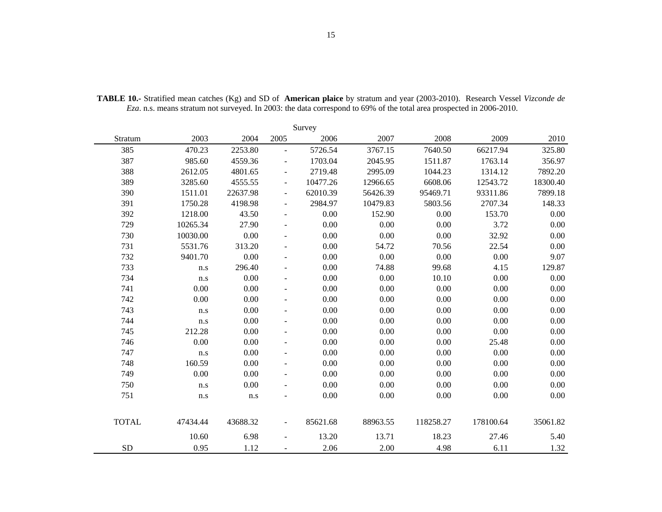|              | Survey   |          |                          |          |          |           |           |          |  |  |  |  |  |  |
|--------------|----------|----------|--------------------------|----------|----------|-----------|-----------|----------|--|--|--|--|--|--|
| Stratum      | 2003     | 2004     | 2005                     | 2006     | 2007     | 2008      | 2009      | 2010     |  |  |  |  |  |  |
| 385          | 470.23   | 2253.80  | $\bar{\phantom{a}}$      | 5726.54  | 3767.15  | 7640.50   | 66217.94  | 325.80   |  |  |  |  |  |  |
| 387          | 985.60   | 4559.36  | ÷,                       | 1703.04  | 2045.95  | 1511.87   | 1763.14   | 356.97   |  |  |  |  |  |  |
| 388          | 2612.05  | 4801.65  | $\overline{\phantom{a}}$ | 2719.48  | 2995.09  | 1044.23   | 1314.12   | 7892.20  |  |  |  |  |  |  |
| 389          | 3285.60  | 4555.55  | $\overline{\phantom{a}}$ | 10477.26 | 12966.65 | 6608.06   | 12543.72  | 18300.40 |  |  |  |  |  |  |
| 390          | 1511.01  | 22637.98 | $\overline{\phantom{a}}$ | 62010.39 | 56426.39 | 95469.71  | 93311.86  | 7899.18  |  |  |  |  |  |  |
| 391          | 1750.28  | 4198.98  | $\overline{\phantom{a}}$ | 2984.97  | 10479.83 | 5803.56   | 2707.34   | 148.33   |  |  |  |  |  |  |
| 392          | 1218.00  | 43.50    | $\blacksquare$           | 0.00     | 152.90   | 0.00      | 153.70    | 0.00     |  |  |  |  |  |  |
| 729          | 10265.34 | 27.90    | $\overline{\phantom{a}}$ | 0.00     | 0.00     | 0.00      | 3.72      | 0.00     |  |  |  |  |  |  |
| 730          | 10030.00 | $0.00\,$ | $\blacksquare$           | 0.00     | 0.00     | 0.00      | 32.92     | 0.00     |  |  |  |  |  |  |
| 731          | 5531.76  | 313.20   | $\overline{\phantom{a}}$ | 0.00     | 54.72    | 70.56     | 22.54     | 0.00     |  |  |  |  |  |  |
| 732          | 9401.70  | 0.00     | $\blacksquare$           | 0.00     | 0.00     | $0.00\,$  | 0.00      | 9.07     |  |  |  |  |  |  |
| 733          | n.s      | 296.40   | ÷,                       | 0.00     | 74.88    | 99.68     | 4.15      | 129.87   |  |  |  |  |  |  |
| 734          | n.s      | 0.00     | $\overline{\phantom{a}}$ | 0.00     | 0.00     | 10.10     | 0.00      | 0.00     |  |  |  |  |  |  |
| 741          | 0.00     | 0.00     | $\overline{a}$           | 0.00     | 0.00     | 0.00      | 0.00      | 0.00     |  |  |  |  |  |  |
| 742          | 0.00     | 0.00     | $\overline{\phantom{a}}$ | 0.00     | 0.00     | 0.00      | 0.00      | 0.00     |  |  |  |  |  |  |
| 743          | n.s      | 0.00     | $\overline{\phantom{a}}$ | 0.00     | 0.00     | 0.00      | 0.00      | 0.00     |  |  |  |  |  |  |
| 744          | n.s      | 0.00     | $\overline{\phantom{a}}$ | 0.00     | 0.00     | 0.00      | 0.00      | 0.00     |  |  |  |  |  |  |
| 745          | 212.28   | 0.00     | $\overline{\phantom{a}}$ | 0.00     | 0.00     | 0.00      | 0.00      | 0.00     |  |  |  |  |  |  |
| 746          | 0.00     | 0.00     |                          | 0.00     | 0.00     | 0.00      | 25.48     | 0.00     |  |  |  |  |  |  |
| 747          | n.s      | 0.00     | $\overline{a}$           | 0.00     | 0.00     | 0.00      | 0.00      | 0.00     |  |  |  |  |  |  |
| 748          | 160.59   | 0.00     | $\overline{\phantom{a}}$ | 0.00     | 0.00     | 0.00      | 0.00      | 0.00     |  |  |  |  |  |  |
| 749          | 0.00     | 0.00     | $\overline{\phantom{a}}$ | 0.00     | 0.00     | 0.00      | 0.00      | 0.00     |  |  |  |  |  |  |
| 750          | n.s      | 0.00     | $\overline{a}$           | 0.00     | 0.00     | 0.00      | 0.00      | 0.00     |  |  |  |  |  |  |
| 751          | n.s      | n.s      |                          | 0.00     | 0.00     | 0.00      | 0.00      | 0.00     |  |  |  |  |  |  |
|              |          |          |                          |          |          |           |           |          |  |  |  |  |  |  |
| <b>TOTAL</b> | 47434.44 | 43688.32 | $\overline{\phantom{a}}$ | 85621.68 | 88963.55 | 118258.27 | 178100.64 | 35061.82 |  |  |  |  |  |  |
|              | 10.60    | 6.98     | $\overline{a}$           | 13.20    | 13.71    | 18.23     | 27.46     | 5.40     |  |  |  |  |  |  |
| <b>SD</b>    | 0.95     | 1.12     |                          | 2.06     | 2.00     | 4.98      | 6.11      | 1.32     |  |  |  |  |  |  |

**TABLE 10.-** Stratified mean catches (Kg) and SD of **American plaice** by stratum and year (2003-2010). Research Vessel *Vizconde de Eza*. n.s. means stratum not surveyed. In 2003: the data correspond to 69% of the total area prospected in 2006-2010.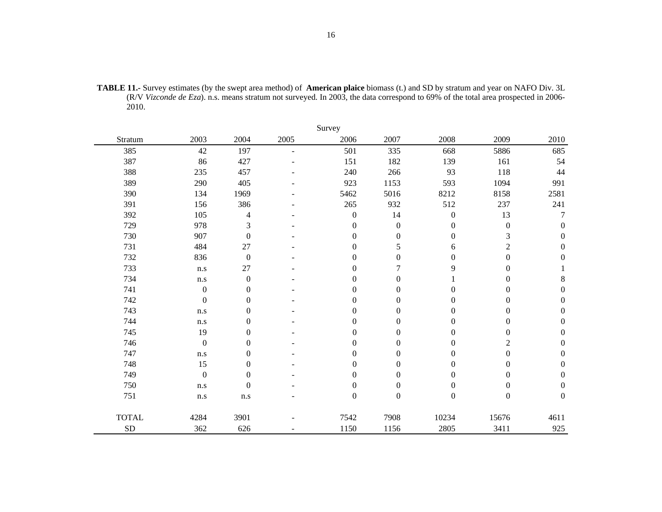**TABLE 11.-** Survey estimates (by the swept area method) of **American plaice** biomass (t.) and SD by stratum and year on NAFO Div. 3L (R/V *Vizconde de Eza*). n.s. means stratum not surveyed. In 2003, the data correspond to 69% of the total area prospected in 2006- 2010.

|              | Survey           |                          |                |                  |                  |                  |                  |                  |  |  |  |  |
|--------------|------------------|--------------------------|----------------|------------------|------------------|------------------|------------------|------------------|--|--|--|--|
| Stratum      | 2003             | 2004                     | 2005           | 2006             | 2007             | 2008             | 2009             | 2010             |  |  |  |  |
| 385          | 42               | 197                      | $\blacksquare$ | 501              | 335              | 668              | 5886             | 685              |  |  |  |  |
| 387          | 86               | 427                      |                | 151              | 182              | 139              | 161              | 54               |  |  |  |  |
| 388          | 235              | 457                      |                | 240              | 266              | 93               | 118              | 44               |  |  |  |  |
| 389          | 290              | 405                      |                | 923              | 1153             | 593              | 1094             | 991              |  |  |  |  |
| 390          | 134              | 1969                     |                | 5462             | 5016             | 8212             | 8158             | 2581             |  |  |  |  |
| 391          | 156              | 386                      |                | 265              | 932              | 512              | 237              | 241              |  |  |  |  |
| 392          | 105              | $\overline{\mathcal{L}}$ |                | $\boldsymbol{0}$ | 14               | $\boldsymbol{0}$ | 13               | 7                |  |  |  |  |
| 729          | 978              | 3                        |                | $\boldsymbol{0}$ | $\boldsymbol{0}$ | $\theta$         | $\boldsymbol{0}$ | $\theta$         |  |  |  |  |
| 730          | 907              | $\boldsymbol{0}$         |                | $\boldsymbol{0}$ | $\boldsymbol{0}$ | $\boldsymbol{0}$ | 3                | $\boldsymbol{0}$ |  |  |  |  |
| 731          | 484              | 27                       |                | 0                | 5                | 6                | $\overline{c}$   | $\mathbf{0}$     |  |  |  |  |
| 732          | 836              | $\boldsymbol{0}$         |                | $\boldsymbol{0}$ | $\boldsymbol{0}$ | $\theta$         | $\boldsymbol{0}$ | $\mathbf{0}$     |  |  |  |  |
| 733          | n.s              | 27                       |                | $\boldsymbol{0}$ | 7                | 9                | 0                |                  |  |  |  |  |
| 734          | n.s              | $\boldsymbol{0}$         |                | 0                | $\theta$         |                  | 0                | $\,8\,$          |  |  |  |  |
| 741          | $\boldsymbol{0}$ | $\boldsymbol{0}$         |                | $\boldsymbol{0}$ | $\boldsymbol{0}$ | $\theta$         | $\overline{0}$   | $\boldsymbol{0}$ |  |  |  |  |
| 742          | $\boldsymbol{0}$ | $\mathbf{0}$             |                | 0                | $\boldsymbol{0}$ | $\Omega$         | 0                | $\theta$         |  |  |  |  |
| 743          | n.s              | $\theta$                 |                | $\overline{0}$   | $\boldsymbol{0}$ | $\Omega$         | $\theta$         | $\boldsymbol{0}$ |  |  |  |  |
| 744          | n.s              | $\boldsymbol{0}$         |                | 0                | $\boldsymbol{0}$ | $\theta$         | 0                | $\boldsymbol{0}$ |  |  |  |  |
| 745          | 19               | $\theta$                 |                | $\theta$         | $\boldsymbol{0}$ | $\theta$         | $\theta$         | $\theta$         |  |  |  |  |
| 746          | $\boldsymbol{0}$ | $\theta$                 |                | $\overline{0}$   | $\boldsymbol{0}$ | $\theta$         | $\overline{2}$   | $\boldsymbol{0}$ |  |  |  |  |
| 747          | n.s              | $\theta$                 |                | 0                | $\boldsymbol{0}$ | $\theta$         | $\overline{0}$   | $\theta$         |  |  |  |  |
| 748          | 15               | $\boldsymbol{0}$         |                | $\boldsymbol{0}$ | $\boldsymbol{0}$ | $\theta$         | $\boldsymbol{0}$ | $\boldsymbol{0}$ |  |  |  |  |
| 749          | $\boldsymbol{0}$ | $\boldsymbol{0}$         |                | 0                | $\boldsymbol{0}$ | $\Omega$         | 0                | $\mathbf{0}$     |  |  |  |  |
| 750          | n.s              | $\mathbf{0}$             |                | $\boldsymbol{0}$ | $\boldsymbol{0}$ | $\mathbf{0}$     | $\Omega$         | $\mathbf{0}$     |  |  |  |  |
| 751          | n.s              | n.s                      |                | $\boldsymbol{0}$ | $\boldsymbol{0}$ | $\boldsymbol{0}$ | $\boldsymbol{0}$ | $\boldsymbol{0}$ |  |  |  |  |
| <b>TOTAL</b> | 4284             | 3901                     |                | 7542             | 7908             | 10234            | 15676            | 4611             |  |  |  |  |
| <b>SD</b>    | 362              | 626                      |                | 1150             | 1156             | 2805             | 3411             | 925              |  |  |  |  |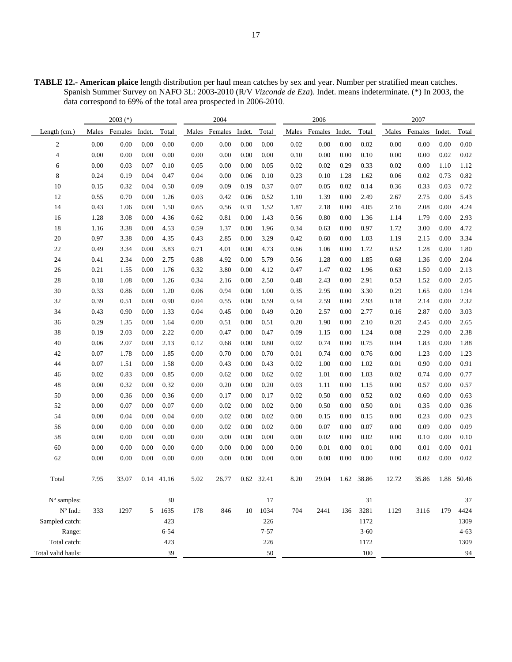**TABLE 12.- American plaice** length distribution per haul mean catches by sex and year. Number per stratified mean catches. Spanish Summer Survey on NAFO 3L: 2003-2010 (R/V *Vizconde de Eza*). Indet. means indeterminate. (\*) In 2003, the data correspond to 69% of the total area prospected in 2006-2010.

|                                 |       | $2003$ (*) |        |            |       | 2004    |        |          |       | 2006    |        |          |          | 2007     |        |          |
|---------------------------------|-------|------------|--------|------------|-------|---------|--------|----------|-------|---------|--------|----------|----------|----------|--------|----------|
| Length (cm.)                    | Males | Females    | Indet. | Total      | Males | Females | Indet. | Total    | Males | Females | Indet. | Total    | Males    | Females  | Indet. | Total    |
| $\mathbf{2}$                    | 0.00  | $0.00\,$   | 0.00   | 0.00       | 0.00  | 0.00    | 0.00   | 0.00     | 0.02  | 0.00    | 0.00   | 0.02     | $0.00\,$ | $0.00\,$ | 0.00   | 0.00     |
| 4                               | 0.00  | 0.00       | 0.00   | 0.00       | 0.00  | 0.00    | 0.00   | 0.00     | 0.10  | 0.00    | 0.00   | 0.10     | 0.00     | 0.00     | 0.02   | 0.02     |
| 6                               | 0.00  | 0.03       | 0.07   | 0.10       | 0.05  | 0.00    | 0.00   | 0.05     | 0.02  | 0.02    | 0.29   | 0.33     | 0.02     | 0.00     | 1.10   | 1.12     |
| 8                               | 0.24  | 0.19       | 0.04   | 0.47       | 0.04  | 0.00    | 0.06   | 0.10     | 0.23  | 0.10    | 1.28   | 1.62     | 0.06     | 0.02     | 0.73   | 0.82     |
| 10                              | 0.15  | 0.32       | 0.04   | 0.50       | 0.09  | 0.09    | 0.19   | 0.37     | 0.07  | 0.05    | 0.02   | 0.14     | 0.36     | 0.33     | 0.03   | 0.72     |
| 12                              | 0.55  | 0.70       | 0.00   | 1.26       | 0.03  | 0.42    | 0.06   | 0.52     | 1.10  | 1.39    | 0.00   | 2.49     | 2.67     | 2.75     | 0.00   | 5.43     |
| 14                              | 0.43  | 1.06       | 0.00   | 1.50       | 0.65  | 0.56    | 0.31   | 1.52     | 1.87  | 2.18    | 0.00   | 4.05     | 2.16     | 2.08     | 0.00   | 4.24     |
| 16                              | 1.28  | 3.08       | 0.00   | 4.36       | 0.62  | 0.81    | 0.00   | 1.43     | 0.56  | 0.80    | 0.00   | 1.36     | 1.14     | 1.79     | 0.00   | 2.93     |
| 18                              | 1.16  | 3.38       | 0.00   | 4.53       | 0.59  | 1.37    | 0.00   | 1.96     | 0.34  | 0.63    | 0.00   | 0.97     | 1.72     | 3.00     | 0.00   | 4.72     |
| 20                              | 0.97  | 3.38       | 0.00   | 4.35       | 0.43  | 2.85    | 0.00   | 3.29     | 0.42  | 0.60    | 0.00   | 1.03     | 1.19     | 2.15     | 0.00   | 3.34     |
| 22                              | 0.49  | 3.34       | 0.00   | 3.83       | 0.71  | 4.01    | 0.00   | 4.73     | 0.66  | 1.06    | 0.00   | 1.72     | 0.52     | 1.28     | 0.00   | 1.80     |
| 24                              | 0.41  | 2.34       | 0.00   | 2.75       | 0.88  | 4.92    | 0.00   | 5.79     | 0.56  | 1.28    | 0.00   | 1.85     | 0.68     | 1.36     | 0.00   | 2.04     |
| 26                              | 0.21  | 1.55       | 0.00   | 1.76       | 0.32  | 3.80    | 0.00   | 4.12     | 0.47  | 1.47    | 0.02   | 1.96     | 0.63     | 1.50     | 0.00   | 2.13     |
| 28                              | 0.18  | 1.08       | 0.00   | 1.26       | 0.34  | 2.16    | 0.00   | 2.50     | 0.48  | 2.43    | 0.00   | 2.91     | 0.53     | 1.52     | 0.00   | 2.05     |
| 30                              | 0.33  | 0.86       | 0.00   | 1.20       | 0.06  | 0.94    | 0.00   | 1.00     | 0.35  | 2.95    | 0.00   | 3.30     | 0.29     | 1.65     | 0.00   | 1.94     |
| 32                              | 0.39  | 0.51       | 0.00   | 0.90       | 0.04  | 0.55    | 0.00   | 0.59     | 0.34  | 2.59    | 0.00   | 2.93     | 0.18     | 2.14     | 0.00   | 2.32     |
| 34                              | 0.43  | 0.90       | 0.00   | 1.33       | 0.04  | 0.45    | 0.00   | 0.49     | 0.20  | 2.57    | 0.00   | 2.77     | 0.16     | 2.87     | 0.00   | 3.03     |
| 36                              | 0.29  | 1.35       | 0.00   | 1.64       | 0.00  | 0.51    | 0.00   | 0.51     | 0.20  | 1.90    | 0.00   | 2.10     | 0.20     | 2.45     | 0.00   | 2.65     |
| 38                              | 0.19  | 2.03       | 0.00   | 2.22       | 0.00  | 0.47    | 0.00   | 0.47     | 0.09  | 1.15    | 0.00   | 1.24     | 0.08     | 2.29     | 0.00   | 2.38     |
| 40                              | 0.06  | 2.07       | 0.00   | 2.13       | 0.12  | 0.68    | 0.00   | 0.80     | 0.02  | 0.74    | 0.00   | 0.75     | 0.04     | 1.83     | 0.00   | 1.88     |
| 42                              | 0.07  | 1.78       | 0.00   | 1.85       | 0.00  | 0.70    | 0.00   | 0.70     | 0.01  | 0.74    | 0.00   | 0.76     | 0.00     | 1.23     | 0.00   | 1.23     |
| 44                              | 0.07  | 1.51       | 0.00   | 1.58       | 0.00  | 0.43    | 0.00   | 0.43     | 0.02  | 1.00    | 0.00   | 1.02     | 0.01     | 0.90     | 0.00   | 0.91     |
| 46                              | 0.02  | 0.83       | 0.00   | 0.85       | 0.00  | 0.62    | 0.00   | 0.62     | 0.02  | 1.01    | 0.00   | 1.03     | 0.02     | 0.74     | 0.00   | 0.77     |
| 48                              | 0.00  | 0.32       | 0.00   | 0.32       | 0.00  | 0.20    | 0.00   | 0.20     | 0.03  | 1.11    | 0.00   | 1.15     | 0.00     | 0.57     | 0.00   | 0.57     |
| 50                              | 0.00  | 0.36       | 0.00   | 0.36       | 0.00  | 0.17    | 0.00   | 0.17     | 0.02  | 0.50    | 0.00   | 0.52     | 0.02     | 0.60     | 0.00   | 0.63     |
| 52                              | 0.00  | 0.07       | 0.00   | 0.07       | 0.00  | 0.02    | 0.00   | 0.02     | 0.00  | 0.50    | 0.00   | 0.50     | 0.01     | 0.35     | 0.00   | 0.36     |
| 54                              | 0.00  | 0.04       | 0.00   | 0.04       | 0.00  | 0.02    | 0.00   | 0.02     | 0.00  | 0.15    | 0.00   | 0.15     | 0.00     | 0.23     | 0.00   | 0.23     |
| 56                              | 0.00  | 0.00       | 0.00   | 0.00       | 0.00  | 0.02    | 0.00   | 0.02     | 0.00  | 0.07    | 0.00   | 0.07     | 0.00     | 0.09     | 0.00   | 0.09     |
| 58                              | 0.00  | 0.00       | 0.00   | 0.00       | 0.00  | 0.00    | 0.00   | 0.00     | 0.00  | 0.02    | 0.00   | 0.02     | 0.00     | 0.10     | 0.00   | 0.10     |
| 60                              | 0.00  | 0.00       | 0.00   | 0.00       | 0.00  | 0.00    | 0.00   | 0.00     | 0.00  | 0.01    | 0.00   | 0.01     | 0.00     | 0.01     | 0.00   | 0.01     |
| 62                              | 0.00  | 0.00       | 0.00   | 0.00       | 0.00  | 0.00    | 0.00   | 0.00     | 0.00  | 0.00    | 0.00   | 0.00     | 0.00     | 0.02     | 0.00   | 0.02     |
|                                 |       |            |        |            |       |         |        |          |       |         |        |          |          |          |        |          |
| Total                           | 7.95  | 33.07      |        | 0.14 41.16 | 5.02  | 26.77   | 0.62   | 32.41    | 8.20  | 29.04   | 1.62   | 38.86    | 12.72    | 35.86    | 1.88   | 50.46    |
|                                 |       |            |        |            |       |         |        |          |       |         |        |          |          |          |        |          |
| N° samples:                     |       |            |        | 30         |       |         |        | 17       |       |         |        | 31       |          |          |        | 37       |
| $\mathrm{N}^{\mathrm{o}}$ Ind.: | 333   | 1297       | 5      | 1635       | 178   | 846     | 10     | 1034     | 704   | 2441    | 136    | 3281     | 1129     | 3116     | 179    | 4424     |
| Sampled catch:                  |       |            |        | 423        |       |         |        | 226      |       |         |        | 1172     |          |          |        | 1309     |
| Range:                          |       |            |        | $6 - 54$   |       |         |        | $7 - 57$ |       |         |        | $3 - 60$ |          |          |        | $4 - 63$ |
| Total catch:                    |       |            |        | 423        |       |         |        | 226      |       |         |        | 1172     |          |          |        | 1309     |
| Total valid hauls:              |       |            |        | 39         |       |         |        | $50\,$   |       |         |        | 100      |          |          |        | 94       |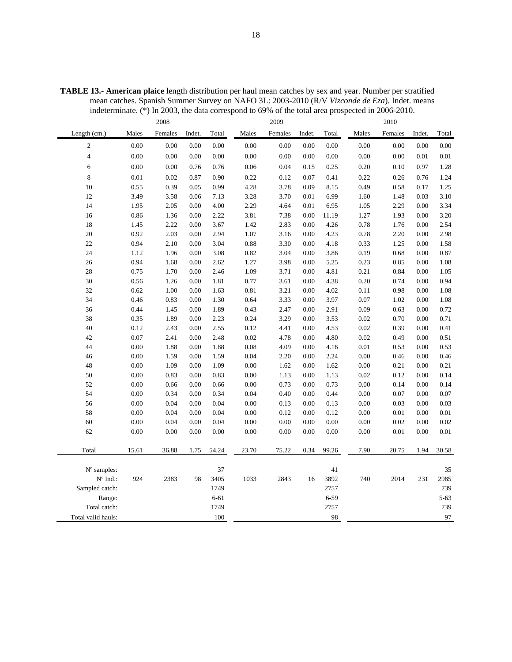|                    | 2008         |          |         |        |          |          | 2009    |        |          | 2010  |          |        |          |  |
|--------------------|--------------|----------|---------|--------|----------|----------|---------|--------|----------|-------|----------|--------|----------|--|
| Length (cm.)       |              | Males    | Females | Indet. | Total    | Males    | Females | Indet. | Total    | Males | Females  | Indet. | Total    |  |
| $\overline{c}$     |              | 0.00     | 0.00    | 0.00   | 0.00     | 0.00     | 0.00    | 0.00   | 0.00     | 0.00  | 0.00     | 0.00   | 0.00     |  |
| $\overline{4}$     |              | 0.00     | 0.00    | 0.00   | 0.00     | 0.00     | 0.00    | 0.00   | 0.00     | 0.00  | 0.00     | 0.01   | 0.01     |  |
| 6                  |              | 0.00     | 0.00    | 0.76   | 0.76     | 0.06     | 0.04    | 0.15   | 0.25     | 0.20  | 0.10     | 0.97   | 1.28     |  |
| 8                  |              | $0.01\,$ | 0.02    | 0.87   | 0.90     | 0.22     | 0.12    | 0.07   | 0.41     | 0.22  | 0.26     | 0.76   | 1.24     |  |
| 10                 |              | 0.55     | 0.39    | 0.05   | 0.99     | 4.28     | 3.78    | 0.09   | 8.15     | 0.49  | 0.58     | 0.17   | 1.25     |  |
| 12                 |              | 3.49     | 3.58    | 0.06   | 7.13     | 3.28     | 3.70    | 0.01   | 6.99     | 1.60  | 1.48     | 0.03   | 3.10     |  |
| 14                 |              | 1.95     | 2.05    | 0.00   | 4.00     | 2.29     | 4.64    | 0.01   | 6.95     | 1.05  | 2.29     | 0.00   | 3.34     |  |
| 16                 |              | 0.86     | 1.36    | 0.00   | 2.22     | 3.81     | 7.38    | 0.00   | 11.19    | 1.27  | 1.93     | 0.00   | 3.20     |  |
| 18                 |              | 1.45     | 2.22    | 0.00   | 3.67     | 1.42     | 2.83    | 0.00   | 4.26     | 0.78  | 1.76     | 0.00   | 2.54     |  |
| 20                 |              | 0.92     | 2.03    | 0.00   | 2.94     | 1.07     | 3.16    | 0.00   | 4.23     | 0.78  | 2.20     | 0.00   | 2.98     |  |
| 22                 |              | 0.94     | 2.10    | 0.00   | 3.04     | 0.88     | 3.30    | 0.00   | 4.18     | 0.33  | 1.25     | 0.00   | 1.58     |  |
| 24                 |              | 1.12     | 1.96    | 0.00   | 3.08     | 0.82     | 3.04    | 0.00   | 3.86     | 0.19  | 0.68     | 0.00   | 0.87     |  |
| 26                 |              | 0.94     | 1.68    | 0.00   | 2.62     | 1.27     | 3.98    | 0.00   | 5.25     | 0.23  | 0.85     | 0.00   | 1.08     |  |
| 28                 |              | 0.75     | 1.70    | 0.00   | 2.46     | 1.09     | 3.71    | 0.00   | 4.81     | 0.21  | 0.84     | 0.00   | 1.05     |  |
| 30                 |              | 0.56     | 1.26    | 0.00   | 1.81     | 0.77     | 3.61    | 0.00   | 4.38     | 0.20  | 0.74     | 0.00   | 0.94     |  |
| 32                 |              | 0.62     | 1.00    | 0.00   | 1.63     | 0.81     | 3.21    | 0.00   | 4.02     | 0.11  | 0.98     | 0.00   | 1.08     |  |
| 34                 |              | 0.46     | 0.83    | 0.00   | 1.30     | 0.64     | 3.33    | 0.00   | 3.97     | 0.07  | 1.02     | 0.00   | 1.08     |  |
| 36                 |              | 0.44     | 1.45    | 0.00   | 1.89     | 0.43     | 2.47    | 0.00   | 2.91     | 0.09  | 0.63     | 0.00   | 0.72     |  |
| 38                 |              | 0.35     | 1.89    | 0.00   | 2.23     | 0.24     | 3.29    | 0.00   | 3.53     | 0.02  | 0.70     | 0.00   | 0.71     |  |
| 40                 |              | 0.12     | 2.43    | 0.00   | 2.55     | 0.12     | 4.41    | 0.00   | 4.53     | 0.02  | 0.39     | 0.00   | 0.41     |  |
| 42                 |              | 0.07     | 2.41    | 0.00   | 2.48     | 0.02     | 4.78    | 0.00   | 4.80     | 0.02  | 0.49     | 0.00   | 0.51     |  |
| 44                 |              | 0.00     | 1.88    | 0.00   | 1.88     | 0.08     | 4.09    | 0.00   | 4.16     | 0.01  | 0.53     | 0.00   | 0.53     |  |
| 46                 |              | 0.00     | 1.59    | 0.00   | 1.59     | 0.04     | 2.20    | 0.00   | 2.24     | 0.00  | 0.46     | 0.00   | 0.46     |  |
| 48                 |              | 0.00     | 1.09    | 0.00   | 1.09     | 0.00     | 1.62    | 0.00   | 1.62     | 0.00  | 0.21     | 0.00   | 0.21     |  |
| 50                 |              | 0.00     | 0.83    | 0.00   | 0.83     | $0.00\,$ | 1.13    | 0.00   | 1.13     | 0.02  | 0.12     | 0.00   | 0.14     |  |
| 52                 |              | 0.00     | 0.66    | 0.00   | 0.66     | 0.00     | 0.73    | 0.00   | 0.73     | 0.00  | 0.14     | 0.00   | 0.14     |  |
| 54                 |              | 0.00     | 0.34    | 0.00   | 0.34     | 0.04     | 0.40    | 0.00   | 0.44     | 0.00  | 0.07     | 0.00   | 0.07     |  |
| 56                 |              | $0.00\,$ | 0.04    | 0.00   | 0.04     | 0.00     | 0.13    | 0.00   | 0.13     | 0.00  | 0.03     | 0.00   | 0.03     |  |
| 58                 |              | 0.00     | 0.04    | 0.00   | 0.04     | 0.00     | 0.12    | 0.00   | 0.12     | 0.00  | 0.01     | 0.00   | 0.01     |  |
| 60                 |              | 0.00     | 0.04    | 0.00   | 0.04     | 0.00     | 0.00    | 0.00   | 0.00     | 0.00  | 0.02     | 0.00   | 0.02     |  |
| 62                 |              | 0.00     | 0.00    | 0.00   | 0.00     | 0.00     | 0.00    | 0.00   | 0.00     | 0.00  | $0.01\,$ | 0.00   | 0.01     |  |
| Total              |              | 15.61    | 36.88   | 1.75   | 54.24    | 23.70    | 75.22   | 0.34   | 99.26    | 7.90  | 20.75    | 1.94   | 30.58    |  |
|                    | N° samples:  |          |         |        | 37       |          |         |        | 41       |       |          |        | 35       |  |
|                    | N° Ind.:     | 924      | 2383    | 98     | 3405     | 1033     | 2843    | 16     | 3892     | 740   | 2014     | 231    | 2985     |  |
| Sampled catch:     |              |          |         |        | 1749     |          |         |        | 2757     |       |          |        | 739      |  |
|                    | Range:       |          |         |        | $6 - 61$ |          |         |        | $6 - 59$ |       |          |        | $5 - 63$ |  |
|                    | Total catch: |          |         |        | 1749     |          |         |        | 2757     |       |          |        | 739      |  |
| Total valid hauls: |              |          |         |        | 100      |          |         |        | 98       |       |          |        | 97       |  |

**TABLE 13.- American plaice** length distribution per haul mean catches by sex and year. Number per stratified mean catches. Spanish Summer Survey on NAFO 3L: 2003-2010 (R/V *Vizconde de Eza*). Indet. means indeterminate. (\*) In 2003, the data correspond to 69% of the total area prospected in 2006-2010.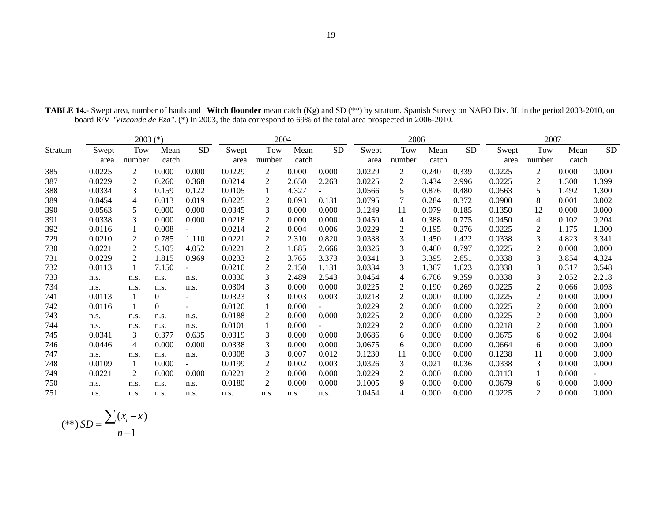|         |        | $2003$ (*)     |                |           |        | 2004       |       |           | 2006   |        |       |                 |        | 2007           |       |           |  |
|---------|--------|----------------|----------------|-----------|--------|------------|-------|-----------|--------|--------|-------|-----------------|--------|----------------|-------|-----------|--|
| Stratum | Swept  | Tow            | Mean           | <b>SD</b> | Swept  | <b>Tow</b> | Mean  | <b>SD</b> | Swept  | Tow    | Mean  | SD <sub>1</sub> | Swept  | Tow            | Mean  | <b>SD</b> |  |
|         | area   | number         | catch          |           | area   | number     | catch |           | area   | number | catch |                 | area   | number         | catch |           |  |
| 385     | 0.0225 | 2              | 0.000          | 0.000     | 0.0229 | 2          | 0.000 | 0.000     | 0.0229 | 2      | 0.240 | 0.339           | 0.0225 | $\overline{2}$ | 0.000 | 0.000     |  |
| 387     | 0.0229 | 2              | 0.260          | 0.368     | 0.0214 | 2          | 2.650 | 2.263     | 0.0225 | 2      | 3.434 | 2.996           | 0.0225 | 2              | 1.300 | 1.399     |  |
| 388     | 0.0334 | 3              | 0.159          | 0.122     | 0.0105 |            | 4.327 |           | 0.0566 | 5      | 0.876 | 0.480           | 0.0563 | 5              | 1.492 | 1.300     |  |
| 389     | 0.0454 | $\overline{4}$ | 0.013          | 0.019     | 0.0225 | 2          | 0.093 | 0.131     | 0.0795 | 7      | 0.284 | 0.372           | 0.0900 | 8              | 0.001 | 0.002     |  |
| 390     | 0.0563 | 5              | 0.000          | 0.000     | 0.0345 | 3          | 0.000 | 0.000     | 0.1249 | 11     | 0.079 | 0.185           | 0.1350 | 12             | 0.000 | 0.000     |  |
| 391     | 0.0338 | 3              | 0.000          | 0.000     | 0.0218 | 2          | 0.000 | 0.000     | 0.0450 | 4      | 0.388 | 0.775           | 0.0450 | 4              | 0.102 | 0.204     |  |
| 392     | 0.0116 |                | 0.008          |           | 0.0214 | 2          | 0.004 | 0.006     | 0.0229 | 2      | 0.195 | 0.276           | 0.0225 | 2              | 1.175 | 1.300     |  |
| 729     | 0.0210 | 2              | 0.785          | 1.110     | 0.0221 | 2          | 2.310 | 0.820     | 0.0338 | 3      | 1.450 | 1.422           | 0.0338 | 3              | 4.823 | 3.341     |  |
| 730     | 0.0221 | 2              | 5.105          | 4.052     | 0.0221 | 2          | 1.885 | 2.666     | 0.0326 | 3      | 0.460 | 0.797           | 0.0225 | 2              | 0.000 | 0.000     |  |
| 731     | 0.0229 | $\overline{2}$ | 1.815          | 0.969     | 0.0233 | 2          | 3.765 | 3.373     | 0.0341 | 3      | 3.395 | 2.651           | 0.0338 | 3              | 3.854 | 4.324     |  |
| 732     | 0.0113 |                | 7.150          |           | 0.0210 | 2          | 2.150 | 1.131     | 0.0334 | 3      | 1.367 | 1.623           | 0.0338 | 3              | 0.317 | 0.548     |  |
| 733     | n.s.   | n.s.           | n.s.           | n.s.      | 0.0330 | 3          | 2.489 | 2.543     | 0.0454 | 4      | 6.706 | 9.359           | 0.0338 | 3              | 2.052 | 2.218     |  |
| 734     | n.s.   | n.s.           | n.s.           | n.s.      | 0.0304 | 3          | 0.000 | 0.000     | 0.0225 | 2      | 0.190 | 0.269           | 0.0225 | 2              | 0.066 | 0.093     |  |
| 741     | 0.0113 |                | $\overline{0}$ | $\sim$    | 0.0323 | 3          | 0.003 | 0.003     | 0.0218 | 2      | 0.000 | 0.000           | 0.0225 | 2              | 0.000 | 0.000     |  |
| 742     | 0.0116 |                | $\mathbf{0}$   |           | 0.0120 |            | 0.000 |           | 0.0229 | 2      | 0.000 | 0.000           | 0.0225 | 2              | 0.000 | 0.000     |  |
| 743     | n.s.   | n.s.           | n.s.           | n.s.      | 0.0188 | 2          | 0.000 | 0.000     | 0.0225 | 2      | 0.000 | 0.000           | 0.0225 | $\overline{c}$ | 0.000 | 0.000     |  |
| 744     | n.s.   | n.s.           | n.s.           | n.s.      | 0.0101 |            | 0.000 |           | 0.0229 | 2      | 0.000 | 0.000           | 0.0218 | 2              | 0.000 | 0.000     |  |
| 745     | 0.0341 | 3              | 0.377          | 0.635     | 0.0319 | 3          | 0.000 | 0.000     | 0.0686 | 6      | 0.000 | 0.000           | 0.0675 | 6              | 0.002 | 0.004     |  |
| 746     | 0.0446 | 4              | 0.000          | 0.000     | 0.0338 | 3          | 0.000 | 0.000     | 0.0675 | 6      | 0.000 | 0.000           | 0.0664 | 6              | 0.000 | 0.000     |  |
| 747     | n.s.   | n.s.           | n.s.           | n.s.      | 0.0308 | 3          | 0.007 | 0.012     | 0.1230 | 11     | 0.000 | 0.000           | 0.1238 | 11             | 0.000 | 0.000     |  |
| 748     | 0.0109 | -1             | 0.000          |           | 0.0199 | 2          | 0.002 | 0.003     | 0.0326 | 3      | 0.021 | 0.036           | 0.0338 | 3              | 0.000 | 0.000     |  |
| 749     | 0.0221 | 2              | 0.000          | 0.000     | 0.0221 | 2          | 0.000 | 0.000     | 0.0229 | 2      | 0.000 | 0.000           | 0.0113 |                | 0.000 | $\sim$    |  |
| 750     | n.s.   | n.s.           | n.s.           | n.s.      | 0.0180 | 2          | 0.000 | 0.000     | 0.1005 | 9      | 0.000 | 0.000           | 0.0679 | 6              | 0.000 | 0.000     |  |
| 751     | n.s.   | n.s.           | n.s.           | n.s.      | n.s.   | n.s.       | n.s.  | n.s.      | 0.0454 | 4      | 0.000 | 0.000           | 0.0225 | 2              | 0.000 | 0.000     |  |

**TABLE 14.-** Swept area, number of hauls and **Witch flounder** mean catch (Kg) and SD (\*\*) by stratum. Spanish Survey on NAFO Div. 3L in the period 2003-2010, on board R/V "*Vizconde de Eza"*. (\*) In 2003, the data correspond to 69% of the total area prospected in 2006-2010.

$$
(**) SD = \frac{\sum (x_i - \overline{x})}{n-1}
$$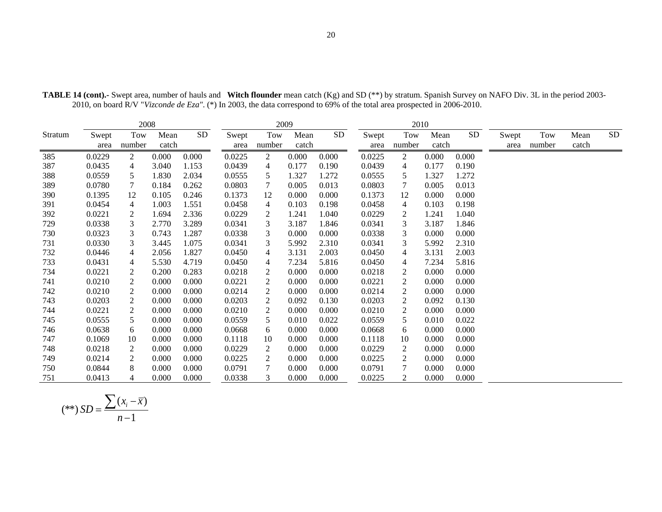|         |               | 2008           |               |       |               |                | 2009          |       |               |                | 2010          |           |               |               |               |           |
|---------|---------------|----------------|---------------|-------|---------------|----------------|---------------|-------|---------------|----------------|---------------|-----------|---------------|---------------|---------------|-----------|
| Stratum | Swept<br>area | Tow<br>number  | Mean<br>catch | SD    | Swept<br>area | Tow<br>number  | Mean<br>catch | SD    | Swept<br>area | Tow<br>number  | Mean<br>catch | <b>SD</b> | Swept<br>area | Tow<br>number | Mean<br>catch | <b>SD</b> |
|         |               | 2              |               | 0.000 |               | 2              |               |       |               | $\overline{2}$ |               | 0.000     |               |               |               |           |
| 385     | 0.0229        |                | 0.000         |       | 0.0225        |                | 0.000         | 0.000 | 0.0225        |                | 0.000         |           |               |               |               |           |
| 387     | 0.0435        | 4              | 3.040         | 1.153 | 0.0439        | 4              | 0.177         | 0.190 | 0.0439        | 4              | 0.177         | 0.190     |               |               |               |           |
| 388     | 0.0559        | 5              | 1.830         | 2.034 | 0.0555        | 5              | 1.327         | 1.272 | 0.0555        | 5              | 1.327         | 1.272     |               |               |               |           |
| 389     | 0.0780        | 7              | 0.184         | 0.262 | 0.0803        | 7              | 0.005         | 0.013 | 0.0803        | $\tau$         | 0.005         | 0.013     |               |               |               |           |
| 390     | 0.1395        | 12             | 0.105         | 0.246 | 0.1373        | 12             | 0.000         | 0.000 | 0.1373        | 12             | 0.000         | 0.000     |               |               |               |           |
| 391     | 0.0454        | 4              | 1.003         | 1.551 | 0.0458        | 4              | 0.103         | 0.198 | 0.0458        | 4              | 0.103         | 0.198     |               |               |               |           |
| 392     | 0.0221        | 2              | 1.694         | 2.336 | 0.0229        | 2              | 1.241         | 1.040 | 0.0229        | 2              | 1.241         | 1.040     |               |               |               |           |
| 729     | 0.0338        | 3              | 2.770         | 3.289 | 0.0341        | 3              | 3.187         | 1.846 | 0.0341        | 3              | 3.187         | 1.846     |               |               |               |           |
| 730     | 0.0323        | 3              | 0.743         | 1.287 | 0.0338        | 3              | 0.000         | 0.000 | 0.0338        | 3              | 0.000         | 0.000     |               |               |               |           |
| 731     | 0.0330        | 3              | 3.445         | 1.075 | 0.0341        | 3              | 5.992         | 2.310 | 0.0341        | 3              | 5.992         | 2.310     |               |               |               |           |
| 732     | 0.0446        | 4              | 2.056         | 1.827 | 0.0450        | 4              | 3.131         | 2.003 | 0.0450        | 4              | 3.131         | 2.003     |               |               |               |           |
| 733     | 0.0431        | 4              | 5.530         | 4.719 | 0.0450        | 4              | 7.234         | 5.816 | 0.0450        | $\overline{4}$ | 7.234         | 5.816     |               |               |               |           |
| 734     | 0.0221        | 2              | 0.200         | 0.283 | 0.0218        | 2              | 0.000         | 0.000 | 0.0218        | 2              | 0.000         | 0.000     |               |               |               |           |
| 741     | 0.0210        | $\overline{c}$ | 0.000         | 0.000 | 0.0221        | $\overline{2}$ | 0.000         | 0.000 | 0.0221        | 2              | 0.000         | 0.000     |               |               |               |           |
| 742     | 0.0210        | $\overline{2}$ | 0.000         | 0.000 | 0.0214        | 2              | 0.000         | 0.000 | 0.0214        | 2              | 0.000         | 0.000     |               |               |               |           |
| 743     | 0.0203        | $\overline{c}$ | 0.000         | 0.000 | 0.0203        | $\overline{2}$ | 0.092         | 0.130 | 0.0203        | 2              | 0.092         | 0.130     |               |               |               |           |
| 744     | 0.0221        | $\overline{c}$ | 0.000         | 0.000 | 0.0210        | $\overline{2}$ | 0.000         | 0.000 | 0.0210        | 2              | 0.000         | 0.000     |               |               |               |           |
| 745     | 0.0555        | 5              | 0.000         | 0.000 | 0.0559        | 5              | 0.010         | 0.022 | 0.0559        | 5              | 0.010         | 0.022     |               |               |               |           |
| 746     | 0.0638        | 6              | 0.000         | 0.000 | 0.0668        | 6              | 0.000         | 0.000 | 0.0668        | 6              | 0.000         | 0.000     |               |               |               |           |
| 747     | 0.1069        | 10             | 0.000         | 0.000 | 0.1118        | 10             | 0.000         | 0.000 | 0.1118        | 10             | 0.000         | 0.000     |               |               |               |           |
| 748     | 0.0218        | $\overline{2}$ | 0.000         | 0.000 | 0.0229        | 2              | 0.000         | 0.000 | 0.0229        | 2              | 0.000         | 0.000     |               |               |               |           |
| 749     | 0.0214        | 2              | 0.000         | 0.000 | 0.0225        | 2              | 0.000         | 0.000 | 0.0225        | 2              | 0.000         | 0.000     |               |               |               |           |
| 750     | 0.0844        | 8              | 0.000         | 0.000 | 0.0791        | 7              | 0.000         | 0.000 | 0.0791        | 7              | 0.000         | 0.000     |               |               |               |           |
| 751     | 0.0413        | $\overline{4}$ | 0.000         | 0.000 | 0.0338        | 3              | 0.000         | 0.000 | 0.0225        | 2              | 0.000         | 0.000     |               |               |               |           |

**TABLE 14 (cont).-** Swept area, number of hauls and **Witch flounder** mean catch (Kg) and SD (\*\*) by stratum. Spanish Survey on NAFO Div. 3L in the period 2003- 2010, on board R/V "*Vizconde de Eza"*. (\*) In 2003, the data correspond to 69% of the total area prospected in 2006-2010.

$$
(**) SD = \frac{\sum (x_i - \overline{x})}{n-1}
$$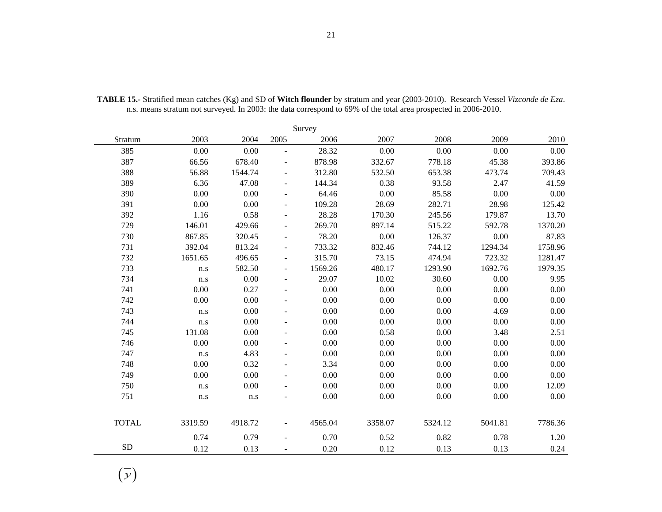|              | Survey                  |         |                          |         |         |         |         |         |  |  |  |  |
|--------------|-------------------------|---------|--------------------------|---------|---------|---------|---------|---------|--|--|--|--|
| Stratum      | 2003                    | 2004    | 2005                     | 2006    | 2007    | 2008    | 2009    | 2010    |  |  |  |  |
| 385          | 0.00                    | 0.00    | $\blacksquare$           | 28.32   | 0.00    | 0.00    | 0.00    | 0.00    |  |  |  |  |
| 387          | 66.56                   | 678.40  | ÷,                       | 878.98  | 332.67  | 778.18  | 45.38   | 393.86  |  |  |  |  |
| 388          | 56.88                   | 1544.74 | ÷.                       | 312.80  | 532.50  | 653.38  | 473.74  | 709.43  |  |  |  |  |
| 389          | 6.36                    | 47.08   |                          | 144.34  | 0.38    | 93.58   | 2.47    | 41.59   |  |  |  |  |
| 390          | 0.00                    | 0.00    | $\overline{\phantom{0}}$ | 64.46   | 0.00    | 85.58   | 0.00    | 0.00    |  |  |  |  |
| 391          | 0.00                    | 0.00    | $\blacksquare$           | 109.28  | 28.69   | 282.71  | 28.98   | 125.42  |  |  |  |  |
| 392          | 1.16                    | 0.58    | $\overline{\phantom{0}}$ | 28.28   | 170.30  | 245.56  | 179.87  | 13.70   |  |  |  |  |
| 729          | 146.01                  | 429.66  | $\overline{\phantom{0}}$ | 269.70  | 897.14  | 515.22  | 592.78  | 1370.20 |  |  |  |  |
| 730          | 867.85                  | 320.45  |                          | 78.20   | 0.00    | 126.37  | 0.00    | 87.83   |  |  |  |  |
| 731          | 392.04                  | 813.24  | $\blacksquare$           | 733.32  | 832.46  | 744.12  | 1294.34 | 1758.96 |  |  |  |  |
| 732          | 1651.65                 | 496.65  | $\blacksquare$           | 315.70  | 73.15   | 474.94  | 723.32  | 1281.47 |  |  |  |  |
| 733          | n.s                     | 582.50  | $\blacksquare$           | 1569.26 | 480.17  | 1293.90 | 1692.76 | 1979.35 |  |  |  |  |
| 734          | $\mathbf{n}.\mathbf{s}$ | 0.00    | $\blacksquare$           | 29.07   | 10.02   | 30.60   | 0.00    | 9.95    |  |  |  |  |
| 741          | 0.00                    | 0.27    | $\equiv$                 | 0.00    | 0.00    | 0.00    | 0.00    | 0.00    |  |  |  |  |
| 742          | 0.00                    | 0.00    | ÷.                       | 0.00    | 0.00    | 0.00    | 0.00    | 0.00    |  |  |  |  |
| 743          | $\mathbf{n}.\mathbf{s}$ | 0.00    | $\sim$                   | 0.00    | 0.00    | 0.00    | 4.69    | 0.00    |  |  |  |  |
| 744          | n.s                     | 0.00    | -                        | 0.00    | 0.00    | 0.00    | 0.00    | 0.00    |  |  |  |  |
| 745          | 131.08                  | 0.00    | $\sim$                   | 0.00    | 0.58    | 0.00    | 3.48    | 2.51    |  |  |  |  |
| 746          | 0.00                    | 0.00    | ÷,                       | 0.00    | 0.00    | 0.00    | 0.00    | 0.00    |  |  |  |  |
| 747          | n.s                     | 4.83    | ÷                        | 0.00    | 0.00    | 0.00    | 0.00    | 0.00    |  |  |  |  |
| 748          | 0.00                    | 0.32    | $\sim$                   | 3.34    | 0.00    | 0.00    | 0.00    | 0.00    |  |  |  |  |
| 749          | 0.00                    | 0.00    | $\blacksquare$           | 0.00    | 0.00    | 0.00    | 0.00    | 0.00    |  |  |  |  |
| 750          | n.s                     | 0.00    | ÷                        | 0.00    | 0.00    | 0.00    | 0.00    | 12.09   |  |  |  |  |
| 751          | n.s                     | n.s     |                          | 0.00    | 0.00    | 0.00    | 0.00    | 0.00    |  |  |  |  |
|              |                         |         |                          |         |         |         |         |         |  |  |  |  |
| <b>TOTAL</b> | 3319.59                 | 4918.72 | $\overline{\phantom{0}}$ | 4565.04 | 3358.07 | 5324.12 | 5041.81 | 7786.36 |  |  |  |  |
|              | 0.74                    | 0.79    |                          | 0.70    | 0.52    | 0.82    | 0.78    | 1.20    |  |  |  |  |
| <b>SD</b>    | 0.12                    | 0.13    |                          | 0.20    | 0.12    | 0.13    | 0.13    | 0.24    |  |  |  |  |

**TABLE 15.-** Stratified mean catches (Kg) and SD of **Witch flounder** by stratum and year (2003-2010). Research Vessel *Vizconde de Eza*. n.s. means stratum not surveyed. In 2003: the data correspond to 69% of the total area prospected in 2006-2010.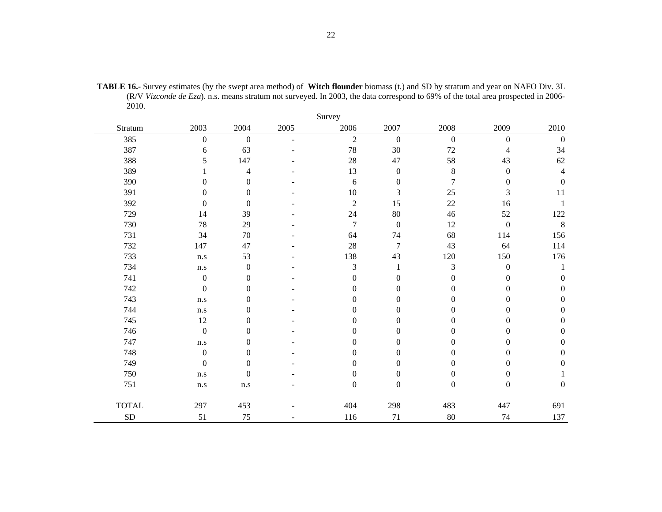|              | Survey                  |                  |                          |                  |                  |                  |                  |                  |  |  |  |
|--------------|-------------------------|------------------|--------------------------|------------------|------------------|------------------|------------------|------------------|--|--|--|
| Stratum      | 2003                    | 2004             | 2005                     | 2006             | 2007             | 2008             | 2009             | 2010             |  |  |  |
| 385          | $\boldsymbol{0}$        | $\boldsymbol{0}$ | $\overline{\phantom{a}}$ | $\overline{2}$   | $\boldsymbol{0}$ | $\boldsymbol{0}$ | $\boldsymbol{0}$ | $\boldsymbol{0}$ |  |  |  |
| 387          | 6                       | 63               |                          | 78               | 30               | 72               | 4                | 34               |  |  |  |
| 388          | 5                       | 147              |                          | 28               | $47\,$           | 58               | 43               | 62               |  |  |  |
| 389          |                         | 4                |                          | 13               | $\boldsymbol{0}$ | $\,8\,$          | $\boldsymbol{0}$ | 4                |  |  |  |
| 390          | $\Omega$                | $\boldsymbol{0}$ |                          | 6                | $\boldsymbol{0}$ | 7                | $\overline{0}$   | $\boldsymbol{0}$ |  |  |  |
| 391          | $\Omega$                | $\boldsymbol{0}$ |                          | 10               | 3                | 25               | 3                | 11               |  |  |  |
| 392          | $\mathbf{0}$            | $\boldsymbol{0}$ |                          | $\sqrt{2}$       | 15               | 22               | 16               | $\mathbf{1}$     |  |  |  |
| 729          | 14                      | 39               |                          | 24               | 80               | 46               | 52               | 122              |  |  |  |
| 730          | 78                      | 29               |                          | $\overline{7}$   | $\boldsymbol{0}$ | 12               | $\boldsymbol{0}$ | $\,8\,$          |  |  |  |
| 731          | 34                      | 70               |                          | 64               | 74               | 68               | 114              | 156              |  |  |  |
| 732          | 147                     | 47               |                          | 28               | 7                | 43               | 64               | 114              |  |  |  |
| 733          | n.s                     | 53               |                          | 138              | 43               | 120              | 150              | 176              |  |  |  |
| 734          | n.s                     | $\boldsymbol{0}$ |                          | 3                |                  | 3                | $\boldsymbol{0}$ |                  |  |  |  |
| 741          | $\boldsymbol{0}$        | $\boldsymbol{0}$ |                          | $\boldsymbol{0}$ | $\theta$         | $\boldsymbol{0}$ | $\boldsymbol{0}$ | $\boldsymbol{0}$ |  |  |  |
| 742          | $\boldsymbol{0}$        | $\boldsymbol{0}$ |                          | $\theta$         | 0                | $\Omega$         | 0                | $\boldsymbol{0}$ |  |  |  |
| 743          | n.s                     | $\boldsymbol{0}$ |                          | $\theta$         | $\mathbf{0}$     | $\mathbf{0}$     | 0                | $\mathbf{0}$     |  |  |  |
| 744          | $\mathbf{n}.\mathbf{s}$ | $\boldsymbol{0}$ |                          | $\theta$         | 0                | $\mathbf{0}$     | 0                | $\boldsymbol{0}$ |  |  |  |
| 745          | 12                      | $\boldsymbol{0}$ |                          | $\theta$         | 0                | $\theta$         | 0                | $\boldsymbol{0}$ |  |  |  |
| 746          | $\boldsymbol{0}$        | $\boldsymbol{0}$ |                          | $\theta$         | 0                | $\boldsymbol{0}$ | 0                | $\boldsymbol{0}$ |  |  |  |
| 747          | n.s                     | $\boldsymbol{0}$ |                          | $\theta$         | 0                | $\theta$         | 0                | $\boldsymbol{0}$ |  |  |  |
| 748          | $\boldsymbol{0}$        | $\boldsymbol{0}$ |                          | $\theta$         | $\mathbf{0}$     | $\theta$         | 0                | $\boldsymbol{0}$ |  |  |  |
| 749          | $\mathbf{0}$            | $\boldsymbol{0}$ |                          | $\theta$         | 0                | $\theta$         | 0                | $\mathbf{0}$     |  |  |  |
| 750          | n.s                     | $\boldsymbol{0}$ |                          | $\mathbf{0}$     | $\boldsymbol{0}$ | $\boldsymbol{0}$ | 0                |                  |  |  |  |
| 751          | n.s                     | $\rm n.s$        |                          | $\boldsymbol{0}$ | $\boldsymbol{0}$ | $\boldsymbol{0}$ | $\boldsymbol{0}$ | $\boldsymbol{0}$ |  |  |  |
| <b>TOTAL</b> | 297                     | 453              |                          | 404              | 298              | 483              | 447              | 691              |  |  |  |
| ${\rm SD}$   | 51                      | 75               |                          | 116              | 71               | 80               | 74               | 137              |  |  |  |

**TABLE 16.-** Survey estimates (by the swept area method) of **Witch flounder** biomass (t.) and SD by stratum and year on NAFO Div. 3L (R/V *Vizconde de Eza*). n.s. means stratum not surveyed. In 2003, the data correspond to 69% of the total area prospected in 2006- 2010.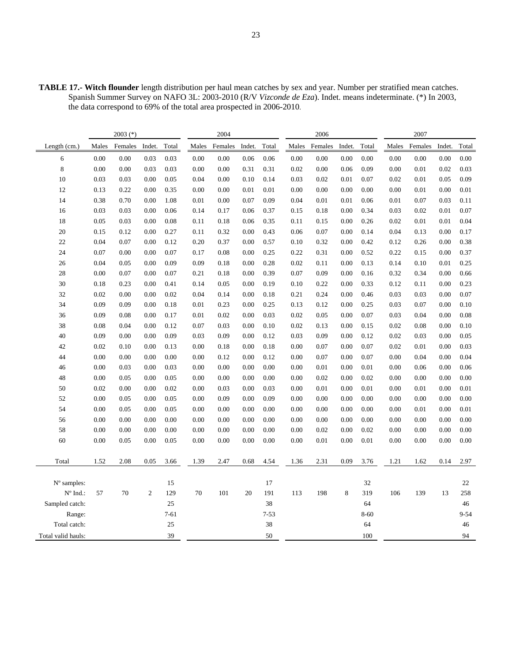**TABLE 17.- Witch flounder** length distribution per haul mean catches by sex and year. Number per stratified mean catches. Spanish Summer Survey on NAFO 3L: 2003-2010 (R/V *Vizconde de Eza*). Indet. means indeterminate. (\*) In 2003, the data correspond to 69% of the total area prospected in 2006-2010.

|                                 |       | $2003$ (*) |                |          | 2004  |         |        | 2006     |       |         |        |       | 2007  |         |        |          |
|---------------------------------|-------|------------|----------------|----------|-------|---------|--------|----------|-------|---------|--------|-------|-------|---------|--------|----------|
| Length (cm.)                    | Males | Females    | Indet.         | Total    | Males | Females | Indet. | Total    | Males | Females | Indet. | Total | Males | Females | Indet. | Total    |
| 6                               | 0.00  | 0.00       | 0.03           | 0.03     | 0.00  | 0.00    | 0.06   | 0.06     | 0.00  | 0.00    | 0.00   | 0.00  | 0.00  | 0.00    | 0.00   | 0.00     |
| 8                               | 0.00  | 0.00       | 0.03           | 0.03     | 0.00  | 0.00    | 0.31   | 0.31     | 0.02  | 0.00    | 0.06   | 0.09  | 0.00  | 0.01    | 0.02   | 0.03     |
| 10                              | 0.03  | 0.03       | 0.00           | 0.05     | 0.04  | 0.00    | 0.10   | 0.14     | 0.03  | 0.02    | 0.01   | 0.07  | 0.02  | 0.01    | 0.05   | 0.09     |
| 12                              | 0.13  | 0.22       | 0.00           | 0.35     | 0.00  | 0.00    | 0.01   | 0.01     | 0.00  | 0.00    | 0.00   | 0.00  | 0.00  | 0.01    | 0.00   | 0.01     |
| 14                              | 0.38  | 0.70       | 0.00           | 1.08     | 0.01  | 0.00    | 0.07   | 0.09     | 0.04  | 0.01    | 0.01   | 0.06  | 0.01  | 0.07    | 0.03   | 0.11     |
| 16                              | 0.03  | 0.03       | 0.00           | 0.06     | 0.14  | 0.17    | 0.06   | 0.37     | 0.15  | 0.18    | 0.00   | 0.34  | 0.03  | 0.02    | 0.01   | 0.07     |
| 18                              | 0.05  | 0.03       | 0.00           | 0.08     | 0.11  | 0.18    | 0.06   | 0.35     | 0.11  | 0.15    | 0.00   | 0.26  | 0.02  | 0.01    | 0.01   | 0.04     |
| 20                              | 0.15  | 0.12       | 0.00           | 0.27     | 0.11  | 0.32    | 0.00   | 0.43     | 0.06  | 0.07    | 0.00   | 0.14  | 0.04  | 0.13    | 0.00   | 0.17     |
| 22                              | 0.04  | 0.07       | 0.00           | 0.12     | 0.20  | 0.37    | 0.00   | 0.57     | 0.10  | 0.32    | 0.00   | 0.42  | 0.12  | 0.26    | 0.00   | 0.38     |
| 24                              | 0.07  | 0.00       | 0.00           | 0.07     | 0.17  | 0.08    | 0.00   | 0.25     | 0.22  | 0.31    | 0.00   | 0.52  | 0.22  | 0.15    | 0.00   | 0.37     |
| 26                              | 0.04  | 0.05       | 0.00           | 0.09     | 0.09  | 0.18    | 0.00   | 0.28     | 0.02  | 0.11    | 0.00   | 0.13  | 0.14  | 0.10    | 0.01   | 0.25     |
| 28                              | 0.00  | 0.07       | 0.00           | 0.07     | 0.21  | 0.18    | 0.00   | 0.39     | 0.07  | 0.09    | 0.00   | 0.16  | 0.32  | 0.34    | 0.00   | 0.66     |
| 30                              | 0.18  | 0.23       | 0.00           | 0.41     | 0.14  | 0.05    | 0.00   | 0.19     | 0.10  | 0.22    | 0.00   | 0.33  | 0.12  | 0.11    | 0.00   | 0.23     |
| 32                              | 0.02  | 0.00       | 0.00           | 0.02     | 0.04  | 0.14    | 0.00   | 0.18     | 0.21  | 0.24    | 0.00   | 0.46  | 0.03  | 0.03    | 0.00   | 0.07     |
| 34                              | 0.09  | 0.09       | 0.00           | 0.18     | 0.01  | 0.23    | 0.00   | 0.25     | 0.13  | 0.12    | 0.00   | 0.25  | 0.03  | 0.07    | 0.00   | 0.10     |
| 36                              | 0.09  | 0.08       | 0.00           | 0.17     | 0.01  | 0.02    | 0.00   | 0.03     | 0.02  | 0.05    | 0.00   | 0.07  | 0.03  | 0.04    | 0.00   | 0.08     |
| 38                              | 0.08  | 0.04       | 0.00           | 0.12     | 0.07  | 0.03    | 0.00   | 0.10     | 0.02  | 0.13    | 0.00   | 0.15  | 0.02  | 0.08    | 0.00   | 0.10     |
| 40                              | 0.09  | 0.00       | 0.00           | 0.09     | 0.03  | 0.09    | 0.00   | 0.12     | 0.03  | 0.09    | 0.00   | 0.12  | 0.02  | 0.03    | 0.00   | 0.05     |
| 42                              | 0.02  | 0.10       | 0.00           | 0.13     | 0.00  | 0.18    | 0.00   | 0.18     | 0.00  | 0.07    | 0.00   | 0.07  | 0.02  | 0.01    | 0.00   | 0.03     |
| 44                              | 0.00  | 0.00       | 0.00           | 0.00     | 0.00  | 0.12    | 0.00   | 0.12     | 0.00  | 0.07    | 0.00   | 0.07  | 0.00  | 0.04    | 0.00   | 0.04     |
| 46                              | 0.00  | 0.03       | 0.00           | 0.03     | 0.00  | 0.00    | 0.00   | 0.00     | 0.00  | 0.01    | 0.00   | 0.01  | 0.00  | 0.06    | 0.00   | 0.06     |
| 48                              | 0.00  | 0.05       | 0.00           | 0.05     | 0.00  | 0.00    | 0.00   | 0.00     | 0.00  | 0.02    | 0.00   | 0.02  | 0.00  | 0.00    | 0.00   | 0.00     |
| 50                              | 0.02  | 0.00       | 0.00           | 0.02     | 0.00  | 0.03    | 0.00   | 0.03     | 0.00  | 0.01    | 0.00   | 0.01  | 0.00  | 0.01    | 0.00   | 0.01     |
| 52                              | 0.00  | 0.05       | 0.00           | 0.05     | 0.00  | 0.09    | 0.00   | 0.09     | 0.00  | 0.00    | 0.00   | 0.00  | 0.00  | 0.00    | 0.00   | 0.00     |
| 54                              | 0.00  | 0.05       | 0.00           | 0.05     | 0.00  | 0.00    | 0.00   | 0.00     | 0.00  | 0.00    | 0.00   | 0.00  | 0.00  | 0.01    | 0.00   | 0.01     |
| 56                              | 0.00  | 0.00       | 0.00           | 0.00     | 0.00  | 0.00    | 0.00   | 0.00     | 0.00  | 0.00    | 0.00   | 0.00  | 0.00  | 0.00    | 0.00   | 0.00     |
| 58                              | 0.00  | 0.00       | 0.00           | 0.00     | 0.00  | 0.00    | 0.00   | 0.00     | 0.00  | 0.02    | 0.00   | 0.02  | 0.00  | 0.00    | 0.00   | 0.00     |
| 60                              | 0.00  | 0.05       | 0.00           | 0.05     | 0.00  | 0.00    | 0.00   | 0.00     | 0.00  | 0.01    | 0.00   | 0.01  | 0.00  | 0.00    | 0.00   | 0.00     |
|                                 |       |            |                |          |       |         |        |          |       |         |        |       |       |         |        |          |
| Total                           | 1.52  | 2.08       | 0.05           | 3.66     | 1.39  | 2.47    | 0.68   | 4.54     | 1.36  | 2.31    | 0.09   | 3.76  | 1.21  | 1.62    | 0.14   | 2.97     |
|                                 |       |            |                |          |       |         |        |          |       |         |        |       |       |         |        |          |
| $No$ samples:                   |       |            |                | 15       |       |         |        | 17       |       |         |        | 32    |       |         |        | 22       |
| $\mathrm{N}^{\mathrm{o}}$ Ind.: | 57    | 70         | $\overline{2}$ | 129      | 70    | 101     | 20     | 191      | 113   | 198     | 8      | 319   | 106   | 139     | 13     | 258      |
| Sampled catch:                  |       |            |                | 25       |       |         |        | 38       |       |         |        | 64    |       |         |        | 46       |
| Range:                          |       |            |                | $7 - 61$ |       |         |        | $7 - 53$ |       |         |        | 8-60  |       |         |        | $9 - 54$ |
| Total catch:                    |       |            |                | 25       |       |         |        | 38       |       |         |        | 64    |       |         |        | 46       |
| Total valid hauls:              |       |            |                | 39       |       |         |        | 50       |       |         |        | 100   |       |         |        | 94       |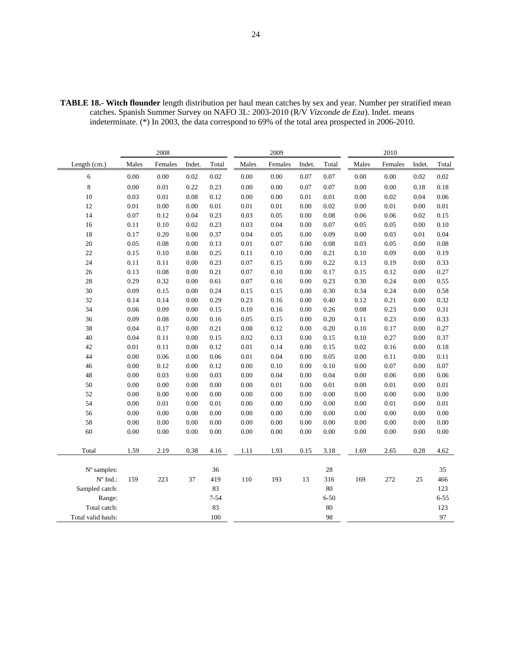|                                 | 2008     |         |        |          |       | 2009    |        |          | 2010     |          |          |          |
|---------------------------------|----------|---------|--------|----------|-------|---------|--------|----------|----------|----------|----------|----------|
| Length $(cm.)$                  | Males    | Females | Indet. | Total    | Males | Females | Indet. | Total    | Males    | Females  | Indet.   | Total    |
| 6                               | $0.00\,$ | 0.00    | 0.02   | 0.02     | 0.00  | 0.00    | 0.07   | 0.07     | $0.00\,$ | $0.00\,$ | 0.02     | 0.02     |
| $\,$ 8 $\,$                     | 0.00     | 0.01    | 0.22   | 0.23     | 0.00  | 0.00    | 0.07   | 0.07     | 0.00     | 0.00     | $0.18\,$ | 0.18     |
| 10                              | 0.03     | 0.01    | 0.08   | 0.12     | 0.00  | 0.00    | 0.01   | 0.01     | 0.00     | 0.02     | 0.04     | 0.06     |
| 12                              | 0.01     | 0.00    | 0.00   | 0.01     | 0.01  | 0.01    | 0.00   | 0.02     | 0.00     | 0.01     | 0.00     | 0.01     |
| 14                              | 0.07     | 0.12    | 0.04   | 0.23     | 0.03  | 0.05    | 0.00   | 0.08     | 0.06     | 0.06     | 0.02     | 0.15     |
| 16                              | 0.11     | 0.10    | 0.02   | 0.23     | 0.03  | 0.04    | 0.00   | 0.07     | 0.05     | 0.05     | 0.00     | 0.10     |
| 18                              | 0.17     | 0.20    | 0.00   | 0.37     | 0.04  | 0.05    | 0.00   | 0.09     | 0.00     | 0.03     | 0.01     | 0.04     |
| 20                              | 0.05     | 0.08    | 0.00   | 0.13     | 0.01  | 0.07    | 0.00   | 0.08     | 0.03     | 0.05     | 0.00     | 0.08     |
| 22                              | 0.15     | 0.10    | 0.00   | 0.25     | 0.11  | 0.10    | 0.00   | 0.21     | 0.10     | 0.09     | 0.00     | 0.19     |
| 24                              | 0.11     | 0.11    | 0.00   | 0.23     | 0.07  | 0.15    | 0.00   | 0.22     | 0.13     | 0.19     | 0.00     | 0.33     |
| 26                              | 0.13     | 0.08    | 0.00   | 0.21     | 0.07  | 0.10    | 0.00   | 0.17     | 0.15     | 0.12     | 0.00     | 0.27     |
| $28\,$                          | 0.29     | 0.32    | 0.00   | 0.61     | 0.07  | 0.16    | 0.00   | 0.23     | 0.30     | 0.24     | 0.00     | 0.55     |
| $30\,$                          | 0.09     | 0.15    | 0.00   | 0.24     | 0.15  | 0.15    | 0.00   | 0.30     | 0.34     | 0.24     | 0.00     | 0.58     |
| 32                              | 0.14     | 0.14    | 0.00   | 0.29     | 0.23  | 0.16    | 0.00   | 0.40     | 0.12     | 0.21     | 0.00     | 0.32     |
| 34                              | 0.06     | 0.09    | 0.00   | 0.15     | 0.10  | 0.16    | 0.00   | 0.26     | 0.08     | 0.23     | 0.00     | 0.31     |
| 36                              | 0.09     | 0.08    | 0.00   | 0.16     | 0.05  | 0.15    | 0.00   | 0.20     | 0.11     | 0.23     | 0.00     | 0.33     |
| 38                              | 0.04     | 0.17    | 0.00   | 0.21     | 0.08  | 0.12    | 0.00   | 0.20     | 0.10     | 0.17     | 0.00     | 0.27     |
| $40\,$                          | 0.04     | 0.11    | 0.00   | 0.15     | 0.02  | 0.13    | 0.00   | 0.15     | 0.10     | 0.27     | 0.00     | 0.37     |
| 42                              | 0.01     | 0.11    | 0.00   | 0.12     | 0.01  | 0.14    | 0.00   | 0.15     | 0.02     | 0.16     | 0.00     | 0.18     |
| 44                              | 0.00     | 0.06    | 0.00   | 0.06     | 0.01  | 0.04    | 0.00   | 0.05     | 0.00     | 0.11     | 0.00     | 0.11     |
| 46                              | 0.00     | 0.12    | 0.00   | 0.12     | 0.00  | 0.10    | 0.00   | 0.10     | 0.00     | 0.07     | 0.00     | 0.07     |
| 48                              | 0.00     | 0.03    | 0.00   | 0.03     | 0.00  | 0.04    | 0.00   | 0.04     | 0.00     | 0.06     | 0.00     | 0.06     |
| 50                              | 0.00     | 0.00    | 0.00   | 0.00     | 0.00  | 0.01    | 0.00   | 0.01     | 0.00     | 0.01     | 0.00     | 0.01     |
| 52                              | 0.00     | 0.00    | 0.00   | 0.00     | 0.00  | 0.00    | 0.00   | 0.00     | 0.00     | 0.00     | 0.00     | 0.00     |
| 54                              | 0.00     | 0.01    | 0.00   | 0.01     | 0.00  | 0.00    | 0.00   | 0.00     | 0.00     | 0.01     | 0.00     | 0.01     |
| 56                              | 0.00     | 0.00    | 0.00   | 0.00     | 0.00  | 0.00    | 0.00   | 0.00     | $0.00\,$ | 0.00     | 0.00     | 0.00     |
| 58                              | 0.00     | 0.00    | 0.00   | 0.00     | 0.00  | 0.00    | 0.00   | 0.00     | 0.00     | 0.00     | 0.00     | 0.00     |
| 60                              | 0.00     | 0.00    | 0.00   | 0.00     | 0.00  | 0.00    | 0.00   | 0.00     | 0.00     | 0.00     | 0.00     | 0.00     |
| Total                           | 1.59     | 2.19    | 0.38   | 4.16     | 1.11  | 1.93    | 0.15   | 3.18     | 1.69     | 2.65     | 0.28     | 4.62     |
| N° samples:                     |          |         |        | 36       |       |         |        | $28\,$   |          |          |          | 35       |
| $\mathrm{N}^{\mathrm{o}}$ Ind.: | 159      | 223     | 37     | 419      | 110   | 193     | 13     | 316      | 169      | 272      | 25       | 466      |
| Sampled catch:                  |          |         |        | 83       |       |         |        | 80       |          |          |          | 123      |
| Range:                          |          |         |        | $7 - 54$ |       |         |        | $6 - 50$ |          |          |          | $6 - 55$ |
| Total catch:                    |          |         |        | 83       |       |         |        | 80       |          |          |          | 123      |
| Total valid hauls:              |          |         |        | 100      |       |         |        | 98       |          |          |          | 97       |
|                                 |          |         |        |          |       |         |        |          |          |          |          |          |

**TABLE 18.- Witch flounder** length distribution per haul mean catches by sex and year. Number per stratified mean catches. Spanish Summer Survey on NAFO 3L: 2003-2010 (R/V *Vizconde de Eza*). Indet. means indeterminate. (\*) In 2003, the data correspond to 69% of the total area prospected in 2006-2010.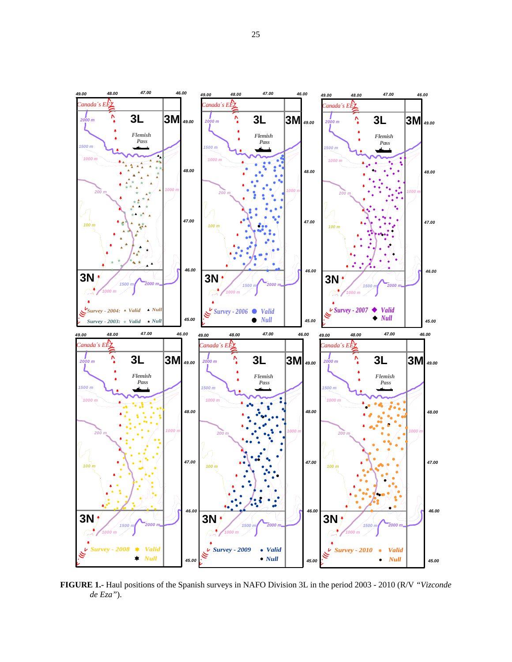

**FIGURE 1.-** Haul positions of the Spanish surveys in NAFO Division 3L in the period 2003 - 2010 (R/V *"Vizconde de Eza"*).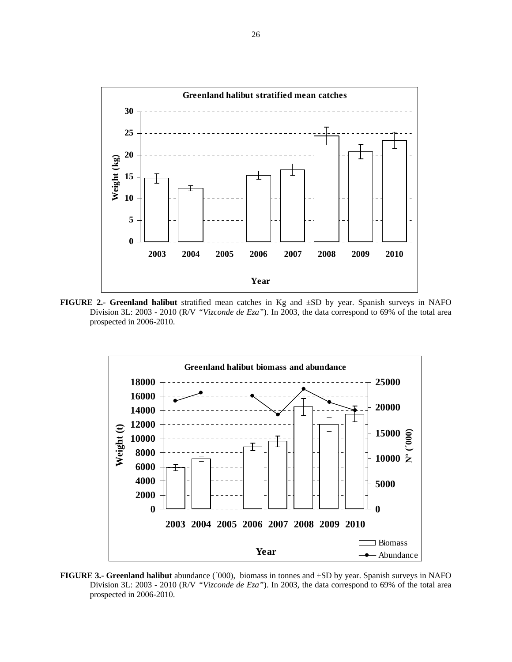

**FIGURE 2.- Greenland halibut** stratified mean catches in Kg and ±SD by year. Spanish surveys in NAFO Division 3L: 2003 - 2010 (R/V *"Vizconde de Eza"*). In 2003, the data correspond to 69% of the total area prospected in 2006-2010.



**FIGURE 3.- Greenland halibut** abundance (´000), biomass in tonnes and ±SD by year. Spanish surveys in NAFO Division 3L: 2003 - 2010 (R/V *"Vizconde de Eza"*). In 2003, the data correspond to 69% of the total area prospected in 2006-2010.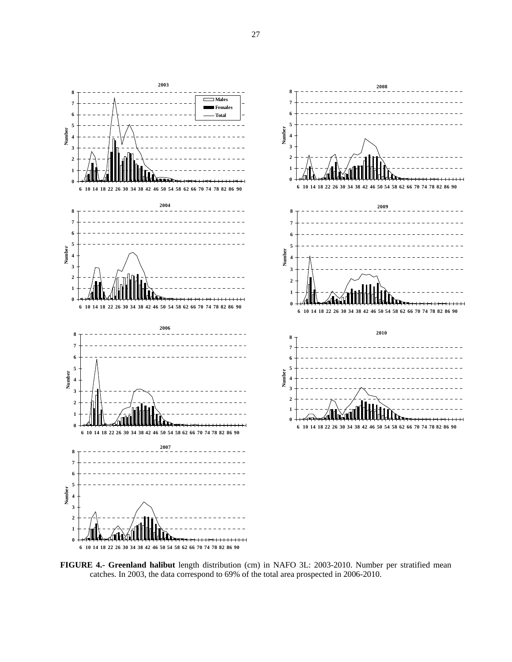

**FIGURE 4.- Greenland halibut** length distribution (cm) in NAFO 3L: 2003-2010. Number per stratified mean catches. In 2003, the data correspond to 69% of the total area prospected in 2006-2010.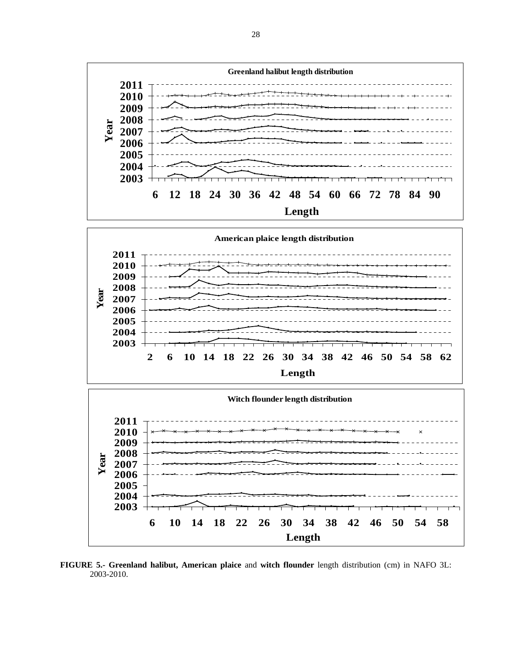

**FIGURE 5.- Greenland halibut, American plaice** and **witch flounder** length distribution (cm) in NAFO 3L: 2003-2010.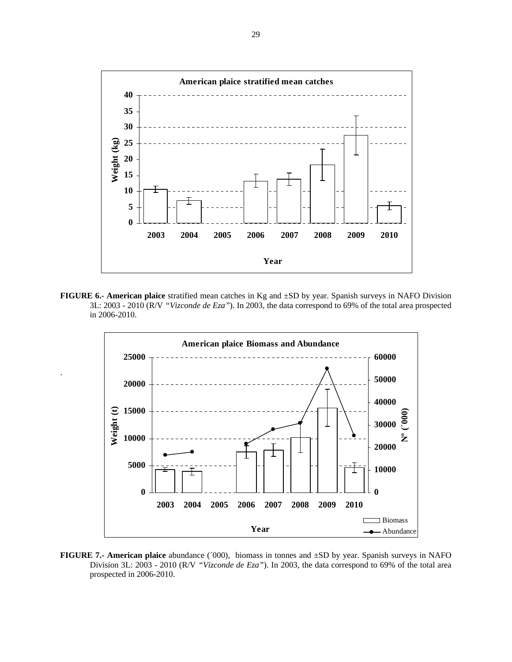

**FIGURE 6.- American plaice** stratified mean catches in Kg and ±SD by year. Spanish surveys in NAFO Division 3L: 2003 - 2010 (R/V *"Vizconde de Eza"*). In 2003, the data correspond to 69% of the total area prospected in 2006-2010.

.



**FIGURE 7.- American plaice** abundance (´000), biomass in tonnes and ±SD by year. Spanish surveys in NAFO Division 3L: 2003 - 2010 (R/V *"Vizconde de Eza"*). In 2003, the data correspond to 69% of the total area prospected in 2006-2010.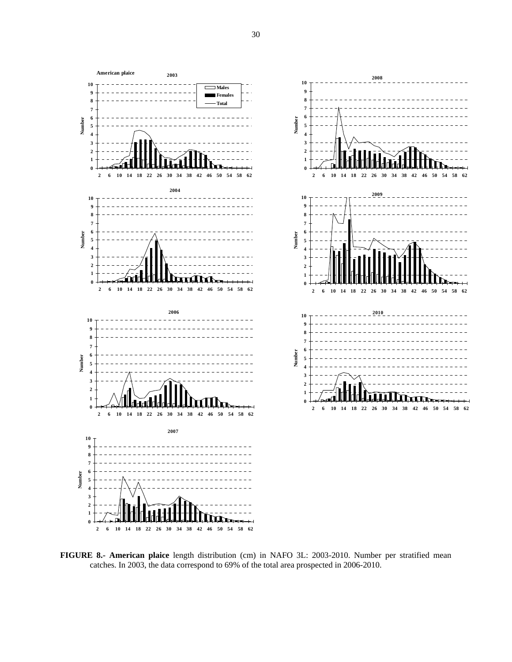

 **Number Number 2 6 10 14 18 22 26 30 34 38 42 46 50 54 58 62** Number **Number 2 6 10 14 18 22 26 30 34 38 42 46 50 54 58 62 Number** Number **2 6 10 14 18 22 26 30 34 38 42 46 50 54 58 62**

**FIGURE 8.- American plaice** length distribution (cm) in NAFO 3L: 2003-2010. Number per stratified mean catches. In 2003, the data correspond to 69% of the total area prospected in 2006-2010.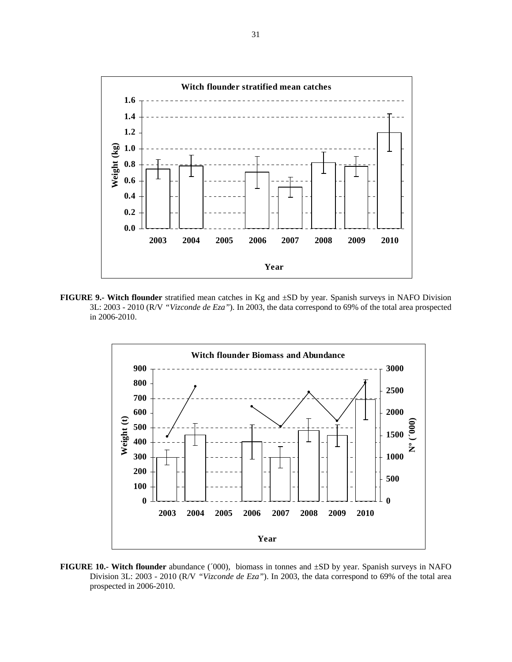

**FIGURE 9.- Witch flounder** stratified mean catches in Kg and ±SD by year. Spanish surveys in NAFO Division 3L: 2003 - 2010 (R/V *"Vizconde de Eza"*). In 2003, the data correspond to 69% of the total area prospected in 2006-2010.



**FIGURE 10.- Witch flounder** abundance (´000), biomass in tonnes and ±SD by year. Spanish surveys in NAFO Division 3L: 2003 - 2010 (R/V *"Vizconde de Eza"*). In 2003, the data correspond to 69% of the total area prospected in 2006-2010.